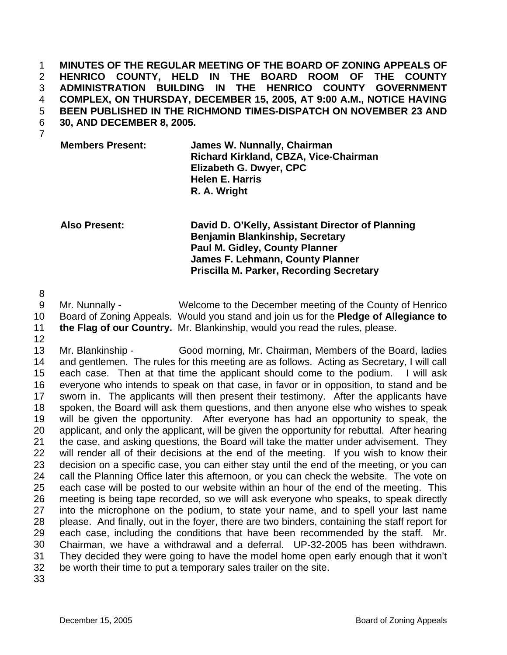**MINUTES OF THE REGULAR MEETING OF THE BOARD OF ZONING APPEALS OF HENRICO COUNTY, HELD IN THE BOARD ROOM OF THE COUNTY ADMINISTRATION BUILDING IN THE HENRICO COUNTY GOVERNMENT COMPLEX, ON THURSDAY, DECEMBER 15, 2005, AT 9:00 A.M., NOTICE HAVING BEEN PUBLISHED IN THE RICHMOND TIMES-DISPATCH ON NOVEMBER 23 AND 30, AND DECEMBER 8, 2005.**  1 2 3 4 5 6

7

**Members Present: James W. Nunnally, Chairman Richard Kirkland, CBZA, Vice-Chairman Elizabeth G. Dwyer, CPC Helen E. Harris R. A. Wright** 

**Also Present: David D. O'Kelly, Assistant Director of Planning Benjamin Blankinship, Secretary Paul M. Gidley, County Planner James F. Lehmann, County Planner Priscilla M. Parker, Recording Secretary** 

8

9 10 Mr. Nunnally - Welcome to the December meeting of the County of Henrico Board of Zoning Appeals. Would you stand and join us for the **Pledge of Allegiance to the Flag of our Country.** Mr. Blankinship, would you read the rules, please.

11 12

13 14 15 16 17 18 19 20 21 22 23 24 25 26 27 28 29 30 31 32 Mr. Blankinship - Good morning, Mr. Chairman, Members of the Board, ladies and gentlemen. The rules for this meeting are as follows. Acting as Secretary, I will call each case. Then at that time the applicant should come to the podium. I will ask everyone who intends to speak on that case, in favor or in opposition, to stand and be sworn in. The applicants will then present their testimony. After the applicants have spoken, the Board will ask them questions, and then anyone else who wishes to speak will be given the opportunity. After everyone has had an opportunity to speak, the applicant, and only the applicant, will be given the opportunity for rebuttal. After hearing the case, and asking questions, the Board will take the matter under advisement. They will render all of their decisions at the end of the meeting. If you wish to know their decision on a specific case, you can either stay until the end of the meeting, or you can call the Planning Office later this afternoon, or you can check the website. The vote on each case will be posted to our website within an hour of the end of the meeting. This meeting is being tape recorded, so we will ask everyone who speaks, to speak directly into the microphone on the podium, to state your name, and to spell your last name please. And finally, out in the foyer, there are two binders, containing the staff report for each case, including the conditions that have been recommended by the staff. Mr. Chairman, we have a withdrawal and a deferral. UP-32-2005 has been withdrawn. They decided they were going to have the model home open early enough that it won't be worth their time to put a temporary sales trailer on the site.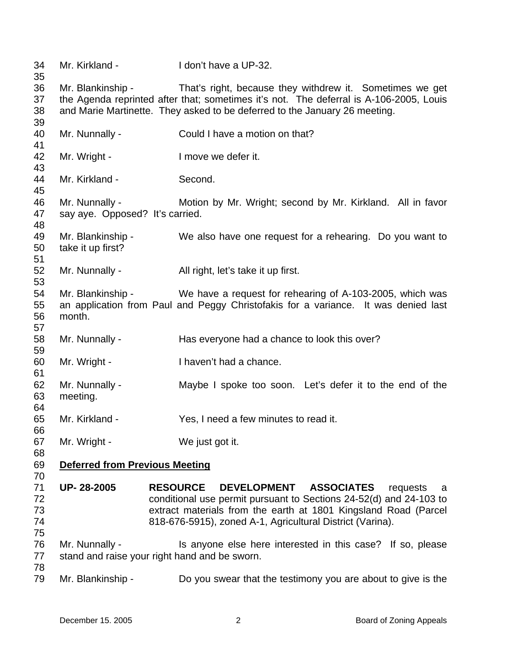Mr. Kirkland - I don't have a UP-32. Mr. Blankinship - That's right, because they withdrew it. Sometimes we get the Agenda reprinted after that; sometimes it's not. The deferral is A-106-2005, Louis and Marie Martinette. They asked to be deferred to the January 26 meeting. Mr. Nunnally - Could I have a motion on that? Mr. Wright - The Music Contract Henry Mr. Wright - The I move we defer it. Mr. Kirkland - Second. Mr. Nunnally - **Motion by Mr. Wright; second by Mr. Kirkland.** All in favor say aye. Opposed? It's carried. Mr. Blankinship - We also have one request for a rehearing. Do you want to take it up first? Mr. Nunnally - All right, let's take it up first. Mr. Blankinship - We have a request for rehearing of A-103-2005, which was an application from Paul and Peggy Christofakis for a variance. It was denied last month. Mr. Nunnally - Has everyone had a chance to look this over? Mr. Wright - I haven't had a chance. Mr. Nunnally - Maybe I spoke too soon. Let's defer it to the end of the meeting. Mr. Kirkland - Yes, I need a few minutes to read it. Mr. Wright - We just got it. **Deferred from Previous Meeting UP- 28-2005 RESOURCE DEVELOPMENT ASSOCIATES** requests a conditional use permit pursuant to Sections 24-52(d) and 24-103 to extract materials from the earth at 1801 Kingsland Road (Parcel 818-676-5915), zoned A-1, Agricultural District (Varina). Mr. Nunnally - Is anyone else here interested in this case? If so, please stand and raise your right hand and be sworn. Mr. Blankinship - Do you swear that the testimony you are about to give is the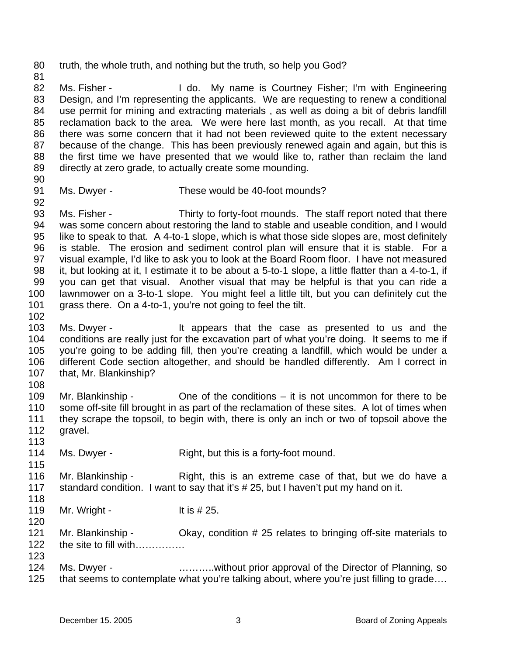80 truth, the whole truth, and nothing but the truth, so help you God?

82 83 84 85 86 87 88 89 Ms. Fisher - The My name is Courtney Fisher; I'm with Engineering Design, and I'm representing the applicants. We are requesting to renew a conditional use permit for mining and extracting materials , as well as doing a bit of debris landfill reclamation back to the area. We were here last month, as you recall. At that time there was some concern that it had not been reviewed quite to the extent necessary because of the change. This has been previously renewed again and again, but this is the first time we have presented that we would like to, rather than reclaim the land directly at zero grade, to actually create some mounding.

90

92

81

- 91
- Ms. Dwyer These would be 40-foot mounds?

93 94 95 96 97 98 99 100 101 Ms. Fisher - Thirty to forty-foot mounds. The staff report noted that there was some concern about restoring the land to stable and useable condition, and I would like to speak to that. A 4-to-1 slope, which is what those side slopes are, most definitely is stable. The erosion and sediment control plan will ensure that it is stable. For a visual example, I'd like to ask you to look at the Board Room floor. I have not measured it, but looking at it, I estimate it to be about a 5-to-1 slope, a little flatter than a 4-to-1, if you can get that visual. Another visual that may be helpful is that you can ride a lawnmower on a 3-to-1 slope. You might feel a little tilt, but you can definitely cut the grass there. On a 4-to-1, you're not going to feel the tilt.

103 104 105 106 107 Ms. Dwyer - The Music extends that the case as presented to us and the conditions are really just for the excavation part of what you're doing. It seems to me if you're going to be adding fill, then you're creating a landfill, which would be under a different Code section altogether, and should be handled differently. Am I correct in that, Mr. Blankinship?

108

115

120

102

109 110 111 112 113 Mr. Blankinship  $\sim$  One of the conditions – it is not uncommon for there to be some off-site fill brought in as part of the reclamation of these sites. A lot of times when they scrape the topsoil, to begin with, there is only an inch or two of topsoil above the gravel.

114 Ms. Dwyer - Right, but this is a forty-foot mound.

116 117 118 Mr. Blankinship - Right, this is an extreme case of that, but we do have a standard condition. I want to say that it's # 25, but I haven't put my hand on it.

119 Mr. Wright -  $\sqrt{1 + 25}$ .

121 122 123 Mr. Blankinship - Ckay, condition # 25 relates to bringing off-site materials to the site to fill with……………

124 125 Ms. Dwyer - **Example 2.1.** 2. ... ... ... without prior approval of the Director of Planning, so that seems to contemplate what you're talking about, where you're just filling to grade….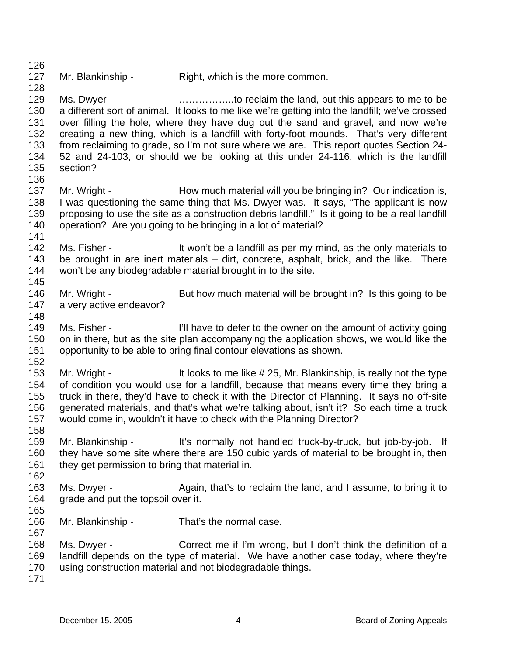127 Mr. Blankinship - Right, which is the more common.

129 130 131 132 133 134 135 Ms. Dwyer - **Example 20** ................to reclaim the land, but this appears to me to be a different sort of animal. It looks to me like we're getting into the landfill; we've crossed over filling the hole, where they have dug out the sand and gravel, and now we're creating a new thing, which is a landfill with forty-foot mounds. That's very different from reclaiming to grade, so I'm not sure where we are. This report quotes Section 24- 52 and 24-103, or should we be looking at this under 24-116, which is the landfill section?

- 136 137 138 139 140 Mr. Wright - How much material will you be bringing in? Our indication is, I was questioning the same thing that Ms. Dwyer was. It says, "The applicant is now proposing to use the site as a construction debris landfill." Is it going to be a real landfill operation? Are you going to be bringing in a lot of material?
- 142 143 144 145 Ms. Fisher - The Music only the a landfill as per my mind, as the only materials to be brought in are inert materials – dirt, concrete, asphalt, brick, and the like. There won't be any biodegradable material brought in to the site.
- 146 147 Mr. Wright - But how much material will be brought in? Is this going to be a very active endeavor?
- 149 150 151 Ms. Fisher - I'll have to defer to the owner on the amount of activity going on in there, but as the site plan accompanying the application shows, we would like the opportunity to be able to bring final contour elevations as shown.
- 152

148

141

126

128

- 153 154 155 156 157 Mr. Wright - It looks to me like # 25, Mr. Blankinship, is really not the type of condition you would use for a landfill, because that means every time they bring a truck in there, they'd have to check it with the Director of Planning. It says no off-site generated materials, and that's what we're talking about, isn't it? So each time a truck would come in, wouldn't it have to check with the Planning Director?
- 158 159 160 161 Mr. Blankinship - It's normally not handled truck-by-truck, but job-by-job. If they have some site where there are 150 cubic yards of material to be brought in, then they get permission to bring that material in.
- 163 164 Ms. Dwyer - Again, that's to reclaim the land, and I assume, to bring it to grade and put the topsoil over it.
- 165

- 166 167 Mr. Blankinship - That's the normal case.
- 168 169 170 Ms. Dwyer - Correct me if I'm wrong, but I don't think the definition of a landfill depends on the type of material. We have another case today, where they're using construction material and not biodegradable things.
- 171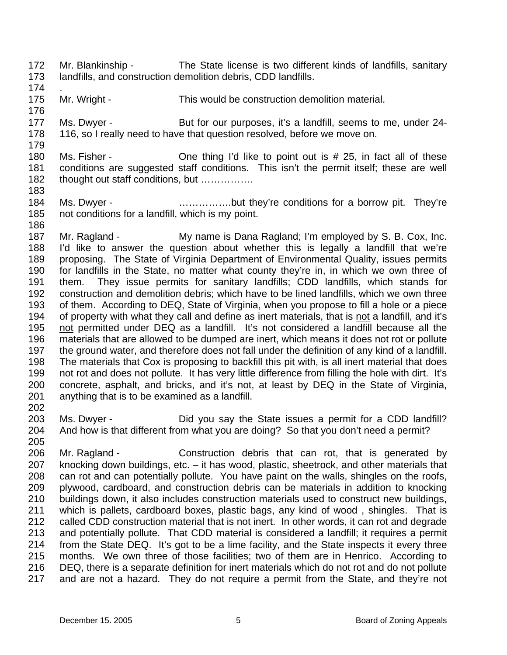- 172 173 Mr. Blankinship - The State license is two different kinds of landfills, sanitary landfills, and construction demolition debris, CDD landfills.
- 174

- 175 176 . Mr. Wright - This would be construction demolition material.
- 177 178 Ms. Dwyer - But for our purposes, it's a landfill, seems to me, under 24-116, so I really need to have that question resolved, before we move on.
- 179 180 181 182 Ms. Fisher -  $\blacksquare$  One thing I'd like to point out is # 25, in fact all of these conditions are suggested staff conditions. This isn't the permit itself; these are well thought out staff conditions, but …………….
- 184 185 186 Ms. Dwyer - …………….but they're conditions for a borrow pit. They're not conditions for a landfill, which is my point.
- 187 188 189 190 191 192 193 Mr. Ragland - My name is Dana Ragland; I'm employed by S. B. Cox, Inc. I'd like to answer the question about whether this is legally a landfill that we're proposing. The State of Virginia Department of Environmental Quality, issues permits for landfills in the State, no matter what county they're in, in which we own three of them. They issue permits for sanitary landfills; CDD landfills, which stands for construction and demolition debris; which have to be lined landfills, which we own three of them. According to DEQ, State of Virginia, when you propose to fill a hole or a piece 194 of property with what they call and define as inert materials, that is not a landfill, and it's not permitted under DEQ as a landfill. It's not considered a landfill because all the materials that are allowed to be dumped are inert, which means it does not rot or pollute the ground water, and therefore does not fall under the definition of any kind of a landfill. The materials that Cox is proposing to backfill this pit with, is all inert material that does not rot and does not pollute. It has very little difference from filling the hole with dirt. It's concrete, asphalt, and bricks, and it's not, at least by DEQ in the State of Virginia, anything that is to be examined as a landfill. 195 196 197 198 199 200 201 202
- 203 204 205 Ms. Dwyer - Did you say the State issues a permit for a CDD landfill? And how is that different from what you are doing? So that you don't need a permit?
- 206 207 208 209 210 211 212 213 214 215 216 217 Mr. Ragland - Construction debris that can rot, that is generated by knocking down buildings, etc. – it has wood, plastic, sheetrock, and other materials that can rot and can potentially pollute. You have paint on the walls, shingles on the roofs, plywood, cardboard, and construction debris can be materials in addition to knocking buildings down, it also includes construction materials used to construct new buildings, which is pallets, cardboard boxes, plastic bags, any kind of wood , shingles. That is called CDD construction material that is not inert. In other words, it can rot and degrade and potentially pollute. That CDD material is considered a landfill; it requires a permit from the State DEQ. It's got to be a lime facility, and the State inspects it every three months. We own three of those facilities; two of them are in Henrico. According to DEQ, there is a separate definition for inert materials which do not rot and do not pollute and are not a hazard. They do not require a permit from the State, and they're not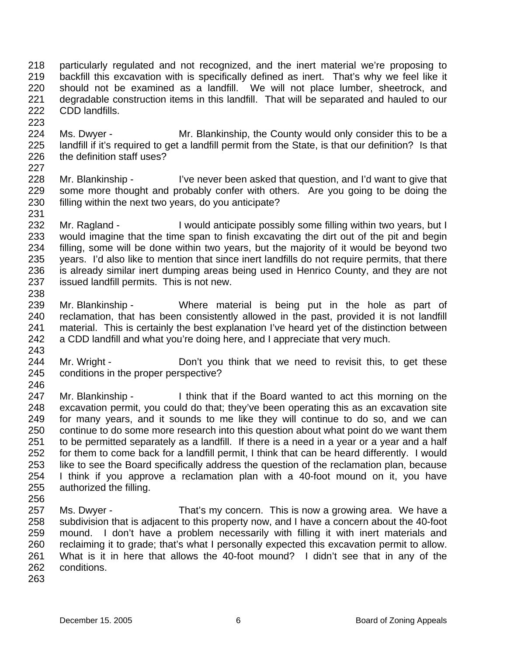218 219 220 221 222 particularly regulated and not recognized, and the inert material we're proposing to backfill this excavation with is specifically defined as inert. That's why we feel like it should not be examined as a landfill. We will not place lumber, sheetrock, and degradable construction items in this landfill. That will be separated and hauled to our CDD landfills.

224 225 226 Ms. Dwyer - Mr. Blankinship, the County would only consider this to be a landfill if it's required to get a landfill permit from the State, is that our definition? Is that the definition staff uses?

227

223

228 229 230 231 Mr. Blankinship - I've never been asked that question, and I'd want to give that some more thought and probably confer with others. Are you going to be doing the filling within the next two years, do you anticipate?

- 232 233 234 235 236 237 238 Mr. Ragland - I would anticipate possibly some filling within two years, but I would imagine that the time span to finish excavating the dirt out of the pit and begin filling, some will be done within two years, but the majority of it would be beyond two years. I'd also like to mention that since inert landfills do not require permits, that there is already similar inert dumping areas being used in Henrico County, and they are not issued landfill permits. This is not new.
- 239 240 241 242 Mr. Blankinship - Where material is being put in the hole as part of reclamation, that has been consistently allowed in the past, provided it is not landfill material. This is certainly the best explanation I've heard yet of the distinction between a CDD landfill and what you're doing here, and I appreciate that very much.
- 243

- 244 245 Mr. Wright - **Don't you think that we need to revisit this, to get these** conditions in the proper perspective?
- 247 248 249 250 251 252 253 254 255 Mr. Blankinship - I think that if the Board wanted to act this morning on the excavation permit, you could do that; they've been operating this as an excavation site for many years, and it sounds to me like they will continue to do so, and we can continue to do some more research into this question about what point do we want them to be permitted separately as a landfill. If there is a need in a year or a year and a half for them to come back for a landfill permit, I think that can be heard differently. I would like to see the Board specifically address the question of the reclamation plan, because I think if you approve a reclamation plan with a 40-foot mound on it, you have authorized the filling.
- 256
- 257 258 259 260 261 262 Ms. Dwyer - That's my concern. This is now a growing area. We have a subdivision that is adjacent to this property now, and I have a concern about the 40-foot mound. I don't have a problem necessarily with filling it with inert materials and reclaiming it to grade; that's what I personally expected this excavation permit to allow. What is it in here that allows the 40-foot mound? I didn't see that in any of the conditions.
- 263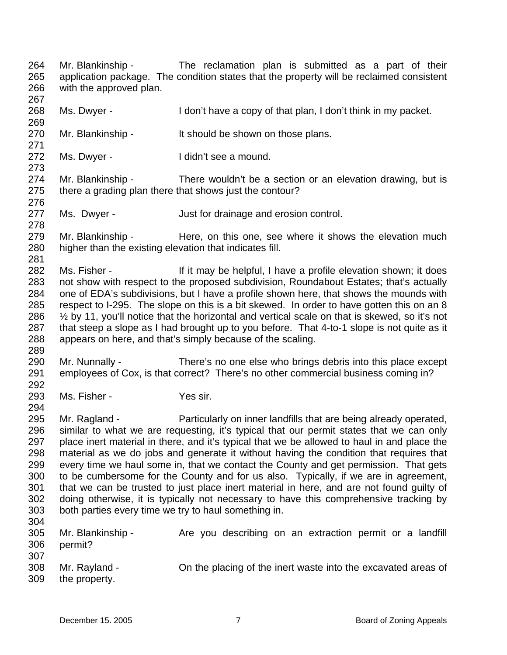264 265 266 267 Mr. Blankinship - The reclamation plan is submitted as a part of their application package. The condition states that the property will be reclaimed consistent with the approved plan.

268 Ms. Dwyer - The I don't have a copy of that plan, I don't think in my packet.

270 Mr. Blankinship - It should be shown on those plans.

272 Ms. Dwyer - The I didn't see a mound.

274 275 Mr. Blankinship - There wouldn't be a section or an elevation drawing, but is there a grading plan there that shows just the contour?

- 277 Ms. Dwyer - **Just for drainage and erosion control.**
- 279 280 Mr. Blankinship - Here, on this one, see where it shows the elevation much higher than the existing elevation that indicates fill.
- 282 283 284 285 286 287 288 Ms. Fisher - If it may be helpful, I have a profile elevation shown; it does not show with respect to the proposed subdivision, Roundabout Estates; that's actually one of EDA's subdivisions, but I have a profile shown here, that shows the mounds with respect to I-295. The slope on this is a bit skewed. In order to have gotten this on an 8  $\frac{1}{2}$  by 11, you'll notice that the horizontal and vertical scale on that is skewed, so it's not that steep a slope as I had brought up to you before. That 4-to-1 slope is not quite as it appears on here, and that's simply because of the scaling.
- 289 290 291 Mr. Nunnally - There's no one else who brings debris into this place except employees of Cox, is that correct? There's no other commercial business coming in?
- 292 293

269

271

273

276

278

281

294

Ms. Fisher - Yes sir.

295 296 297 298 299 300 301 302 303 304 Mr. Ragland - Particularly on inner landfills that are being already operated, similar to what we are requesting, it's typical that our permit states that we can only place inert material in there, and it's typical that we be allowed to haul in and place the material as we do jobs and generate it without having the condition that requires that every time we haul some in, that we contact the County and get permission. That gets to be cumbersome for the County and for us also. Typically, if we are in agreement, that we can be trusted to just place inert material in here, and are not found guilty of doing otherwise, it is typically not necessary to have this comprehensive tracking by both parties every time we try to haul something in.

| 305<br>306 | Mr. Blankinship -<br>permit? | Are you describing on an extraction permit or a landfill      |
|------------|------------------------------|---------------------------------------------------------------|
| 307<br>308 | Mr. Rayland -                | On the placing of the inert waste into the excavated areas of |
| 309        | the property.                |                                                               |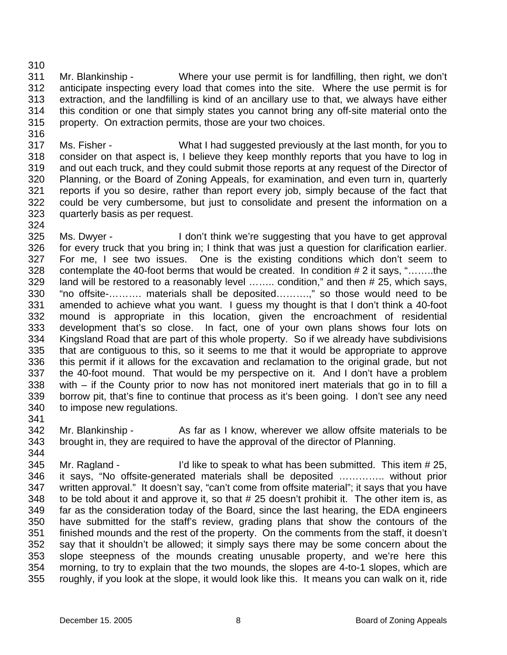310

316

311 312 313 314 315 Mr. Blankinship - Where your use permit is for landfilling, then right, we don't anticipate inspecting every load that comes into the site. Where the use permit is for extraction, and the landfilling is kind of an ancillary use to that, we always have either this condition or one that simply states you cannot bring any off-site material onto the property. On extraction permits, those are your two choices.

317 318 319 320 321 322 323 Ms. Fisher - What I had suggested previously at the last month, for you to consider on that aspect is, I believe they keep monthly reports that you have to log in and out each truck, and they could submit those reports at any request of the Director of Planning, or the Board of Zoning Appeals, for examination, and even turn in, quarterly reports if you so desire, rather than report every job, simply because of the fact that could be very cumbersome, but just to consolidate and present the information on a quarterly basis as per request.

324

325 326 327 328 329 330 331 332 333 334 335 336 337 338 339 340 Ms. Dwyer - I don't think we're suggesting that you have to get approval for every truck that you bring in; I think that was just a question for clarification earlier. For me, I see two issues. One is the existing conditions which don't seem to contemplate the 40-foot berms that would be created. In condition # 2 it says, "……..the land will be restored to a reasonably level ........ condition," and then # 25, which says, "no offsite-………. materials shall be deposited……….," so those would need to be amended to achieve what you want. I guess my thought is that I don't think a 40-foot mound is appropriate in this location, given the encroachment of residential development that's so close. In fact, one of your own plans shows four lots on Kingsland Road that are part of this whole property. So if we already have subdivisions that are contiguous to this, so it seems to me that it would be appropriate to approve this permit if it allows for the excavation and reclamation to the original grade, but not the 40-foot mound. That would be my perspective on it. And I don't have a problem with – if the County prior to now has not monitored inert materials that go in to fill a borrow pit, that's fine to continue that process as it's been going. I don't see any need to impose new regulations.

341

342 343 344 Mr. Blankinship - As far as I know, wherever we allow offsite materials to be brought in, they are required to have the approval of the director of Planning.

345 346 347 348 349 350 351 352 353 354 355 Mr. Ragland - I'd like to speak to what has been submitted. This item # 25, it says, "No offsite-generated materials shall be deposited ………….. without prior written approval." It doesn't say, "can't come from offsite material"; it says that you have to be told about it and approve it, so that # 25 doesn't prohibit it. The other item is, as far as the consideration today of the Board, since the last hearing, the EDA engineers have submitted for the staff's review, grading plans that show the contours of the finished mounds and the rest of the property. On the comments from the staff, it doesn't say that it shouldn't be allowed; it simply says there may be some concern about the slope steepness of the mounds creating unusable property, and we're here this morning, to try to explain that the two mounds, the slopes are 4-to-1 slopes, which are roughly, if you look at the slope, it would look like this. It means you can walk on it, ride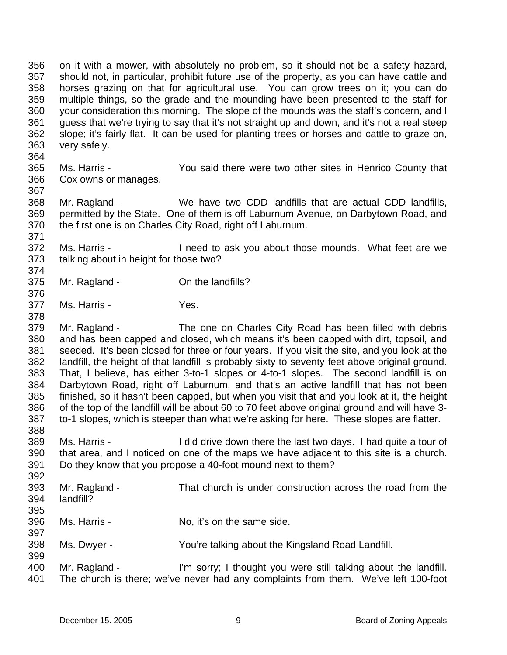356 357 358 359 360 361 362 363 364 on it with a mower, with absolutely no problem, so it should not be a safety hazard, should not, in particular, prohibit future use of the property, as you can have cattle and horses grazing on that for agricultural use. You can grow trees on it; you can do multiple things, so the grade and the mounding have been presented to the staff for your consideration this morning. The slope of the mounds was the staff's concern, and I guess that we're trying to say that it's not straight up and down, and it's not a real steep slope; it's fairly flat. It can be used for planting trees or horses and cattle to graze on, very safely.

365 366 367 Ms. Harris - You said there were two other sites in Henrico County that Cox owns or manages.

368 369 370 Mr. Ragland - We have two CDD landfills that are actual CDD landfills, permitted by the State. One of them is off Laburnum Avenue, on Darbytown Road, and the first one is on Charles City Road, right off Laburnum.

372 373 Ms. Harris - Theed to ask you about those mounds. What feet are we talking about in height for those two?

- 375 Mr. Ragland - Con the landfills?
- 377 Ms. Harris - The Yes.

371

374

376

378

397

399

379 380 381 382 383 384 385 386 387 388 Mr. Ragland - The one on Charles City Road has been filled with debris and has been capped and closed, which means it's been capped with dirt, topsoil, and seeded. It's been closed for three or four years. If you visit the site, and you look at the landfill, the height of that landfill is probably sixty to seventy feet above original ground. That, I believe, has either 3-to-1 slopes or 4-to-1 slopes. The second landfill is on Darbytown Road, right off Laburnum, and that's an active landfill that has not been finished, so it hasn't been capped, but when you visit that and you look at it, the height of the top of the landfill will be about 60 to 70 feet above original ground and will have 3 to-1 slopes, which is steeper than what we're asking for here. These slopes are flatter.

- 389 390 391 Ms. Harris - I did drive down there the last two days. I had quite a tour of that area, and I noticed on one of the maps we have adjacent to this site is a church. Do they know that you propose a 40-foot mound next to them?
- 392 393 394 395 Mr. Ragland - That church is under construction across the road from the landfill?
- 396 Ms. Harris - No, it's on the same side.
- 398 Ms. Dwyer - You're talking about the Kingsland Road Landfill.
- 400 401 Mr. Ragland - I'm sorry; I thought you were still talking about the landfill. The church is there; we've never had any complaints from them. We've left 100-foot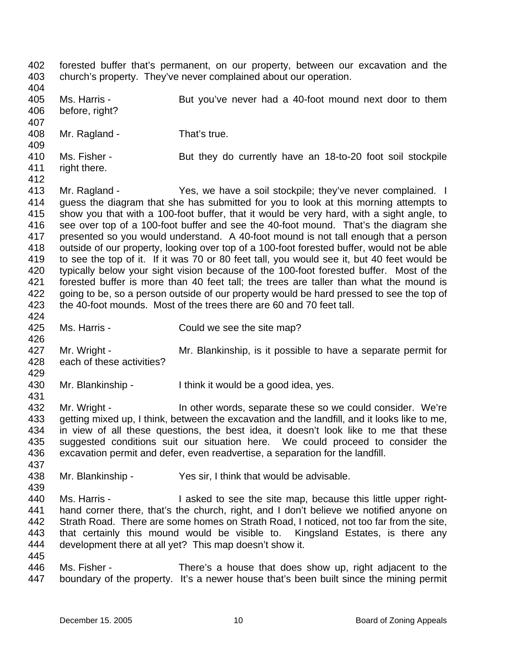402 403 404 405 406 407 408 409 410 411 412 413 414 415 416 417 418 419 420 421 422 423 424 425 426 427 428 429 430 431 432 433 434 435 436 437 438 439 440 441 442 443 444 445 446 447 forested buffer that's permanent, on our property, between our excavation and the church's property. They've never complained about our operation. Ms. Harris - But you've never had a 40-foot mound next door to them before, right? Mr. Ragland - That's true. Ms. Fisher - But they do currently have an 18-to-20 foot soil stockpile right there. Mr. Ragland - Yes, we have a soil stockpile; they've never complained. I guess the diagram that she has submitted for you to look at this morning attempts to show you that with a 100-foot buffer, that it would be very hard, with a sight angle, to see over top of a 100-foot buffer and see the 40-foot mound. That's the diagram she presented so you would understand. A 40-foot mound is not tall enough that a person outside of our property, looking over top of a 100-foot forested buffer, would not be able to see the top of it. If it was 70 or 80 feet tall, you would see it, but 40 feet would be typically below your sight vision because of the 100-foot forested buffer. Most of the forested buffer is more than 40 feet tall; the trees are taller than what the mound is going to be, so a person outside of our property would be hard pressed to see the top of the 40-foot mounds. Most of the trees there are 60 and 70 feet tall. Ms. Harris - Could we see the site map? Mr. Wright - Mr. Blankinship, is it possible to have a separate permit for each of these activities? Mr. Blankinship - I think it would be a good idea, yes. Mr. Wright - In other words, separate these so we could consider. We're getting mixed up, I think, between the excavation and the landfill, and it looks like to me, in view of all these questions, the best idea, it doesn't look like to me that these suggested conditions suit our situation here. We could proceed to consider the excavation permit and defer, even readvertise, a separation for the landfill. Mr. Blankinship - Yes sir, I think that would be advisable. Ms. Harris - The State of the site map, because this little upper righthand corner there, that's the church, right, and I don't believe we notified anyone on Strath Road. There are some homes on Strath Road, I noticed, not too far from the site, that certainly this mound would be visible to. Kingsland Estates, is there any development there at all yet? This map doesn't show it. Ms. Fisher - There's a house that does show up, right adjacent to the boundary of the property. It's a newer house that's been built since the mining permit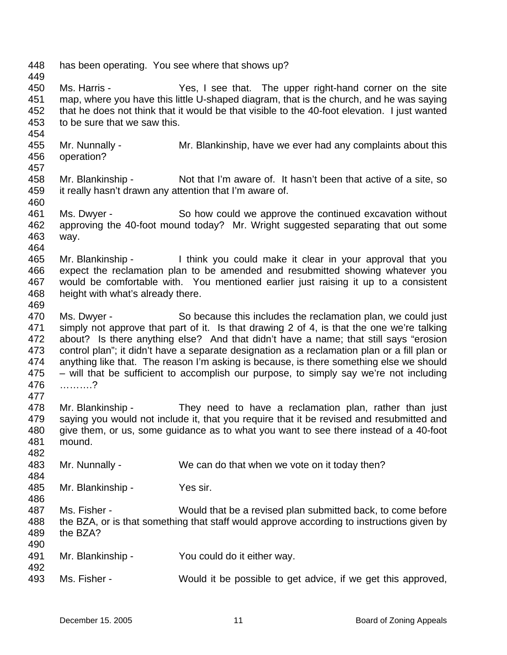448 449 450 451 452 453 454 455 456 457 458 459 460 461 462 463 464 465 466 467 468 469 470 471 472 473 474 475 476 477 478 479 480 481 482 483 484 485 486 487 488 489 490 491 492 493 has been operating. You see where that shows up? Ms. Harris - Yes, I see that. The upper right-hand corner on the site map, where you have this little U-shaped diagram, that is the church, and he was saying that he does not think that it would be that visible to the 40-foot elevation. I just wanted to be sure that we saw this. Mr. Nunnally - Mr. Blankinship, have we ever had any complaints about this operation? Mr. Blankinship - Not that I'm aware of. It hasn't been that active of a site, so it really hasn't drawn any attention that I'm aware of. Ms. Dwyer - So how could we approve the continued excavation without approving the 40-foot mound today? Mr. Wright suggested separating that out some way. Mr. Blankinship - I think you could make it clear in your approval that you expect the reclamation plan to be amended and resubmitted showing whatever you would be comfortable with. You mentioned earlier just raising it up to a consistent height with what's already there. Ms. Dwyer - So because this includes the reclamation plan, we could just simply not approve that part of it. Is that drawing 2 of 4, is that the one we're talking about? Is there anything else? And that didn't have a name; that still says "erosion control plan"; it didn't have a separate designation as a reclamation plan or a fill plan or anything like that. The reason I'm asking is because, is there something else we should – will that be sufficient to accomplish our purpose, to simply say we're not including ……….? Mr. Blankinship - They need to have a reclamation plan, rather than just saying you would not include it, that you require that it be revised and resubmitted and give them, or us, some guidance as to what you want to see there instead of a 40-foot mound. Mr. Nunnally - We can do that when we vote on it today then? Mr. Blankinship - Yes sir. Ms. Fisher - Would that be a revised plan submitted back, to come before the BZA, or is that something that staff would approve according to instructions given by the BZA? Mr. Blankinship - You could do it either way. Ms. Fisher - Would it be possible to get advice, if we get this approved,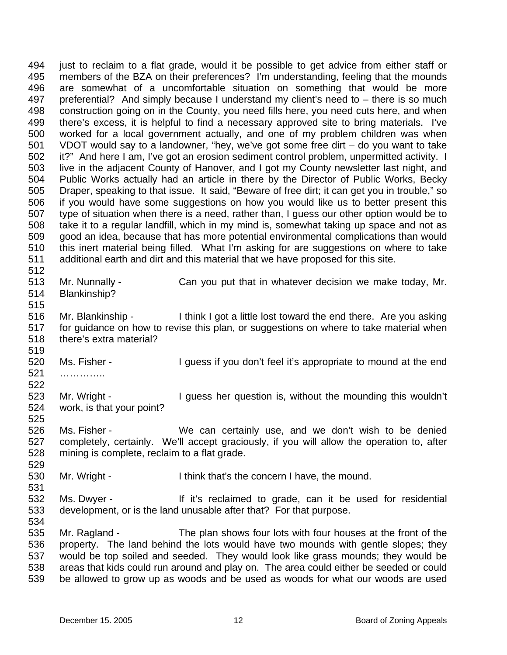494 495 496 497 498 499 500 501 502 503 504 505 506 507 508 509 510 511 512 just to reclaim to a flat grade, would it be possible to get advice from either staff or members of the BZA on their preferences? I'm understanding, feeling that the mounds are somewhat of a uncomfortable situation on something that would be more preferential? And simply because I understand my client's need to – there is so much construction going on in the County, you need fills here, you need cuts here, and when there's excess, it is helpful to find a necessary approved site to bring materials. I've worked for a local government actually, and one of my problem children was when VDOT would say to a landowner, "hey, we've got some free dirt – do you want to take it?" And here I am, I've got an erosion sediment control problem, unpermitted activity. I live in the adjacent County of Hanover, and I got my County newsletter last night, and Public Works actually had an article in there by the Director of Public Works, Becky Draper, speaking to that issue. It said, "Beware of free dirt; it can get you in trouble," so if you would have some suggestions on how you would like us to better present this type of situation when there is a need, rather than, I guess our other option would be to take it to a regular landfill, which in my mind is, somewhat taking up space and not as good an idea, because that has more potential environmental complications than would this inert material being filled. What I'm asking for are suggestions on where to take additional earth and dirt and this material that we have proposed for this site.

- 513 514 Mr. Nunnally - Can you put that in whatever decision we make today, Mr. Blankinship?
- 516 517 518 519 Mr. Blankinship - I think I got a little lost toward the end there. Are you asking for guidance on how to revise this plan, or suggestions on where to take material when there's extra material?
- 520 521 Ms. Fisher - I guess if you don't feel it's appropriate to mound at the end ……………
- 522 523

515

529

531

- 524 525 Mr. Wright - The University of the mounding this wouldn't work, is that your point?
- 526 527 528 Ms. Fisher - We can certainly use, and we don't wish to be denied completely, certainly. We'll accept graciously, if you will allow the operation to, after mining is complete, reclaim to a flat grade.
- 530 Mr. Wright - I think that's the concern I have, the mound.
- 532 533 Ms. Dwyer - The If it's reclaimed to grade, can it be used for residential development, or is the land unusable after that? For that purpose.
- 535 536 537 538 539 Mr. Ragland - The plan shows four lots with four houses at the front of the property. The land behind the lots would have two mounds with gentle slopes; they would be top soiled and seeded. They would look like grass mounds; they would be areas that kids could run around and play on. The area could either be seeded or could be allowed to grow up as woods and be used as woods for what our woods are used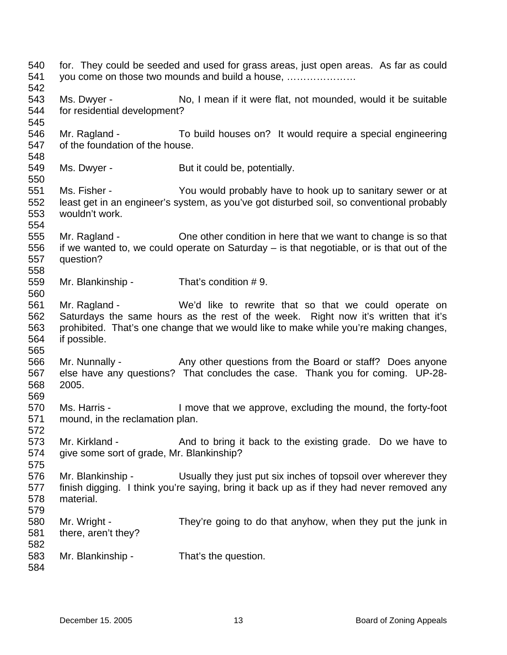540 541 542 543 544 545 546 547 548 549 550 551 552 553 554 555 556 557 558 559 560 561 562 563 564 565 566 567 568 569 570 571 572 573 574 575 576 577 578 579 580 581 582 583 584 for. They could be seeded and used for grass areas, just open areas. As far as could you come on those two mounds and build a house, ………………… Ms. Dwyer - No, I mean if it were flat, not mounded, would it be suitable for residential development? Mr. Ragland - To build houses on? It would require a special engineering of the foundation of the house. Ms. Dwyer - But it could be, potentially. Ms. Fisher - You would probably have to hook up to sanitary sewer or at least get in an engineer's system, as you've got disturbed soil, so conventional probably wouldn't work. Mr. Ragland - Che other condition in here that we want to change is so that if we wanted to, we could operate on Saturday – is that negotiable, or is that out of the question? Mr. Blankinship - That's condition #9. Mr. Ragland - We'd like to rewrite that so that we could operate on Saturdays the same hours as the rest of the week. Right now it's written that it's prohibited. That's one change that we would like to make while you're making changes, if possible. Mr. Nunnally - Any other questions from the Board or staff? Does anyone else have any questions? That concludes the case. Thank you for coming. UP-28- 2005. Ms. Harris - I move that we approve, excluding the mound, the forty-foot mound, in the reclamation plan. Mr. Kirkland - And to bring it back to the existing grade. Do we have to give some sort of grade, Mr. Blankinship? Mr. Blankinship - Usually they just put six inches of topsoil over wherever they finish digging. I think you're saying, bring it back up as if they had never removed any material. Mr. Wright - They're going to do that anyhow, when they put the junk in there, aren't they? Mr. Blankinship - That's the question.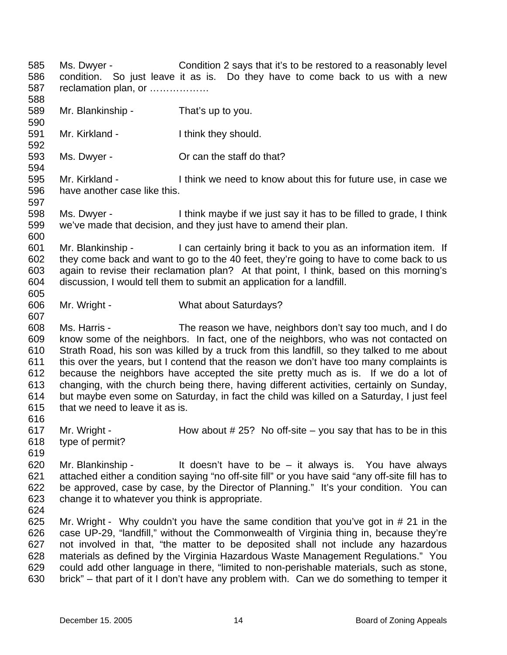585 586 587 588 589 590 591 592 593 594 595 596 597 598 599 600 601 602 603 604 605 606 607 608 609 610 611 612 613 614 615 616 617 618 619 620 621 622 623 624 625 626 627 628 629 630 Ms. Dwyer - Condition 2 says that it's to be restored to a reasonably level condition. So just leave it as is. Do they have to come back to us with a new reclamation plan, or ……………… Mr. Blankinship - That's up to you. Mr. Kirkland - Think they should. Ms. Dwyer - Crean the staff do that? Mr. Kirkland - Think we need to know about this for future use, in case we have another case like this. Ms. Dwyer - I think maybe if we just say it has to be filled to grade, I think we've made that decision, and they just have to amend their plan. Mr. Blankinship - I can certainly bring it back to you as an information item. If they come back and want to go to the 40 feet, they're going to have to come back to us again to revise their reclamation plan? At that point, I think, based on this morning's discussion, I would tell them to submit an application for a landfill. Mr. Wright - What about Saturdays? Ms. Harris - The reason we have, neighbors don't say too much, and I do know some of the neighbors. In fact, one of the neighbors, who was not contacted on Strath Road, his son was killed by a truck from this landfill, so they talked to me about this over the years, but I contend that the reason we don't have too many complaints is because the neighbors have accepted the site pretty much as is. If we do a lot of changing, with the church being there, having different activities, certainly on Sunday, but maybe even some on Saturday, in fact the child was killed on a Saturday, I just feel that we need to leave it as is. Mr. Wright -  $\blacksquare$  How about # 25? No off-site – you say that has to be in this type of permit? Mr. Blankinship - It doesn't have to be  $-$  it always is. You have always attached either a condition saying "no off-site fill" or you have said "any off-site fill has to be approved, case by case, by the Director of Planning." It's your condition. You can change it to whatever you think is appropriate. Mr. Wright - Why couldn't you have the same condition that you've got in # 21 in the case UP-29, "landfill," without the Commonwealth of Virginia thing in, because they're not involved in that, "the matter to be deposited shall not include any hazardous materials as defined by the Virginia Hazardous Waste Management Regulations." You could add other language in there, "limited to non-perishable materials, such as stone, brick" – that part of it I don't have any problem with. Can we do something to temper it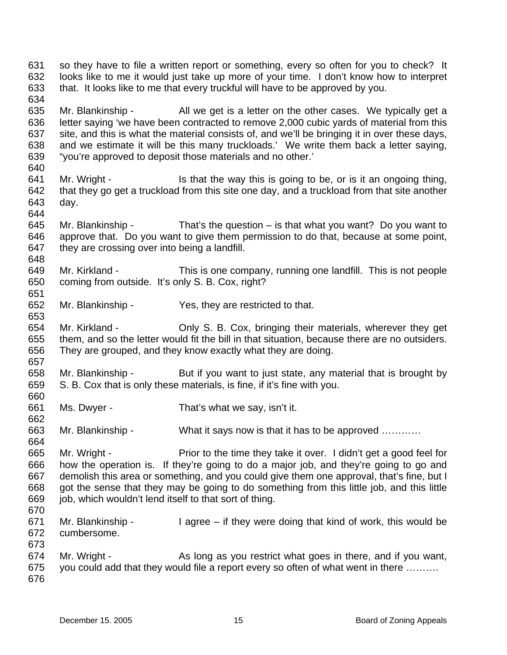631 632 633 634 so they have to file a written report or something, every so often for you to check? It looks like to me it would just take up more of your time. I don't know how to interpret that. It looks like to me that every truckful will have to be approved by you.

635 636 637 638 639 Mr. Blankinship - All we get is a letter on the other cases. We typically get a letter saying 'we have been contracted to remove 2,000 cubic yards of material from this site, and this is what the material consists of, and we'll be bringing it in over these days, and we estimate it will be this many truckloads.' We write them back a letter saying, "you're approved to deposit those materials and no other.'

641 642 643 Mr. Wright - Is that the way this is going to be, or is it an ongoing thing, that they go get a truckload from this site one day, and a truckload from that site another day.

645 646 647 Mr. Blankinship - That's the question  $-$  is that what you want? Do you want to approve that. Do you want to give them permission to do that, because at some point, they are crossing over into being a landfill.

649 650 Mr. Kirkland - This is one company, running one landfill. This is not people coming from outside. It's only S. B. Cox, right?

652 Mr. Blankinship - Yes, they are restricted to that.

654 655 656 657 Mr. Kirkland - Chly S. B. Cox, bringing their materials, wherever they get them, and so the letter would fit the bill in that situation, because there are no outsiders. They are grouped, and they know exactly what they are doing.

658 659 660 Mr. Blankinship - But if you want to just state, any material that is brought by S. B. Cox that is only these materials, is fine, if it's fine with you.

661 662 Ms. Dwyer - That's what we say, isn't it.

663 664 Mr. Blankinship - What it says now is that it has to be approved ............

665 666 667 668 669 670 Mr. Wright - Prior to the time they take it over. I didn't get a good feel for how the operation is. If they're going to do a major job, and they're going to go and demolish this area or something, and you could give them one approval, that's fine, but I got the sense that they may be going to do something from this little job, and this little job, which wouldn't lend itself to that sort of thing.

- 671 672 Mr. Blankinship - I agree – if they were doing that kind of work, this would be cumbersome.
- 673 674 675 676 Mr. Wright - As long as you restrict what goes in there, and if you want, you could add that they would file a report every so often of what went in there ……….

640

644

648

651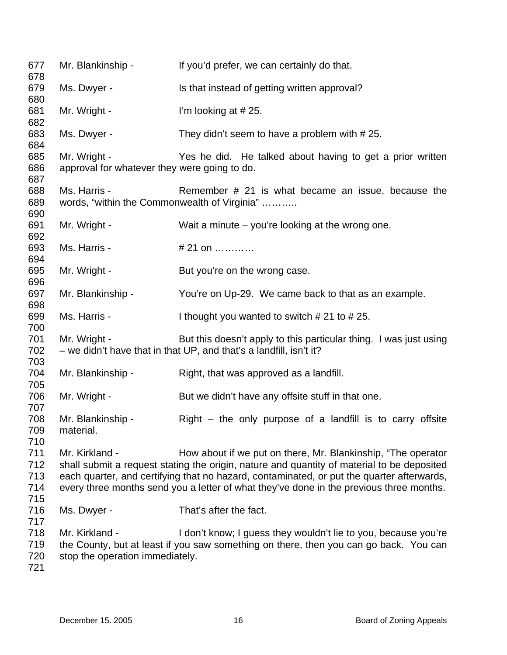| 677<br>678                      | Mr. Blankinship -                                            | If you'd prefer, we can certainly do that.                                                                                                                                                                                                                                                                                                         |
|---------------------------------|--------------------------------------------------------------|----------------------------------------------------------------------------------------------------------------------------------------------------------------------------------------------------------------------------------------------------------------------------------------------------------------------------------------------------|
| 679<br>680                      | Ms. Dwyer -                                                  | Is that instead of getting written approval?                                                                                                                                                                                                                                                                                                       |
| 681<br>682                      | Mr. Wright -                                                 | I'm looking at #25.                                                                                                                                                                                                                                                                                                                                |
| 683<br>684                      | Ms. Dwyer -                                                  | They didn't seem to have a problem with #25.                                                                                                                                                                                                                                                                                                       |
| 685<br>686<br>687               | Mr. Wright -<br>approval for whatever they were going to do. | Yes he did. He talked about having to get a prior written                                                                                                                                                                                                                                                                                          |
| 688<br>689<br>690               | Ms. Harris -                                                 | Remember # 21 is what became an issue, because the<br>words, "within the Commonwealth of Virginia"                                                                                                                                                                                                                                                 |
| 691<br>692                      | Mr. Wright -                                                 | Wait a minute $-$ you're looking at the wrong one.                                                                                                                                                                                                                                                                                                 |
| 693<br>694                      | Ms. Harris -                                                 | # 21 on                                                                                                                                                                                                                                                                                                                                            |
| 695<br>696                      | Mr. Wright -                                                 | But you're on the wrong case.                                                                                                                                                                                                                                                                                                                      |
| 697<br>698                      | Mr. Blankinship -                                            | You're on Up-29. We came back to that as an example.                                                                                                                                                                                                                                                                                               |
| 699<br>700                      | Ms. Harris -                                                 | I thought you wanted to switch $# 21$ to $# 25$ .                                                                                                                                                                                                                                                                                                  |
| 701<br>702<br>703               | Mr. Wright -                                                 | But this doesn't apply to this particular thing. I was just using<br>- we didn't have that in that UP, and that's a landfill, isn't it?                                                                                                                                                                                                            |
| 704<br>705                      | Mr. Blankinship -                                            | Right, that was approved as a landfill.                                                                                                                                                                                                                                                                                                            |
| 706<br>707                      | Mr. Wright -                                                 | But we didn't have any offsite stuff in that one.                                                                                                                                                                                                                                                                                                  |
| 708<br>709<br>710               | Mr. Blankinship -<br>material.                               | $Right$ – the only purpose of a landfill is to carry offsite                                                                                                                                                                                                                                                                                       |
| 711<br>712<br>713<br>714<br>715 | Mr. Kirkland -                                               | How about if we put on there, Mr. Blankinship, "The operator<br>shall submit a request stating the origin, nature and quantity of material to be deposited<br>each quarter, and certifying that no hazard, contaminated, or put the quarter afterwards,<br>every three months send you a letter of what they've done in the previous three months. |
| 716<br>717                      | Ms. Dwyer -                                                  | That's after the fact.                                                                                                                                                                                                                                                                                                                             |
| 718<br>719<br>720<br>721        | Mr. Kirkland -<br>stop the operation immediately.            | I don't know; I guess they wouldn't lie to you, because you're<br>the County, but at least if you saw something on there, then you can go back. You can                                                                                                                                                                                            |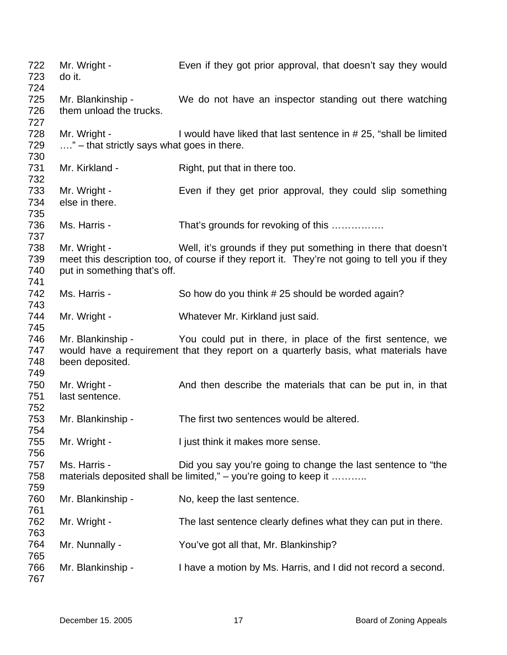| 722<br>723               | Mr. Wright -<br>do it.                                     | Even if they got prior approval, that doesn't say they would                                                                                                    |
|--------------------------|------------------------------------------------------------|-----------------------------------------------------------------------------------------------------------------------------------------------------------------|
| 724<br>725<br>726<br>727 | Mr. Blankinship -<br>them unload the trucks.               | We do not have an inspector standing out there watching                                                                                                         |
| 728<br>729<br>730        | Mr. Wright -<br>" – that strictly says what goes in there. | I would have liked that last sentence in # 25, "shall be limited                                                                                                |
| 731<br>732               | Mr. Kirkland -                                             | Right, put that in there too.                                                                                                                                   |
| 733<br>734<br>735        | Mr. Wright -<br>else in there.                             | Even if they get prior approval, they could slip something                                                                                                      |
| 736<br>737               | Ms. Harris -                                               | That's grounds for revoking of this                                                                                                                             |
| 738<br>739<br>740<br>741 | Mr. Wright -<br>put in something that's off.               | Well, it's grounds if they put something in there that doesn't<br>meet this description too, of course if they report it. They're not going to tell you if they |
| 742<br>743               | Ms. Harris -                                               | So how do you think #25 should be worded again?                                                                                                                 |
| 744<br>745               | Mr. Wright -                                               | Whatever Mr. Kirkland just said.                                                                                                                                |
| 746<br>747<br>748<br>749 | Mr. Blankinship -<br>been deposited.                       | You could put in there, in place of the first sentence, we<br>would have a requirement that they report on a quarterly basis, what materials have               |
| 750<br>751<br>752        | Mr. Wright -<br>last sentence.                             | And then describe the materials that can be put in, in that                                                                                                     |
| 753<br>754               | Mr. Blankinship -                                          | The first two sentences would be altered.                                                                                                                       |
| 755<br>756               | Mr. Wright -                                               | I just think it makes more sense.                                                                                                                               |
| 757<br>758<br>759        | Ms. Harris -                                               | Did you say you're going to change the last sentence to "the<br>materials deposited shall be limited," - you're going to keep it                                |
| 760<br>761               | Mr. Blankinship -                                          | No, keep the last sentence.                                                                                                                                     |
| 762<br>763               | Mr. Wright -                                               | The last sentence clearly defines what they can put in there.                                                                                                   |
| 764<br>765               | Mr. Nunnally -                                             | You've got all that, Mr. Blankinship?                                                                                                                           |
| 766<br>767               | Mr. Blankinship -                                          | I have a motion by Ms. Harris, and I did not record a second.                                                                                                   |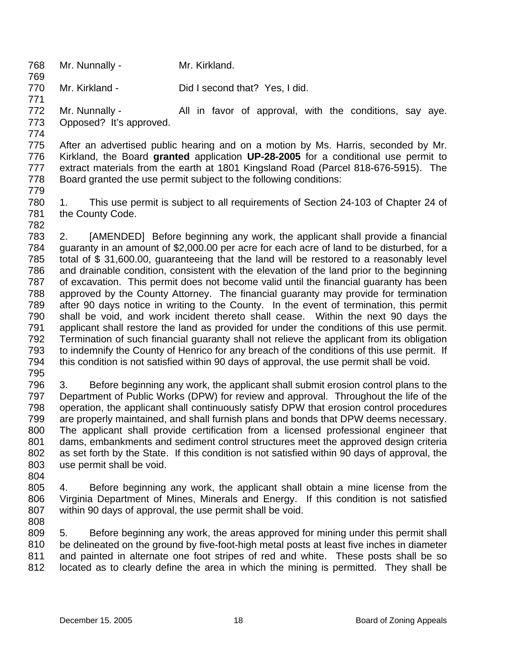- 768 769 Mr. Nunnally - Mr. Kirkland.
- 770 Mr. Kirkland - Did I second that? Yes, I did.
- 772

773 Mr. Nunnally - The All in favor of approval, with the conditions, say ave. Opposed? It's approved.

774

771

775 776 777 778 After an advertised public hearing and on a motion by Ms. Harris, seconded by Mr. Kirkland, the Board **granted** application **UP-28-2005** for a conditional use permit to extract materials from the earth at 1801 Kingsland Road (Parcel 818-676-5915). The Board granted the use permit subject to the following conditions:

779

780 781 1. This use permit is subject to all requirements of Section 24-103 of Chapter 24 of the County Code.

782

783 784 785 786 787 788 789 790 791 792 793 794 2. [AMENDED] Before beginning any work, the applicant shall provide a financial guaranty in an amount of \$2,000.00 per acre for each acre of land to be disturbed, for a total of \$ 31,600.00, guaranteeing that the land will be restored to a reasonably level and drainable condition, consistent with the elevation of the land prior to the beginning of excavation. This permit does not become valid until the financial guaranty has been approved by the County Attorney. The financial guaranty may provide for termination after 90 days notice in writing to the County. In the event of termination, this permit shall be void, and work incident thereto shall cease. Within the next 90 days the applicant shall restore the land as provided for under the conditions of this use permit. Termination of such financial guaranty shall not relieve the applicant from its obligation to indemnify the County of Henrico for any breach of the conditions of this use permit. If this condition is not satisfied within 90 days of approval, the use permit shall be void.

795

796 797 798 799 800 801 802 803 3. Before beginning any work, the applicant shall submit erosion control plans to the Department of Public Works (DPW) for review and approval. Throughout the life of the operation, the applicant shall continuously satisfy DPW that erosion control procedures are properly maintained, and shall furnish plans and bonds that DPW deems necessary. The applicant shall provide certification from a licensed professional engineer that dams, embankments and sediment control structures meet the approved design criteria as set forth by the State. If this condition is not satisfied within 90 days of approval, the use permit shall be void.

804

805 806 807 4. Before beginning any work, the applicant shall obtain a mine license from the Virginia Department of Mines, Minerals and Energy. If this condition is not satisfied within 90 days of approval, the use permit shall be void.

808

809 810 811 812 5. Before beginning any work, the areas approved for mining under this permit shall be delineated on the ground by five-foot-high metal posts at least five inches in diameter and painted in alternate one foot stripes of red and white. These posts shall be so located as to clearly define the area in which the mining is permitted. They shall be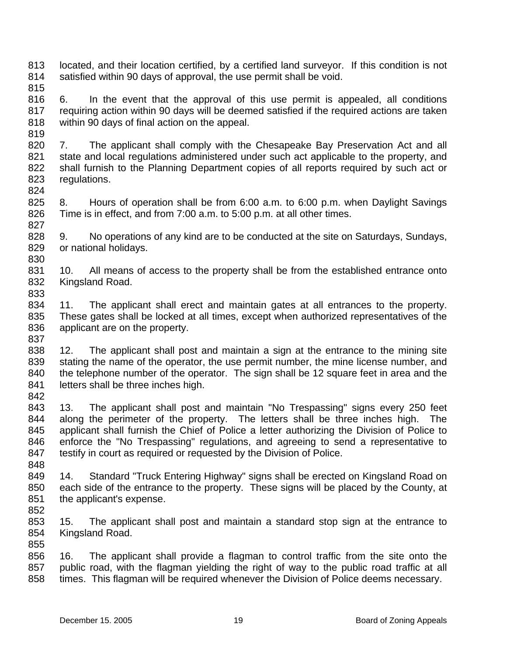- 813 814 located, and their location certified, by a certified land surveyor. If this condition is not satisfied within 90 days of approval, the use permit shall be void.
- 815

819

824

830

833

816 817 818 6. In the event that the approval of this use permit is appealed, all conditions requiring action within 90 days will be deemed satisfied if the required actions are taken within 90 days of final action on the appeal.

820 821 822 823 7. The applicant shall comply with the Chesapeake Bay Preservation Act and all state and local regulations administered under such act applicable to the property, and shall furnish to the Planning Department copies of all reports required by such act or regulations.

- 825 826 827 8. Hours of operation shall be from 6:00 a.m. to 6:00 p.m. when Daylight Savings Time is in effect, and from 7:00 a.m. to 5:00 p.m. at all other times.
- 828 829 9. No operations of any kind are to be conducted at the site on Saturdays, Sundays, or national holidays.
- 831 832 10. All means of access to the property shall be from the established entrance onto Kingsland Road.
- 834 835 836 837 11. The applicant shall erect and maintain gates at all entrances to the property. These gates shall be locked at all times, except when authorized representatives of the applicant are on the property.
- 838 839 840 841 842 12. The applicant shall post and maintain a sign at the entrance to the mining site stating the name of the operator, the use permit number, the mine license number, and the telephone number of the operator. The sign shall be 12 square feet in area and the letters shall be three inches high.
- 843 844 845 846 847 13. The applicant shall post and maintain "No Trespassing" signs every 250 feet along the perimeter of the property. The letters shall be three inches high. The applicant shall furnish the Chief of Police a letter authorizing the Division of Police to enforce the "No Trespassing" regulations, and agreeing to send a representative to testify in court as required or requested by the Division of Police.
- 849 850 851 14. Standard "Truck Entering Highway" signs shall be erected on Kingsland Road on each side of the entrance to the property. These signs will be placed by the County, at the applicant's expense.
- 852

- 853 854 855 15. The applicant shall post and maintain a standard stop sign at the entrance to Kingsland Road.
- 856 857 858 16. The applicant shall provide a flagman to control traffic from the site onto the public road, with the flagman yielding the right of way to the public road traffic at all times. This flagman will be required whenever the Division of Police deems necessary.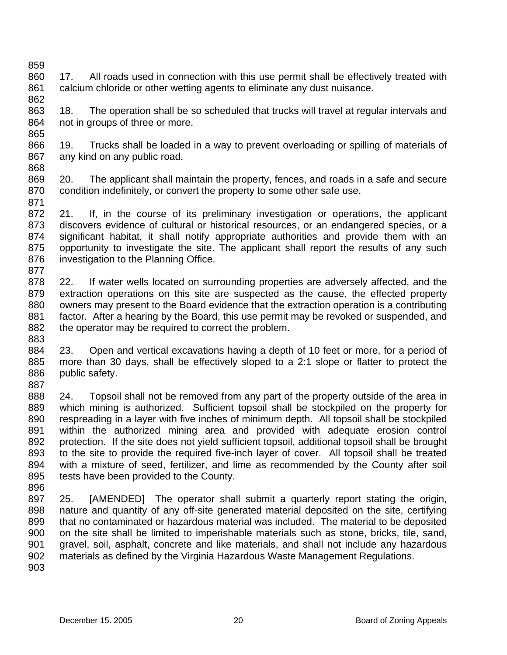- 859 860 861 862 17. All roads used in connection with this use permit shall be effectively treated with calcium chloride or other wetting agents to eliminate any dust nuisance.
- 863 864 865 18. The operation shall be so scheduled that trucks will travel at regular intervals and not in groups of three or more.
- 866 867 868 19. Trucks shall be loaded in a way to prevent overloading or spilling of materials of any kind on any public road.
- 869 870 871 20. The applicant shall maintain the property, fences, and roads in a safe and secure condition indefinitely, or convert the property to some other safe use.
- 872 873 874 875 876 877 21. If, in the course of its preliminary investigation or operations, the applicant discovers evidence of cultural or historical resources, or an endangered species, or a significant habitat, it shall notify appropriate authorities and provide them with an opportunity to investigate the site. The applicant shall report the results of any such investigation to the Planning Office.
- 878 879 880 881 882 883 22. If water wells located on surrounding properties are adversely affected, and the extraction operations on this site are suspected as the cause, the effected property owners may present to the Board evidence that the extraction operation is a contributing factor. After a hearing by the Board, this use permit may be revoked or suspended, and the operator may be required to correct the problem.
- 884 885 886 887 23. Open and vertical excavations having a depth of 10 feet or more, for a period of more than 30 days, shall be effectively sloped to a 2:1 slope or flatter to protect the public safety.
- 888 889 890 891 892 893 894 895 24. Topsoil shall not be removed from any part of the property outside of the area in which mining is authorized. Sufficient topsoil shall be stockpiled on the property for respreading in a layer with five inches of minimum depth. All topsoil shall be stockpiled within the authorized mining area and provided with adequate erosion control protection. If the site does not yield sufficient topsoil, additional topsoil shall be brought to the site to provide the required five-inch layer of cover. All topsoil shall be treated with a mixture of seed, fertilizer, and lime as recommended by the County after soil tests have been provided to the County.
- 896 897 898 899 900 901 902 903 25. [AMENDED] The operator shall submit a quarterly report stating the origin, nature and quantity of any off-site generated material deposited on the site, certifying that no contaminated or hazardous material was included. The material to be deposited on the site shall be limited to imperishable materials such as stone, bricks, tile, sand, gravel, soil, asphalt, concrete and like materials, and shall not include any hazardous materials as defined by the Virginia Hazardous Waste Management Regulations.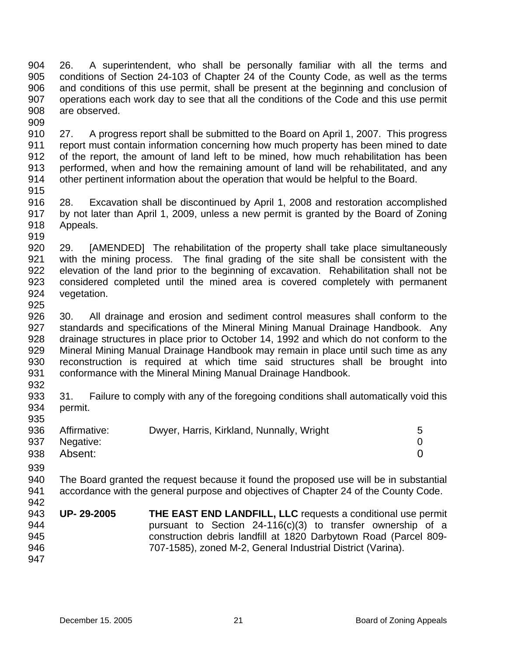904 905 906 907 908 909 26. A superintendent, who shall be personally familiar with all the terms and conditions of Section 24-103 of Chapter 24 of the County Code, as well as the terms and conditions of this use permit, shall be present at the beginning and conclusion of operations each work day to see that all the conditions of the Code and this use permit are observed.

910 911 912 913 914 27. A progress report shall be submitted to the Board on April 1, 2007. This progress report must contain information concerning how much property has been mined to date of the report, the amount of land left to be mined, how much rehabilitation has been performed, when and how the remaining amount of land will be rehabilitated, and any other pertinent information about the operation that would be helpful to the Board.

915

916 917 918 919 28. Excavation shall be discontinued by April 1, 2008 and restoration accomplished by not later than April 1, 2009, unless a new permit is granted by the Board of Zoning Appeals.

920 921 922 923 924 925 29. [AMENDED] The rehabilitation of the property shall take place simultaneously with the mining process. The final grading of the site shall be consistent with the elevation of the land prior to the beginning of excavation. Rehabilitation shall not be considered completed until the mined area is covered completely with permanent vegetation.

926 927 928 929 930 931 30. All drainage and erosion and sediment control measures shall conform to the standards and specifications of the Mineral Mining Manual Drainage Handbook. Any drainage structures in place prior to October 14, 1992 and which do not conform to the Mineral Mining Manual Drainage Handbook may remain in place until such time as any reconstruction is required at which time said structures shall be brought into conformance with the Mineral Mining Manual Drainage Handbook.

932

933 934 935 31. Failure to comply with any of the foregoing conditions shall automatically void this permit.

| 936 | Affirmative: | Dwyer, Harris, Kirkland, Nunnally, Wright |  |
|-----|--------------|-------------------------------------------|--|
| 937 | Negative:    |                                           |  |
| 938 | Absent:      |                                           |  |

939

940 941 942 The Board granted the request because it found the proposed use will be in substantial accordance with the general purpose and objectives of Chapter 24 of the County Code.

943 944 945 946 947 **UP- 29-2005 THE EAST END LANDFILL, LLC** requests a conditional use permit pursuant to Section 24-116(c)(3) to transfer ownership of a construction debris landfill at 1820 Darbytown Road (Parcel 809- 707-1585), zoned M-2, General Industrial District (Varina).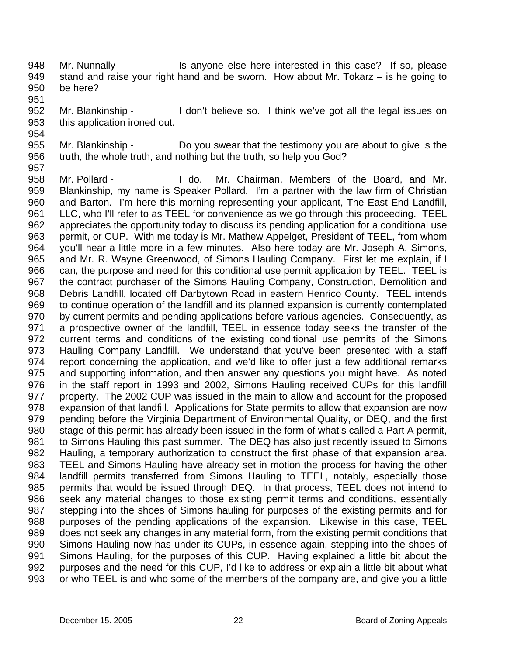- 948 949 950 Mr. Nunnally - Is anyone else here interested in this case? If so, please stand and raise your right hand and be sworn. How about Mr. Tokarz – is he going to be here?
- 952 953 Mr. Blankinship - I don't believe so. I think we've got all the legal issues on this application ironed out.
- 955 956 Mr. Blankinship - Do you swear that the testimony you are about to give is the truth, the whole truth, and nothing but the truth, so help you God?
- 958 959 960 961 962 963 964 965 966 967 968 969 970 971 972 973 974 975 976 977 978 979 980 981 982 983 984 985 986 987 988 989 990 991 992 993 Mr. Pollard - The Mr. Chairman, Members of the Board, and Mr. Blankinship, my name is Speaker Pollard. I'm a partner with the law firm of Christian and Barton. I'm here this morning representing your applicant, The East End Landfill, LLC, who I'll refer to as TEEL for convenience as we go through this proceeding. TEEL appreciates the opportunity today to discuss its pending application for a conditional use permit, or CUP. With me today is Mr. Mathew Appelget, President of TEEL, from whom you'll hear a little more in a few minutes. Also here today are Mr. Joseph A. Simons, and Mr. R. Wayne Greenwood, of Simons Hauling Company. First let me explain, if I can, the purpose and need for this conditional use permit application by TEEL. TEEL is the contract purchaser of the Simons Hauling Company, Construction, Demolition and Debris Landfill, located off Darbytown Road in eastern Henrico County. TEEL intends to continue operation of the landfill and its planned expansion is currently contemplated by current permits and pending applications before various agencies. Consequently, as a prospective owner of the landfill, TEEL in essence today seeks the transfer of the current terms and conditions of the existing conditional use permits of the Simons Hauling Company Landfill. We understand that you've been presented with a staff report concerning the application, and we'd like to offer just a few additional remarks and supporting information, and then answer any questions you might have. As noted in the staff report in 1993 and 2002, Simons Hauling received CUPs for this landfill property. The 2002 CUP was issued in the main to allow and account for the proposed expansion of that landfill. Applications for State permits to allow that expansion are now pending before the Virginia Department of Environmental Quality, or DEQ, and the first stage of this permit has already been issued in the form of what's called a Part A permit, to Simons Hauling this past summer. The DEQ has also just recently issued to Simons Hauling, a temporary authorization to construct the first phase of that expansion area. TEEL and Simons Hauling have already set in motion the process for having the other landfill permits transferred from Simons Hauling to TEEL, notably, especially those permits that would be issued through DEQ. In that process, TEEL does not intend to seek any material changes to those existing permit terms and conditions, essentially stepping into the shoes of Simons hauling for purposes of the existing permits and for purposes of the pending applications of the expansion. Likewise in this case, TEEL does not seek any changes in any material form, from the existing permit conditions that Simons Hauling now has under its CUPs, in essence again, stepping into the shoes of Simons Hauling, for the purposes of this CUP. Having explained a little bit about the purposes and the need for this CUP, I'd like to address or explain a little bit about what or who TEEL is and who some of the members of the company are, and give you a little

951

954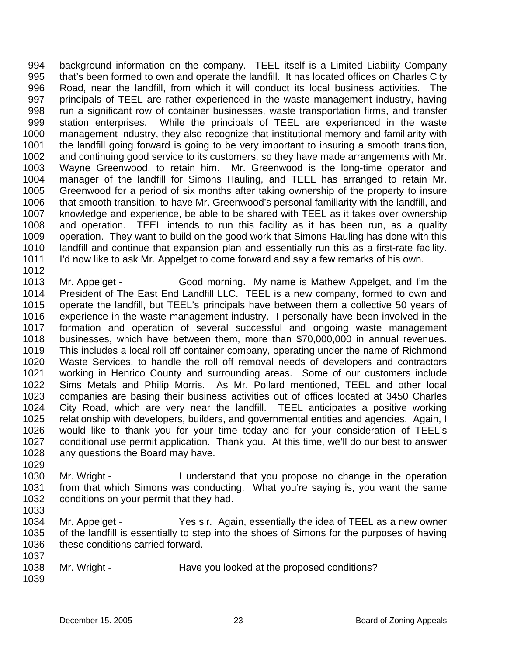994 995 996 997 998 999 1000 1001 1002 1003 1004 1005 1006 1007 1008 1009 1010 1011 background information on the company. TEEL itself is a Limited Liability Company that's been formed to own and operate the landfill. It has located offices on Charles City Road, near the landfill, from which it will conduct its local business activities. The principals of TEEL are rather experienced in the waste management industry, having run a significant row of container businesses, waste transportation firms, and transfer station enterprises. While the principals of TEEL are experienced in the waste management industry, they also recognize that institutional memory and familiarity with the landfill going forward is going to be very important to insuring a smooth transition, and continuing good service to its customers, so they have made arrangements with Mr. Wayne Greenwood, to retain him. Mr. Greenwood is the long-time operator and manager of the landfill for Simons Hauling, and TEEL has arranged to retain Mr. Greenwood for a period of six months after taking ownership of the property to insure that smooth transition, to have Mr. Greenwood's personal familiarity with the landfill, and knowledge and experience, be able to be shared with TEEL as it takes over ownership and operation. TEEL intends to run this facility as it has been run, as a quality operation. They want to build on the good work that Simons Hauling has done with this landfill and continue that expansion plan and essentially run this as a first-rate facility. I'd now like to ask Mr. Appelget to come forward and say a few remarks of his own.

1013 1014 1015 1016 1017 1018 1019 1020 1021 1022 1023 1024 1025 1026 1027 1028 Mr. Appelget - Good morning. My name is Mathew Appelget, and I'm the President of The East End Landfill LLC. TEEL is a new company, formed to own and operate the landfill, but TEEL's principals have between them a collective 50 years of experience in the waste management industry. I personally have been involved in the formation and operation of several successful and ongoing waste management businesses, which have between them, more than \$70,000,000 in annual revenues. This includes a local roll off container company, operating under the name of Richmond Waste Services, to handle the roll off removal needs of developers and contractors working in Henrico County and surrounding areas. Some of our customers include Sims Metals and Philip Morris. As Mr. Pollard mentioned, TEEL and other local companies are basing their business activities out of offices located at 3450 Charles City Road, which are very near the landfill. TEEL anticipates a positive working relationship with developers, builders, and governmental entities and agencies. Again, I would like to thank you for your time today and for your consideration of TEEL's conditional use permit application. Thank you. At this time, we'll do our best to answer any questions the Board may have.

- 1029 1030 1031 1032 Mr. Wright - I understand that you propose no change in the operation from that which Simons was conducting. What you're saying is, you want the same conditions on your permit that they had.
- 1033

1012

1034 1035 1036 1037 Mr. Appelget - Yes sir. Again, essentially the idea of TEEL as a new owner of the landfill is essentially to step into the shoes of Simons for the purposes of having these conditions carried forward.

1038 Mr. Wright - Have you looked at the proposed conditions?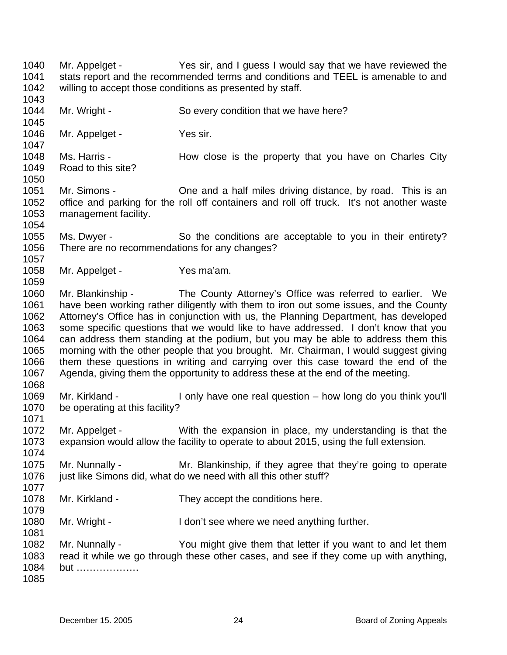1040 1041 1042 1043 1044 1045 1046 1047 1048 1049 1050 1051 1052 1053 1054 1055 1056 1057 1058 1059 1060 1061 1062 1063 1064 1065 1066 1067 1068 1069 1070 1071 1072 1073 1074 1075 1076 1077 1078 1079 1080 1081 1082 1083 1084 1085 Mr. Appelget - Yes sir, and I guess I would say that we have reviewed the stats report and the recommended terms and conditions and TEEL is amenable to and willing to accept those conditions as presented by staff. Mr. Wright - So every condition that we have here? Mr. Appelget - Yes sir. Ms. Harris - The How close is the property that you have on Charles City Road to this site? Mr. Simons - Che and a half miles driving distance, by road. This is an office and parking for the roll off containers and roll off truck. It's not another waste management facility. Ms. Dwyer - So the conditions are acceptable to you in their entirety? There are no recommendations for any changes? Mr. Appelget - Yes ma'am. Mr. Blankinship - The County Attorney's Office was referred to earlier. We have been working rather diligently with them to iron out some issues, and the County Attorney's Office has in conjunction with us, the Planning Department, has developed some specific questions that we would like to have addressed. I don't know that you can address them standing at the podium, but you may be able to address them this morning with the other people that you brought. Mr. Chairman, I would suggest giving them these questions in writing and carrying over this case toward the end of the Agenda, giving them the opportunity to address these at the end of the meeting. Mr. Kirkland - I only have one real question – how long do you think you'll be operating at this facility? Mr. Appelget - With the expansion in place, my understanding is that the expansion would allow the facility to operate to about 2015, using the full extension. Mr. Nunnally - Mr. Blankinship, if they agree that they're going to operate just like Simons did, what do we need with all this other stuff? Mr. Kirkland - They accept the conditions here. Mr. Wright - I don't see where we need anything further. Mr. Nunnally - You might give them that letter if you want to and let them read it while we go through these other cases, and see if they come up with anything, but ……………….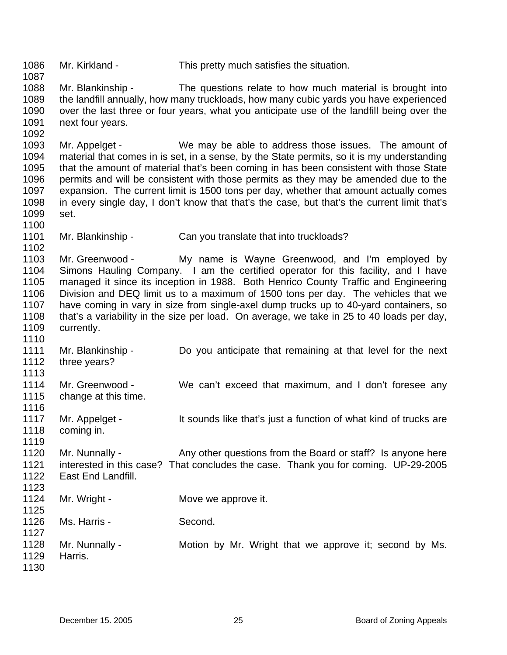1086 1087 1088 1089 1090 1091 1092 1093 1094 1095 1096 1097 1098 1099 1100 1101 1102 1103 1104 1105 1106 1107 1108 1109 1110 1111 1112 1113 1114 1115 1116 1117 1118 1119 1120 1121 1122 1123 1124 1125 1126 1127 1128 1129 1130 Mr. Kirkland - This pretty much satisfies the situation. Mr. Blankinship - The questions relate to how much material is brought into the landfill annually, how many truckloads, how many cubic yards you have experienced over the last three or four years, what you anticipate use of the landfill being over the next four years. Mr. Appelget - We may be able to address those issues. The amount of material that comes in is set, in a sense, by the State permits, so it is my understanding that the amount of material that's been coming in has been consistent with those State permits and will be consistent with those permits as they may be amended due to the expansion. The current limit is 1500 tons per day, whether that amount actually comes in every single day, I don't know that that's the case, but that's the current limit that's set. Mr. Blankinship - Can you translate that into truckloads? Mr. Greenwood - My name is Wayne Greenwood, and I'm employed by Simons Hauling Company. I am the certified operator for this facility, and I have managed it since its inception in 1988. Both Henrico County Traffic and Engineering Division and DEQ limit us to a maximum of 1500 tons per day. The vehicles that we have coming in vary in size from single-axel dump trucks up to 40-yard containers, so that's a variability in the size per load. On average, we take in 25 to 40 loads per day, currently. Mr. Blankinship - Do you anticipate that remaining at that level for the next three years? Mr. Greenwood - We can't exceed that maximum, and I don't foresee any change at this time. Mr. Appelget - It sounds like that's just a function of what kind of trucks are coming in. Mr. Nunnally - Any other questions from the Board or staff? Is anyone here interested in this case? That concludes the case. Thank you for coming. UP-29-2005 East End Landfill. Mr. Wright - **Move we approve it.** Ms. Harris - Second. Mr. Nunnally - **Motion by Mr. Wright that we approve it**; second by Ms. Harris.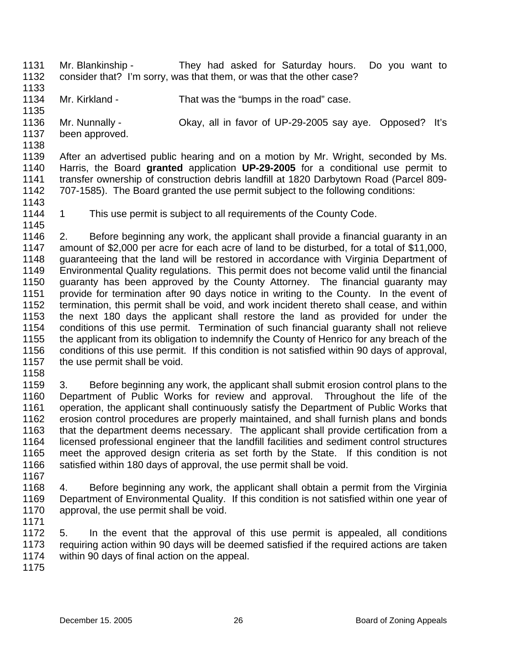- 1131 1132 Mr. Blankinship - They had asked for Saturday hours. Do you want to consider that? I'm sorry, was that them, or was that the other case?
- 1133
- 1134 Mr. Kirkland - That was the "bumps in the road" case.
- 1135 Mr. Nunnally - Okay, all in favor of UP-29-2005 say aye. Opposed? It's
- 1136 been approved.
- 1137 1138

1139 1140 1141 1142 After an advertised public hearing and on a motion by Mr. Wright, seconded by Ms. Harris, the Board **granted** application **UP-29-2005** for a conditional use permit to transfer ownership of construction debris landfill at 1820 Darbytown Road (Parcel 809- 707-1585). The Board granted the use permit subject to the following conditions:

- 1143
- 1144 1145 1 This use permit is subject to all requirements of the County Code.

1146 1147 1148 1149 1150 1151 1152 1153 1154 1155 1156 1157 2. Before beginning any work, the applicant shall provide a financial guaranty in an amount of \$2,000 per acre for each acre of land to be disturbed, for a total of \$11,000, guaranteeing that the land will be restored in accordance with Virginia Department of Environmental Quality regulations. This permit does not become valid until the financial guaranty has been approved by the County Attorney. The financial guaranty may provide for termination after 90 days notice in writing to the County. In the event of termination, this permit shall be void, and work incident thereto shall cease, and within the next 180 days the applicant shall restore the land as provided for under the conditions of this use permit. Termination of such financial guaranty shall not relieve the applicant from its obligation to indemnify the County of Henrico for any breach of the conditions of this use permit. If this condition is not satisfied within 90 days of approval, the use permit shall be void.

1158

1159 1160 1161 1162 1163 1164 1165 1166 1167 3. Before beginning any work, the applicant shall submit erosion control plans to the Department of Public Works for review and approval. Throughout the life of the operation, the applicant shall continuously satisfy the Department of Public Works that erosion control procedures are properly maintained, and shall furnish plans and bonds that the department deems necessary. The applicant shall provide certification from a licensed professional engineer that the landfill facilities and sediment control structures meet the approved design criteria as set forth by the State. If this condition is not satisfied within 180 days of approval, the use permit shall be void.

1168 1169 1170 4. Before beginning any work, the applicant shall obtain a permit from the Virginia Department of Environmental Quality. If this condition is not satisfied within one year of approval, the use permit shall be void.

1171

1172 1173 1174 5. In the event that the approval of this use permit is appealed, all conditions requiring action within 90 days will be deemed satisfied if the required actions are taken within 90 days of final action on the appeal.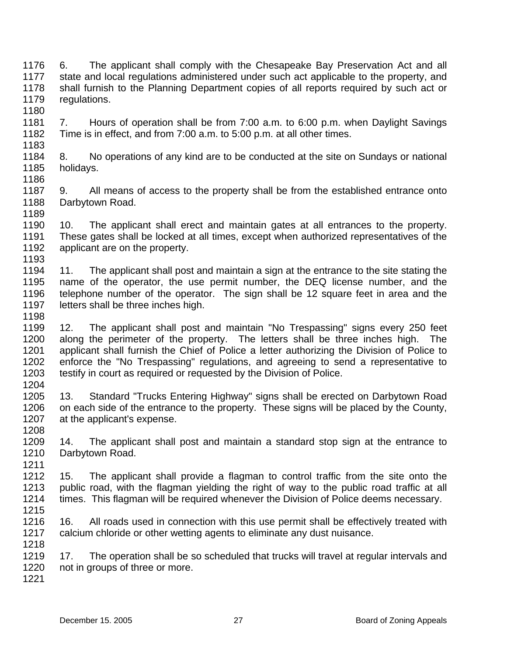1176 1177 1178 1179 1180 1181 1182 1183 1184 1185 6. The applicant shall comply with the Chesapeake Bay Preservation Act and all state and local regulations administered under such act applicable to the property, and shall furnish to the Planning Department copies of all reports required by such act or regulations. 7. Hours of operation shall be from 7:00 a.m. to 6:00 p.m. when Daylight Savings Time is in effect, and from 7:00 a.m. to 5:00 p.m. at all other times. 8. No operations of any kind are to be conducted at the site on Sundays or national holidays.

1187 1188 1189 9. All means of access to the property shall be from the established entrance onto Darbytown Road.

1190 1191 1192 1193 10. The applicant shall erect and maintain gates at all entrances to the property. These gates shall be locked at all times, except when authorized representatives of the applicant are on the property.

1194 1195 1196 1197 11. The applicant shall post and maintain a sign at the entrance to the site stating the name of the operator, the use permit number, the DEQ license number, and the telephone number of the operator. The sign shall be 12 square feet in area and the letters shall be three inches high.

1199 1200 1201 1202 1203 1204 12. The applicant shall post and maintain "No Trespassing" signs every 250 feet along the perimeter of the property. The letters shall be three inches high. The applicant shall furnish the Chief of Police a letter authorizing the Division of Police to enforce the "No Trespassing" regulations, and agreeing to send a representative to testify in court as required or requested by the Division of Police.

1205 1206 1207 1208 13. Standard "Trucks Entering Highway" signs shall be erected on Darbytown Road on each side of the entrance to the property. These signs will be placed by the County, at the applicant's expense.

1209 1210 1211 14. The applicant shall post and maintain a standard stop sign at the entrance to Darbytown Road.

1212 1213 1214 1215 15. The applicant shall provide a flagman to control traffic from the site onto the public road, with the flagman yielding the right of way to the public road traffic at all times. This flagman will be required whenever the Division of Police deems necessary.

1216 1217 16. All roads used in connection with this use permit shall be effectively treated with calcium chloride or other wetting agents to eliminate any dust nuisance.

1219 1220 17. The operation shall be so scheduled that trucks will travel at regular intervals and not in groups of three or more.

1221

1218

1186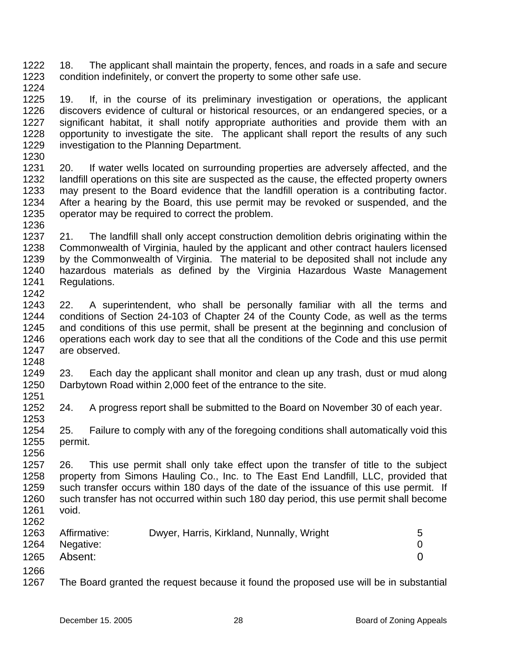1222 1223 1224 18. The applicant shall maintain the property, fences, and roads in a safe and secure condition indefinitely, or convert the property to some other safe use.

1225 1226 1227 1228 1229 19. If, in the course of its preliminary investigation or operations, the applicant discovers evidence of cultural or historical resources, or an endangered species, or a significant habitat, it shall notify appropriate authorities and provide them with an opportunity to investigate the site. The applicant shall report the results of any such investigation to the Planning Department.

1230

1248

1231 1232 1233 1234 1235 1236 20. If water wells located on surrounding properties are adversely affected, and the landfill operations on this site are suspected as the cause, the effected property owners may present to the Board evidence that the landfill operation is a contributing factor. After a hearing by the Board, this use permit may be revoked or suspended, and the operator may be required to correct the problem.

- 1237 1238 1239 1240 1241 1242 21. The landfill shall only accept construction demolition debris originating within the Commonwealth of Virginia, hauled by the applicant and other contract haulers licensed by the Commonwealth of Virginia. The material to be deposited shall not include any hazardous materials as defined by the Virginia Hazardous Waste Management Regulations.
- 1243 1244 1245 1246 1247 22. A superintendent, who shall be personally familiar with all the terms and conditions of Section 24-103 of Chapter 24 of the County Code, as well as the terms and conditions of this use permit, shall be present at the beginning and conclusion of operations each work day to see that all the conditions of the Code and this use permit are observed.
- 1249 1250 1251 23. Each day the applicant shall monitor and clean up any trash, dust or mud along Darbytown Road within 2,000 feet of the entrance to the site.
- 1252 1253 24. A progress report shall be submitted to the Board on November 30 of each year.
- 1254 1255 1256 25. Failure to comply with any of the foregoing conditions shall automatically void this permit.

1257 1258 1259 1260 1261 26. This use permit shall only take effect upon the transfer of title to the subject property from Simons Hauling Co., Inc. to The East End Landfill, LLC, provided that such transfer occurs within 180 days of the date of the issuance of this use permit. If such transfer has not occurred within such 180 day period, this use permit shall become void.

| 1263 | Affirmative:   | Dwyer, Harris, Kirkland, Nunnally, Wright |  |
|------|----------------|-------------------------------------------|--|
|      | 1264 Negative: |                                           |  |
|      | 1265 Absent:   |                                           |  |

1266

1262

1267 The Board granted the request because it found the proposed use will be in substantial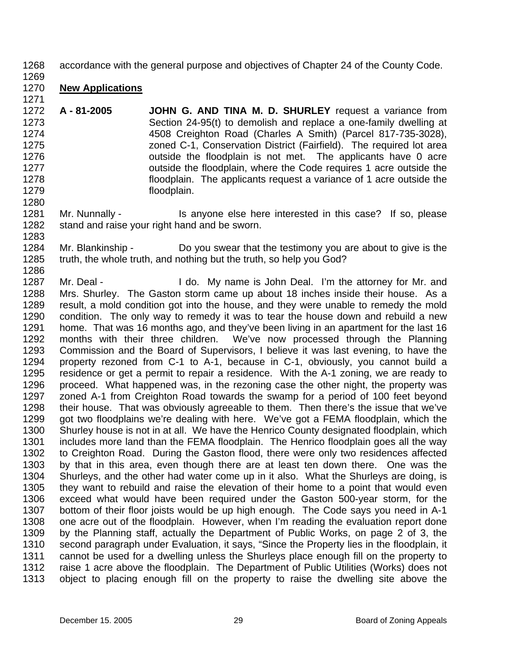- 1268 accordance with the general purpose and objectives of Chapter 24 of the County Code.
- 1269

1280

1283

## 1270 **New Applications** 1271

- 1272 1273 1274 1275 1276 1277 1278 1279 **A - 81-2005 JOHN G. AND TINA M. D. SHURLEY** request a variance from Section 24-95(t) to demolish and replace a one-family dwelling at 4508 Creighton Road (Charles A Smith) (Parcel 817-735-3028), zoned C-1, Conservation District (Fairfield). The required lot area outside the floodplain is not met. The applicants have 0 acre outside the floodplain, where the Code requires 1 acre outside the floodplain. The applicants request a variance of 1 acre outside the floodplain.
- 1281 1282 Mr. Nunnally - Is anyone else here interested in this case? If so, please stand and raise your right hand and be sworn.
- 1284 1285 1286 Mr. Blankinship - Do you swear that the testimony you are about to give is the truth, the whole truth, and nothing but the truth, so help you God?
- 1287 1288 1289 1290 1291 1292 1293 1294 1295 1296 1297 1298 1299 1300 1301 1302 1303 1304 1305 1306 1307 1308 1309 1310 1311 1312 1313 Mr. Deal - I do. My name is John Deal. I'm the attorney for Mr. and Mrs. Shurley. The Gaston storm came up about 18 inches inside their house. As a result, a mold condition got into the house, and they were unable to remedy the mold condition. The only way to remedy it was to tear the house down and rebuild a new home. That was 16 months ago, and they've been living in an apartment for the last 16 months with their three children. We've now processed through the Planning Commission and the Board of Supervisors, I believe it was last evening, to have the property rezoned from C-1 to A-1, because in C-1, obviously, you cannot build a residence or get a permit to repair a residence. With the A-1 zoning, we are ready to proceed. What happened was, in the rezoning case the other night, the property was zoned A-1 from Creighton Road towards the swamp for a period of 100 feet beyond their house. That was obviously agreeable to them. Then there's the issue that we've got two floodplains we're dealing with here. We've got a FEMA floodplain, which the Shurley house is not in at all. We have the Henrico County designated floodplain, which includes more land than the FEMA floodplain. The Henrico floodplain goes all the way to Creighton Road. During the Gaston flood, there were only two residences affected by that in this area, even though there are at least ten down there. One was the Shurleys, and the other had water come up in it also. What the Shurleys are doing, is they want to rebuild and raise the elevation of their home to a point that would even exceed what would have been required under the Gaston 500-year storm, for the bottom of their floor joists would be up high enough. The Code says you need in A-1 one acre out of the floodplain. However, when I'm reading the evaluation report done by the Planning staff, actually the Department of Public Works, on page 2 of 3, the second paragraph under Evaluation, it says, "Since the Property lies in the floodplain, it cannot be used for a dwelling unless the Shurleys place enough fill on the property to raise 1 acre above the floodplain. The Department of Public Utilities (Works) does not object to placing enough fill on the property to raise the dwelling site above the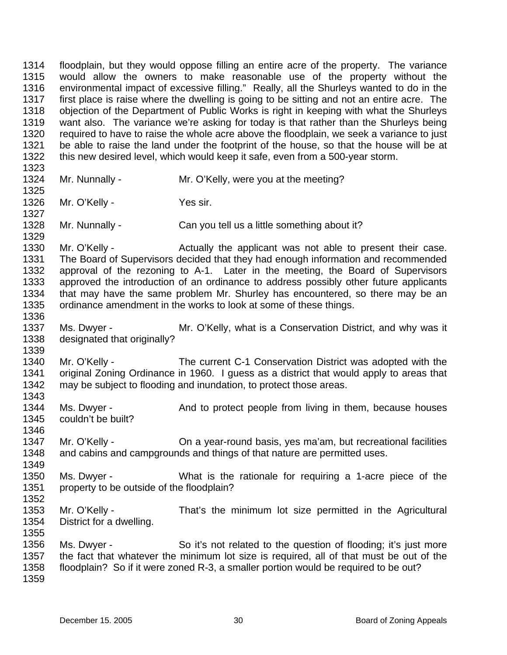1314 1315 1316 1317 1318 1319 1320 1321 1322 1323 1324 1325 1326 1327 1328 1329 1330 1331 1332 1333 1334 1335 1336 1337 1338 1339 1340 1341 1342 1343 1344 1345 1346 1347 1348 1349 1350 1351 1352 1353 1354 1355 1356 1357 1358 1359 floodplain, but they would oppose filling an entire acre of the property. The variance would allow the owners to make reasonable use of the property without the environmental impact of excessive filling." Really, all the Shurleys wanted to do in the first place is raise where the dwelling is going to be sitting and not an entire acre. The objection of the Department of Public Works is right in keeping with what the Shurleys want also. The variance we're asking for today is that rather than the Shurleys being required to have to raise the whole acre above the floodplain, we seek a variance to just be able to raise the land under the footprint of the house, so that the house will be at this new desired level, which would keep it safe, even from a 500-year storm. Mr. Nunnally - Mr. O'Kelly, were you at the meeting? Mr. O'Kelly - Yes sir. Mr. Nunnally - Can you tell us a little something about it? Mr. O'Kelly - **Actually the applicant was not able to present their case.** The Board of Supervisors decided that they had enough information and recommended approval of the rezoning to A-1. Later in the meeting, the Board of Supervisors approved the introduction of an ordinance to address possibly other future applicants that may have the same problem Mr. Shurley has encountered, so there may be an ordinance amendment in the works to look at some of these things. Ms. Dwyer - Mr. O'Kelly, what is a Conservation District, and why was it designated that originally? Mr. O'Kelly - The current C-1 Conservation District was adopted with the original Zoning Ordinance in 1960. I guess as a district that would apply to areas that may be subject to flooding and inundation, to protect those areas. Ms. Dwyer - And to protect people from living in them, because houses couldn't be built? Mr. O'Kelly - Cha year-round basis, yes ma'am, but recreational facilities and cabins and campgrounds and things of that nature are permitted uses. Ms. Dwyer - **What is the rationale for requiring a 1-acre piece of the** property to be outside of the floodplain? Mr. O'Kelly - That's the minimum lot size permitted in the Agricultural District for a dwelling. Ms. Dwyer - So it's not related to the question of flooding; it's just more the fact that whatever the minimum lot size is required, all of that must be out of the floodplain? So if it were zoned R-3, a smaller portion would be required to be out?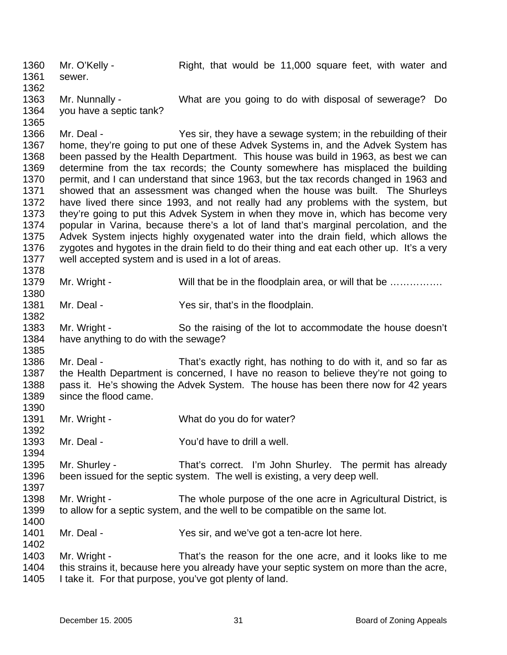1360 1361 1362 Mr. O'Kelly - Right, that would be 11,000 square feet, with water and sewer.

1363 1364 Mr. Nunnally - What are you going to do with disposal of sewerage? Do you have a septic tank?

1366 1367 1368 1369 1370 1371 1372 1373 1374 1375 1376 1377 1378 Mr. Deal - Yes sir, they have a sewage system; in the rebuilding of their home, they're going to put one of these Advek Systems in, and the Advek System has been passed by the Health Department. This house was build in 1963, as best we can determine from the tax records; the County somewhere has misplaced the building permit, and I can understand that since 1963, but the tax records changed in 1963 and showed that an assessment was changed when the house was built. The Shurleys have lived there since 1993, and not really had any problems with the system, but they're going to put this Advek System in when they move in, which has become very popular in Varina, because there's a lot of land that's marginal percolation, and the Advek System injects highly oxygenated water into the drain field, which allows the zygotes and hygotes in the drain field to do their thing and eat each other up. It's a very well accepted system and is used in a lot of areas.

- 1379 Mr. Wright - Will that be in the floodplain area, or will that be ...............
- 1381 Mr. Deal - Yes sir, that's in the floodplain.
- 1383 1384 Mr. Wright - So the raising of the lot to accommodate the house doesn't have anything to do with the sewage?
- 1386 1387 1388 1389 Mr. Deal - That's exactly right, has nothing to do with it, and so far as the Health Department is concerned, I have no reason to believe they're not going to pass it. He's showing the Advek System. The house has been there now for 42 years since the flood came.
- 1391 Mr. Wright - What do you do for water?
- 1393 Mr. Deal - The Could have to drill a well.
- 1395 1396 Mr. Shurley - That's correct. I'm John Shurley. The permit has already been issued for the septic system. The well is existing, a very deep well.
- 1398 1399 Mr. Wright - The whole purpose of the one acre in Agricultural District, is to allow for a septic system, and the well to be compatible on the same lot.
- 1401 Mr. Deal - Yes sir, and we've got a ten-acre lot here.
- 1403 1404 1405 Mr. Wright - That's the reason for the one acre, and it looks like to me this strains it, because here you already have your septic system on more than the acre, I take it. For that purpose, you've got plenty of land.

1365

1380

1382

1385

1390

1392

1394

1397

1400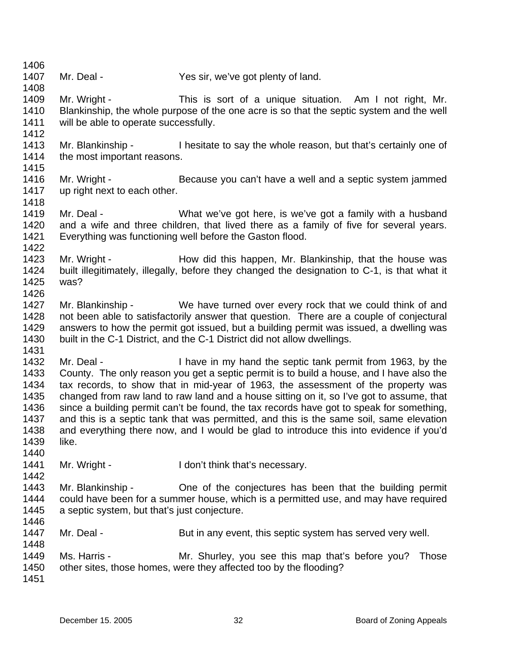- 1407 Mr. Deal - Yes sir, we've got plenty of land.
- 1408 1409 1410 1411 Mr. Wright - This is sort of a unique situation. Am I not right, Mr. Blankinship, the whole purpose of the one acre is so that the septic system and the well will be able to operate successfully.
- 1413 1414 1415 Mr. Blankinship - I hesitate to say the whole reason, but that's certainly one of the most important reasons.
- 1416 1417 Mr. Wright - Because you can't have a well and a septic system jammed up right next to each other.
- 1419 1420 1421 Mr. Deal - What we've got here, is we've got a family with a husband and a wife and three children, that lived there as a family of five for several years. Everything was functioning well before the Gaston flood.
- 1422 1423 1424 Mr. Wright - The How did this happen, Mr. Blankinship, that the house was built illegitimately, illegally, before they changed the designation to C-1, is that what it
- 1425 1426

was?

1406

1412

1418

- 1427 1428 1429 1430 Mr. Blankinship - We have turned over every rock that we could think of and not been able to satisfactorily answer that question. There are a couple of conjectural answers to how the permit got issued, but a building permit was issued, a dwelling was built in the C-1 District, and the C-1 District did not allow dwellings.
- 1431

1432 1433 1434 1435 1436 1437 1438 1439 1440 Mr. Deal - I have in my hand the septic tank permit from 1963, by the County. The only reason you get a septic permit is to build a house, and I have also the tax records, to show that in mid-year of 1963, the assessment of the property was changed from raw land to raw land and a house sitting on it, so I've got to assume, that since a building permit can't be found, the tax records have got to speak for something, and this is a septic tank that was permitted, and this is the same soil, same elevation and everything there now, and I would be glad to introduce this into evidence if you'd like.

- 1441 1442 Mr. Wright - I don't think that's necessary.
- 1443 1444 1445 Mr. Blankinship - One of the conjectures has been that the building permit could have been for a summer house, which is a permitted use, and may have required a septic system, but that's just conjecture.
- 1447 Mr. Deal - But in any event, this septic system has served very well.
- 1448 1449 1450 Ms. Harris - Those Mr. Shurley, you see this map that's before you? Those other sites, those homes, were they affected too by the flooding?
- 1451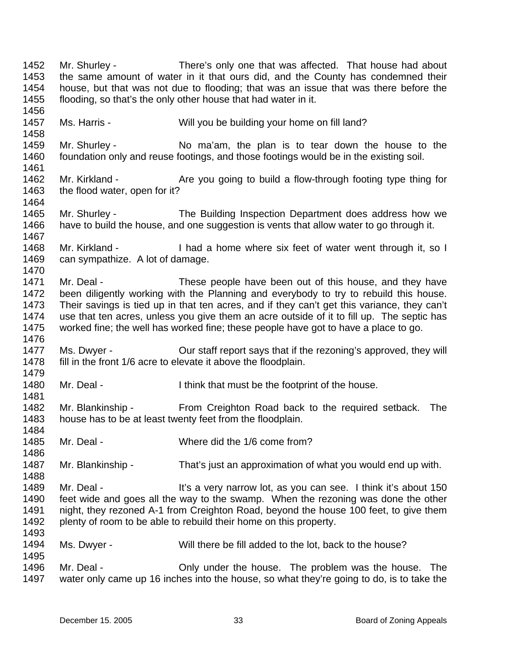1452 1453 1454 1455 1456 1457 1458 1459 1460 1461 1462 1463 1464 1465 1466 1467 1468 1469 1470 1471 1472 1473 1474 1475 1476 1477 1478 1479 1480 1481 1482 1483 1484 1485 1486 1487 1488 1489 1490 1491 1492 1493 1494 1495 1496 1497 Mr. Shurley - There's only one that was affected. That house had about the same amount of water in it that ours did, and the County has condemned their house, but that was not due to flooding; that was an issue that was there before the flooding, so that's the only other house that had water in it. Ms. Harris - Will you be building your home on fill land? Mr. Shurley - No ma'am, the plan is to tear down the house to the foundation only and reuse footings, and those footings would be in the existing soil. Mr. Kirkland - The Are you going to build a flow-through footing type thing for the flood water, open for it? Mr. Shurley - The Building Inspection Department does address how we have to build the house, and one suggestion is vents that allow water to go through it. Mr. Kirkland - Thad a home where six feet of water went through it, so I can sympathize. A lot of damage. Mr. Deal - These people have been out of this house, and they have been diligently working with the Planning and everybody to try to rebuild this house. Their savings is tied up in that ten acres, and if they can't get this variance, they can't use that ten acres, unless you give them an acre outside of it to fill up. The septic has worked fine; the well has worked fine; these people have got to have a place to go. Ms. Dwyer - Cur staff report says that if the rezoning's approved, they will fill in the front 1/6 acre to elevate it above the floodplain. Mr. Deal - Think that must be the footprint of the house. Mr. Blankinship - From Creighton Road back to the required setback. The house has to be at least twenty feet from the floodplain. Mr. Deal - Where did the 1/6 come from? Mr. Blankinship - That's just an approximation of what you would end up with. Mr. Deal - It's a very narrow lot, as you can see. I think it's about 150 feet wide and goes all the way to the swamp. When the rezoning was done the other night, they rezoned A-1 from Creighton Road, beyond the house 100 feet, to give them plenty of room to be able to rebuild their home on this property. Ms. Dwyer - Will there be fill added to the lot, back to the house? Mr. Deal - The Only under the house. The problem was the house. The water only came up 16 inches into the house, so what they're going to do, is to take the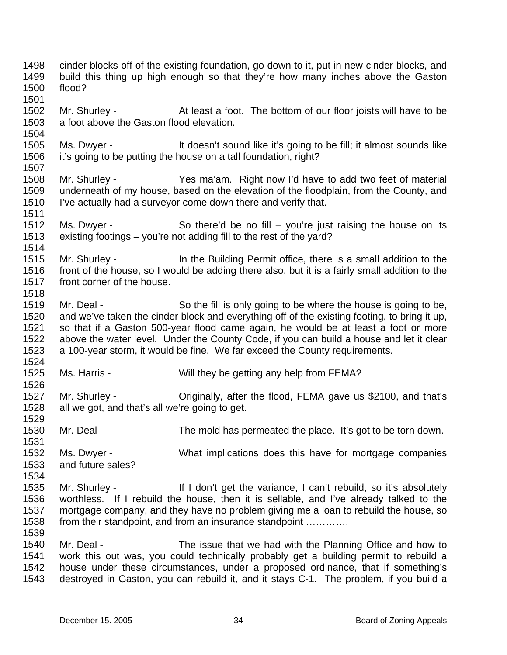1498 1499 1500 1501 1502 1503 1504 1505 1506 1507 1508 1509 1510 1511 1512 1513 1514 1515 1516 1517 1518 1519 1520 1521 1522 1523 1524 1525 1526 1527 1528 1529 1530 1531 1532 1533 1534 1535 1536 1537 1538 1539 1540 1541 1542 1543 cinder blocks off of the existing foundation, go down to it, put in new cinder blocks, and build this thing up high enough so that they're how many inches above the Gaston flood? Mr. Shurley - At least a foot. The bottom of our floor joists will have to be a foot above the Gaston flood elevation. Ms. Dwyer - It doesn't sound like it's going to be fill; it almost sounds like it's going to be putting the house on a tall foundation, right? Mr. Shurley - Yes ma'am. Right now I'd have to add two feet of material underneath of my house, based on the elevation of the floodplain, from the County, and I've actually had a surveyor come down there and verify that. Ms. Dwyer - So there'd be no fill – you're just raising the house on its existing footings – you're not adding fill to the rest of the yard? Mr. Shurley - In the Building Permit office, there is a small addition to the front of the house, so I would be adding there also, but it is a fairly small addition to the front corner of the house. Mr. Deal - So the fill is only going to be where the house is going to be, and we've taken the cinder block and everything off of the existing footing, to bring it up, so that if a Gaston 500-year flood came again, he would be at least a foot or more above the water level. Under the County Code, if you can build a house and let it clear a 100-year storm, it would be fine. We far exceed the County requirements. Ms. Harris - Will they be getting any help from FEMA? Mr. Shurley - Criginally, after the flood, FEMA gave us \$2100, and that's all we got, and that's all we're going to get. Mr. Deal - The mold has permeated the place. It's got to be torn down. Ms. Dwyer - What implications does this have for mortgage companies and future sales? Mr. Shurley - If I don't get the variance, I can't rebuild, so it's absolutely worthless. If I rebuild the house, then it is sellable, and I've already talked to the mortgage company, and they have no problem giving me a loan to rebuild the house, so from their standpoint, and from an insurance standpoint ............. Mr. Deal - The issue that we had with the Planning Office and how to work this out was, you could technically probably get a building permit to rebuild a house under these circumstances, under a proposed ordinance, that if something's destroyed in Gaston, you can rebuild it, and it stays C-1. The problem, if you build a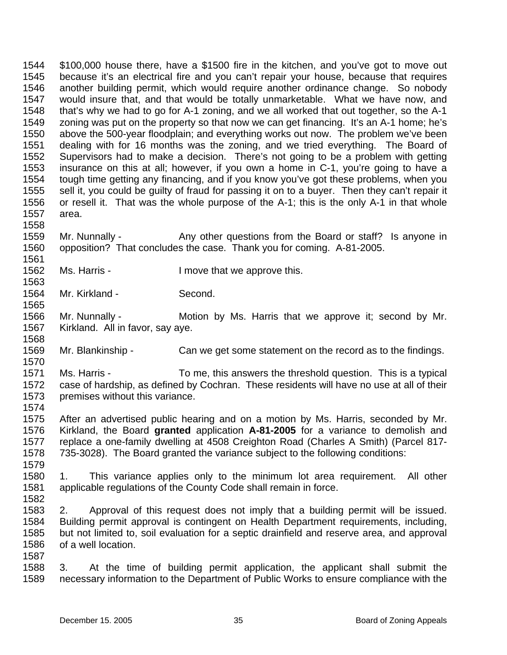1544 1545 1546 1547 1548 1549 1550 1551 1552 1553 1554 1555 1556 1557 1558 \$100,000 house there, have a \$1500 fire in the kitchen, and you've got to move out because it's an electrical fire and you can't repair your house, because that requires another building permit, which would require another ordinance change. So nobody would insure that, and that would be totally unmarketable. What we have now, and that's why we had to go for A-1 zoning, and we all worked that out together, so the A-1 zoning was put on the property so that now we can get financing. It's an A-1 home; he's above the 500-year floodplain; and everything works out now. The problem we've been dealing with for 16 months was the zoning, and we tried everything. The Board of Supervisors had to make a decision. There's not going to be a problem with getting insurance on this at all; however, if you own a home in C-1, you're going to have a tough time getting any financing, and if you know you've got these problems, when you sell it, you could be guilty of fraud for passing it on to a buyer. Then they can't repair it or resell it. That was the whole purpose of the A-1; this is the only A-1 in that whole area.

1559 1560 Mr. Nunnally - Any other questions from the Board or staff? Is anyone in opposition? That concludes the case. Thank you for coming. A-81-2005.

1562 1563 Ms. Harris - The Music Herric Herric I move that we approve this.

1564 Mr. Kirkland - Second.

1561

1565

1568

1570

1574

1579

1582

1587

1566 1567 Mr. Nunnally - **Motion by Ms. Harris that we approve it**; second by Mr. Kirkland. All in favor, say aye.

1569 Mr. Blankinship - Can we get some statement on the record as to the findings.

1571 1572 1573 Ms. Harris - To me, this answers the threshold question. This is a typical case of hardship, as defined by Cochran. These residents will have no use at all of their premises without this variance.

1575 1576 1577 1578 After an advertised public hearing and on a motion by Ms. Harris, seconded by Mr. Kirkland, the Board **granted** application **A-81-2005** for a variance to demolish and replace a one-family dwelling at 4508 Creighton Road (Charles A Smith) (Parcel 817- 735-3028). The Board granted the variance subject to the following conditions:

1580 1581 1. This variance applies only to the minimum lot area requirement. All other applicable regulations of the County Code shall remain in force.

1583 1584 1585 1586 2. Approval of this request does not imply that a building permit will be issued. Building permit approval is contingent on Health Department requirements, including, but not limited to, soil evaluation for a septic drainfield and reserve area, and approval of a well location.

1588 1589 3. At the time of building permit application, the applicant shall submit the necessary information to the Department of Public Works to ensure compliance with the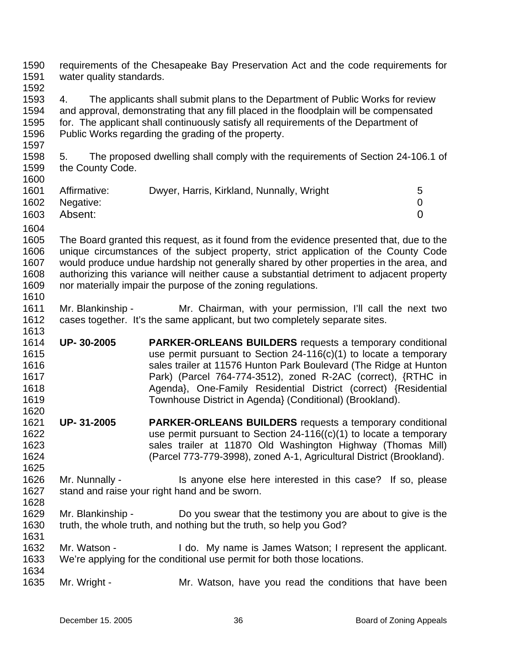| 1590<br>1591                                         | water quality standards.             | requirements of the Chesapeake Bay Preservation Act and the code requirements for                                                                                                                                                                                                                                                                                                                                                      |                          |
|------------------------------------------------------|--------------------------------------|----------------------------------------------------------------------------------------------------------------------------------------------------------------------------------------------------------------------------------------------------------------------------------------------------------------------------------------------------------------------------------------------------------------------------------------|--------------------------|
| 1592<br>1593<br>1594<br>1595<br>1596<br>1597         | 4.                                   | The applicants shall submit plans to the Department of Public Works for review<br>and approval, demonstrating that any fill placed in the floodplain will be compensated<br>for. The applicant shall continuously satisfy all requirements of the Department of<br>Public Works regarding the grading of the property.                                                                                                                 |                          |
| 1598<br>1599<br>1600                                 | 5.<br>the County Code.               | The proposed dwelling shall comply with the requirements of Section 24-106.1 of                                                                                                                                                                                                                                                                                                                                                        |                          |
| 1601<br>1602<br>1603<br>1604                         | Affirmative:<br>Negative:<br>Absent: | Dwyer, Harris, Kirkland, Nunnally, Wright                                                                                                                                                                                                                                                                                                                                                                                              | 5<br>0<br>$\overline{0}$ |
| 1605<br>1606<br>1607<br>1608<br>1609<br>1610         |                                      | The Board granted this request, as it found from the evidence presented that, due to the<br>unique circumstances of the subject property, strict application of the County Code<br>would produce undue hardship not generally shared by other properties in the area, and<br>authorizing this variance will neither cause a substantial detriment to adjacent property<br>nor materially impair the purpose of the zoning regulations. |                          |
| 1611<br>1612<br>1613                                 | Mr. Blankinship -                    | Mr. Chairman, with your permission, I'll call the next two<br>cases together. It's the same applicant, but two completely separate sites.                                                                                                                                                                                                                                                                                              |                          |
| 1614<br>1615<br>1616<br>1617<br>1618<br>1619<br>1620 | UP-30-2005                           | <b>PARKER-ORLEANS BUILDERS</b> requests a temporary conditional<br>use permit pursuant to Section $24-116(c)(1)$ to locate a temporary<br>sales trailer at 11576 Hunton Park Boulevard (The Ridge at Hunton<br>Park) (Parcel 764-774-3512), zoned R-2AC (correct), {RTHC in<br>Agenda}, One-Family Residential District (correct) {Residential<br>Townhouse District in Agenda} (Conditional) (Brookland).                             |                          |
| 1621<br>1622<br>1623<br>1624<br>1625                 | UP-31-2005                           | <b>PARKER-ORLEANS BUILDERS</b> requests a temporary conditional<br>use permit pursuant to Section $24-116((c)(1))$ to locate a temporary<br>sales trailer at 11870 Old Washington Highway (Thomas Mill)<br>(Parcel 773-779-3998), zoned A-1, Agricultural District (Brookland).                                                                                                                                                        |                          |
| 1626<br>1627<br>1628                                 | Mr. Nunnally -                       | Is anyone else here interested in this case? If so, please<br>stand and raise your right hand and be sworn.                                                                                                                                                                                                                                                                                                                            |                          |
| 1629<br>1630<br>1631                                 | Mr. Blankinship -                    | Do you swear that the testimony you are about to give is the<br>truth, the whole truth, and nothing but the truth, so help you God?                                                                                                                                                                                                                                                                                                    |                          |
| 1632<br>1633<br>1634                                 | Mr. Watson -                         | I do. My name is James Watson; I represent the applicant.<br>We're applying for the conditional use permit for both those locations.                                                                                                                                                                                                                                                                                                   |                          |
| 1635                                                 | Mr. Wright -                         | Mr. Watson, have you read the conditions that have been                                                                                                                                                                                                                                                                                                                                                                                |                          |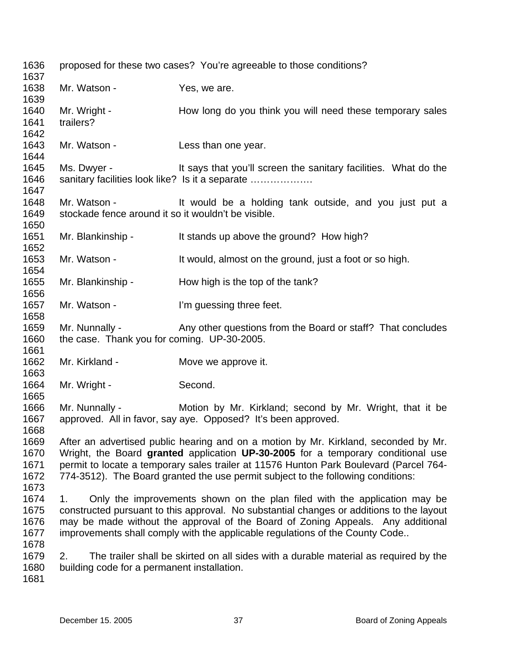| 1636<br>1637                         |                                                                     | proposed for these two cases? You're agreeable to those conditions?                                                                                                                                                                                                                                                                                   |
|--------------------------------------|---------------------------------------------------------------------|-------------------------------------------------------------------------------------------------------------------------------------------------------------------------------------------------------------------------------------------------------------------------------------------------------------------------------------------------------|
| 1638<br>1639                         | Mr. Watson -                                                        | Yes, we are.                                                                                                                                                                                                                                                                                                                                          |
| 1640<br>1641<br>1642                 | Mr. Wright -<br>trailers?                                           | How long do you think you will need these temporary sales                                                                                                                                                                                                                                                                                             |
| 1643<br>1644                         | Mr. Watson -                                                        | Less than one year.                                                                                                                                                                                                                                                                                                                                   |
| 1645<br>1646<br>1647                 | Ms. Dwyer -                                                         | It says that you'll screen the sanitary facilities. What do the<br>sanitary facilities look like? Is it a separate                                                                                                                                                                                                                                    |
| 1648<br>1649                         | Mr. Watson -<br>stockade fence around it so it wouldn't be visible. | It would be a holding tank outside, and you just put a                                                                                                                                                                                                                                                                                                |
| 1650<br>1651<br>1652                 | Mr. Blankinship -                                                   | It stands up above the ground? How high?                                                                                                                                                                                                                                                                                                              |
| 1653<br>1654                         | Mr. Watson -                                                        | It would, almost on the ground, just a foot or so high.                                                                                                                                                                                                                                                                                               |
| 1655<br>1656                         | Mr. Blankinship -                                                   | How high is the top of the tank?                                                                                                                                                                                                                                                                                                                      |
| 1657<br>1658                         | Mr. Watson -                                                        | I'm guessing three feet.                                                                                                                                                                                                                                                                                                                              |
| 1659<br>1660                         | Mr. Nunnally -<br>the case. Thank you for coming. UP-30-2005.       | Any other questions from the Board or staff? That concludes                                                                                                                                                                                                                                                                                           |
| 1661<br>1662<br>1663                 | Mr. Kirkland -                                                      | Move we approve it.                                                                                                                                                                                                                                                                                                                                   |
| 1664<br>1665                         | Mr. Wright -                                                        | Second.                                                                                                                                                                                                                                                                                                                                               |
| 1666<br>1667<br>1668                 | Mr. Nunnally -                                                      | Motion by Mr. Kirkland; second by Mr. Wright, that it be<br>approved. All in favor, say aye. Opposed? It's been approved.                                                                                                                                                                                                                             |
| 1669<br>1670<br>1671<br>1672<br>1673 |                                                                     | After an advertised public hearing and on a motion by Mr. Kirkland, seconded by Mr.<br>Wright, the Board granted application UP-30-2005 for a temporary conditional use<br>permit to locate a temporary sales trailer at 11576 Hunton Park Boulevard (Parcel 764-<br>774-3512). The Board granted the use permit subject to the following conditions: |
| 1674<br>1675<br>1676<br>1677<br>1678 | 1.                                                                  | Only the improvements shown on the plan filed with the application may be<br>constructed pursuant to this approval. No substantial changes or additions to the layout<br>may be made without the approval of the Board of Zoning Appeals. Any additional<br>improvements shall comply with the applicable regulations of the County Code              |
| 1679<br>1680<br>1681                 | 2.<br>building code for a permanent installation.                   | The trailer shall be skirted on all sides with a durable material as required by the                                                                                                                                                                                                                                                                  |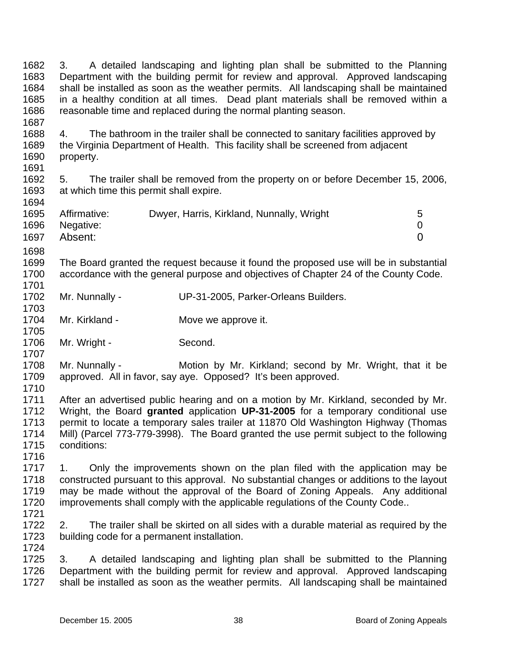1682 1683 1684 1685 1686 1687 1688 1689 1690 1691 1692 1693 1694 1695 1696 1697 1698 1699 1700 1701 1702 1703 1704 1705 1706 1707 1708 1709 1710 1711 1712 1713 1714 1715 1716 1717 1718 1719 1720 1721 1722 1723 1724 1725 1726 1727 3. A detailed landscaping and lighting plan shall be submitted to the Planning Department with the building permit for review and approval. Approved landscaping shall be installed as soon as the weather permits. All landscaping shall be maintained in a healthy condition at all times. Dead plant materials shall be removed within a reasonable time and replaced during the normal planting season. 4. The bathroom in the trailer shall be connected to sanitary facilities approved by the Virginia Department of Health. This facility shall be screened from adjacent property. 5. The trailer shall be removed from the property on or before December 15, 2006, at which time this permit shall expire. Affirmative: Dwyer, Harris, Kirkland, Nunnally, Wright 5 Negative: 0 Absent: 0 The Board granted the request because it found the proposed use will be in substantial accordance with the general purpose and objectives of Chapter 24 of the County Code. Mr. Nunnally - UP-31-2005, Parker-Orleans Builders. Mr. Kirkland - **Move we approve it.** Mr. Wright - Second. Mr. Nunnally - Motion by Mr. Kirkland; second by Mr. Wright, that it be approved. All in favor, say aye. Opposed? It's been approved. After an advertised public hearing and on a motion by Mr. Kirkland, seconded by Mr. Wright, the Board **granted** application **UP-31-2005** for a temporary conditional use permit to locate a temporary sales trailer at 11870 Old Washington Highway (Thomas Mill) (Parcel 773-779-3998). The Board granted the use permit subject to the following conditions: 1. Only the improvements shown on the plan filed with the application may be constructed pursuant to this approval. No substantial changes or additions to the layout may be made without the approval of the Board of Zoning Appeals. Any additional improvements shall comply with the applicable regulations of the County Code.. 2. The trailer shall be skirted on all sides with a durable material as required by the building code for a permanent installation. 3. A detailed landscaping and lighting plan shall be submitted to the Planning Department with the building permit for review and approval. Approved landscaping shall be installed as soon as the weather permits. All landscaping shall be maintained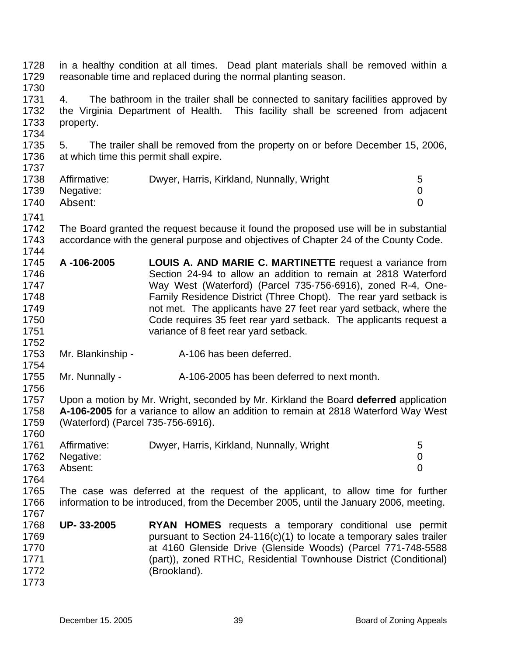1728 1729 in a healthy condition at all times. Dead plant materials shall be removed within a reasonable time and replaced during the normal planting season.

1730

1734

1737

1731 1732 1733 4. The bathroom in the trailer shall be connected to sanitary facilities approved by the Virginia Department of Health. This facility shall be screened from adjacent property.

1735 1736 5. The trailer shall be removed from the property on or before December 15, 2006, at which time this permit shall expire.

| 1738 | Affirmative:<br>1739 Negative: | Dwyer, Harris, Kirkland, Nunnally, Wright | 5 |
|------|--------------------------------|-------------------------------------------|---|
|      | 1740 Absent:                   |                                           |   |

1741

1752

1754

1756

1760

1767

1742 1743 1744 The Board granted the request because it found the proposed use will be in substantial accordance with the general purpose and objectives of Chapter 24 of the County Code.

- 1745 1746 1747 1748 1749 1750 1751 **A -106-2005 LOUIS A. AND MARIE C. MARTINETTE** request a variance from Section 24-94 to allow an addition to remain at 2818 Waterford Way West (Waterford) (Parcel 735-756-6916), zoned R-4, One-Family Residence District (Three Chopt). The rear yard setback is not met. The applicants have 27 feet rear yard setback, where the Code requires 35 feet rear yard setback. The applicants request a variance of 8 feet rear yard setback.
- 1753 Mr. Blankinship - The A-106 has been deferred.
- 1755 Mr. Nunnally - A-106-2005 has been deferred to next month.

1757 1758 1759 Upon a motion by Mr. Wright, seconded by Mr. Kirkland the Board **deferred** application **A-106-2005** for a variance to allow an addition to remain at 2818 Waterford Way West (Waterford) (Parcel 735-756-6916).

| 1761 | Affirmative: | Dwyer, Harris, Kirkland, Nunnally, Wright |  |
|------|--------------|-------------------------------------------|--|
| 1762 | Negative:    |                                           |  |
| 1763 | Absent:      |                                           |  |
| 1764 |              |                                           |  |

1765 1766 The case was deferred at the request of the applicant, to allow time for further information to be introduced, from the December 2005, until the January 2006, meeting.

1768 1769 1770 1771 1772 1773 **UP- 33-2005 RYAN HOMES** requests a temporary conditional use permit pursuant to Section 24-116(c)(1) to locate a temporary sales trailer at 4160 Glenside Drive (Glenside Woods) (Parcel 771-748-5588 (part)), zoned RTHC, Residential Townhouse District (Conditional) (Brookland).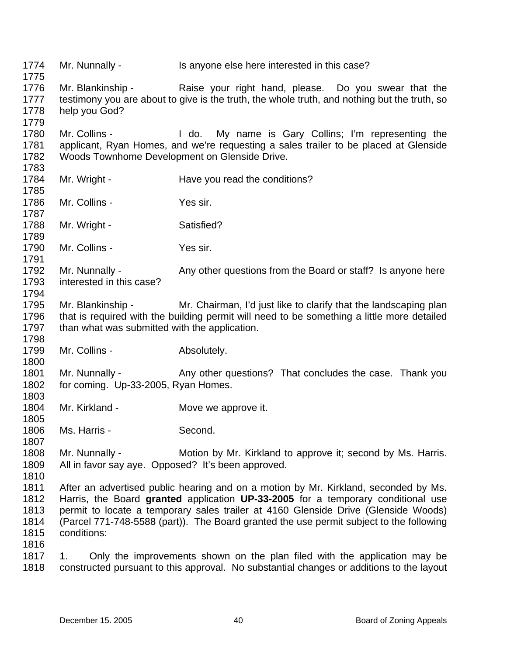1774 1775 1776 1777 1778 1779 1780 1781 1782 1783 1784 1785 1786 1787 1788 1789 1790 1791 1792 1793 1794 1795 1796 1797 1798 1799 1800 1801 1802 1803 1804 1805 1806 1807 1808 1809 1810 1811 1812 1813 1814 1815 1816 1817 1818 Mr. Nunnally - Is anyone else here interested in this case? Mr. Blankinship - Raise your right hand, please. Do you swear that the testimony you are about to give is the truth, the whole truth, and nothing but the truth, so help you God? Mr. Collins - I do. My name is Gary Collins; I'm representing the applicant, Ryan Homes, and we're requesting a sales trailer to be placed at Glenside Woods Townhome Development on Glenside Drive. Mr. Wright - Have you read the conditions? Mr. Collins - Yes sir. Mr. Wright - Satisfied? Mr. Collins - Yes sir. Mr. Nunnally - Any other questions from the Board or staff? Is anyone here interested in this case? Mr. Blankinship - Mr. Chairman, I'd just like to clarify that the landscaping plan that is required with the building permit will need to be something a little more detailed than what was submitted with the application. Mr. Collins - Absolutely. Mr. Nunnally - Any other questions? That concludes the case. Thank you for coming. Up-33-2005, Ryan Homes. Mr. Kirkland - **Move we approve it.** Ms. Harris - Second. Mr. Nunnally - Motion by Mr. Kirkland to approve it; second by Ms. Harris. All in favor say aye. Opposed? It's been approved. After an advertised public hearing and on a motion by Mr. Kirkland, seconded by Ms. Harris, the Board **granted** application **UP-33-2005** for a temporary conditional use permit to locate a temporary sales trailer at 4160 Glenside Drive (Glenside Woods) (Parcel 771-748-5588 (part)). The Board granted the use permit subject to the following conditions: 1. Only the improvements shown on the plan filed with the application may be constructed pursuant to this approval. No substantial changes or additions to the layout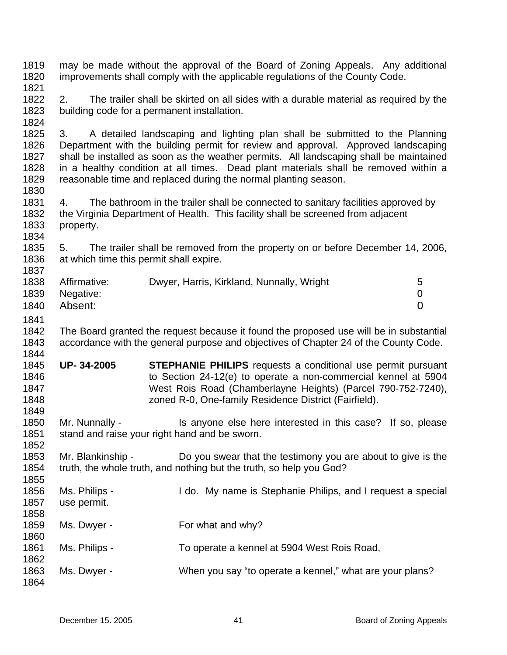1819 1820 1821 1822 1823 1824 1825 1826 1827 1828 1829 1830 1831 1832 1833 1834 1835 1836 1837 1838 1839 1840 1841 1842 1843 1844 1845 1846 1847 1848 1849 1850 1851 1852 1853 1854 1855 1856 1857 1858 1859 1860 1861 1862 1863 1864 may be made without the approval of the Board of Zoning Appeals. Any additional improvements shall comply with the applicable regulations of the County Code. 2. The trailer shall be skirted on all sides with a durable material as required by the building code for a permanent installation. 3. A detailed landscaping and lighting plan shall be submitted to the Planning Department with the building permit for review and approval. Approved landscaping shall be installed as soon as the weather permits. All landscaping shall be maintained in a healthy condition at all times. Dead plant materials shall be removed within a reasonable time and replaced during the normal planting season. 4. The bathroom in the trailer shall be connected to sanitary facilities approved by the Virginia Department of Health. This facility shall be screened from adjacent property. 5. The trailer shall be removed from the property on or before December 14, 2006, at which time this permit shall expire. Affirmative: Dwyer, Harris, Kirkland, Nunnally, Wright 5 Negative: 0 Absent: 0 The Board granted the request because it found the proposed use will be in substantial accordance with the general purpose and objectives of Chapter 24 of the County Code. **UP- 34-2005 STEPHANIE PHILIPS** requests a conditional use permit pursuant to Section 24-12(e) to operate a non-commercial kennel at 5904 West Rois Road (Chamberlayne Heights) (Parcel 790-752-7240), zoned R-0, One-family Residence District (Fairfield). Mr. Nunnally - Is anyone else here interested in this case? If so, please stand and raise your right hand and be sworn. Mr. Blankinship - Do you swear that the testimony you are about to give is the truth, the whole truth, and nothing but the truth, so help you God? Ms. Philips - I do. My name is Stephanie Philips, and I request a special use permit. Ms. Dwyer - For what and why? Ms. Philips - To operate a kennel at 5904 West Rois Road, Ms. Dwyer - When you say "to operate a kennel," what are your plans?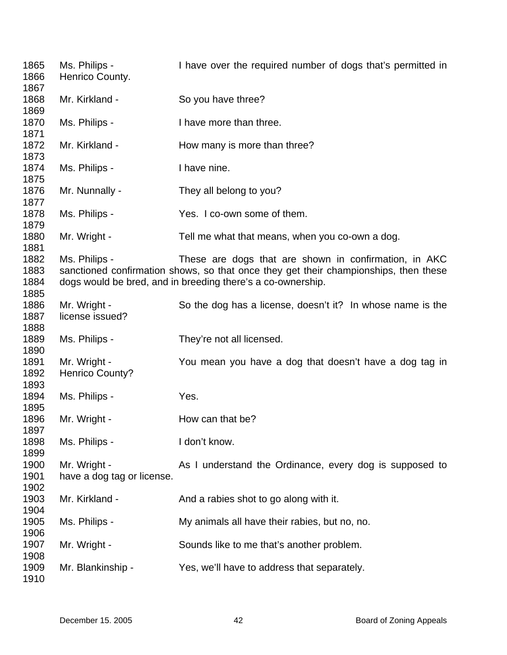| 1865<br>1866                 | Ms. Philips -<br>Henrico County.           | I have over the required number of dogs that's permitted in                                                                                                                                                  |
|------------------------------|--------------------------------------------|--------------------------------------------------------------------------------------------------------------------------------------------------------------------------------------------------------------|
| 1867<br>1868<br>1869         | Mr. Kirkland -                             | So you have three?                                                                                                                                                                                           |
| 1870<br>1871                 | Ms. Philips -                              | I have more than three.                                                                                                                                                                                      |
| 1872<br>1873                 | Mr. Kirkland -                             | How many is more than three?                                                                                                                                                                                 |
| 1874<br>1875                 | Ms. Philips -                              | I have nine.                                                                                                                                                                                                 |
| 1876<br>1877                 | Mr. Nunnally -                             | They all belong to you?                                                                                                                                                                                      |
| 1878<br>1879                 | Ms. Philips -                              | Yes. I co-own some of them.                                                                                                                                                                                  |
| 1880<br>1881                 | Mr. Wright -                               | Tell me what that means, when you co-own a dog.                                                                                                                                                              |
| 1882<br>1883<br>1884         | Ms. Philips -                              | These are dogs that are shown in confirmation, in AKC<br>sanctioned confirmation shows, so that once they get their championships, then these<br>dogs would be bred, and in breeding there's a co-ownership. |
| 1885<br>1886<br>1887<br>1888 | Mr. Wright -<br>license issued?            | So the dog has a license, doesn't it? In whose name is the                                                                                                                                                   |
| 1889<br>1890                 | Ms. Philips -                              | They're not all licensed.                                                                                                                                                                                    |
| 1891<br>1892<br>1893         | Mr. Wright -<br><b>Henrico County?</b>     | You mean you have a dog that doesn't have a dog tag in                                                                                                                                                       |
| 1894<br>1895                 | Ms. Philips -                              | Yes.                                                                                                                                                                                                         |
| 1896<br>1897                 | Mr. Wright -                               | How can that be?                                                                                                                                                                                             |
| 1898<br>1899                 | Ms. Philips -                              | I don't know.                                                                                                                                                                                                |
| 1900<br>1901<br>1902         | Mr. Wright -<br>have a dog tag or license. | As I understand the Ordinance, every dog is supposed to                                                                                                                                                      |
| 1903<br>1904                 | Mr. Kirkland -                             | And a rabies shot to go along with it.                                                                                                                                                                       |
| 1905<br>1906                 | Ms. Philips -                              | My animals all have their rabies, but no, no.                                                                                                                                                                |
| 1907<br>1908                 | Mr. Wright -                               | Sounds like to me that's another problem.                                                                                                                                                                    |
| 1909<br>1910                 | Mr. Blankinship -                          | Yes, we'll have to address that separately.                                                                                                                                                                  |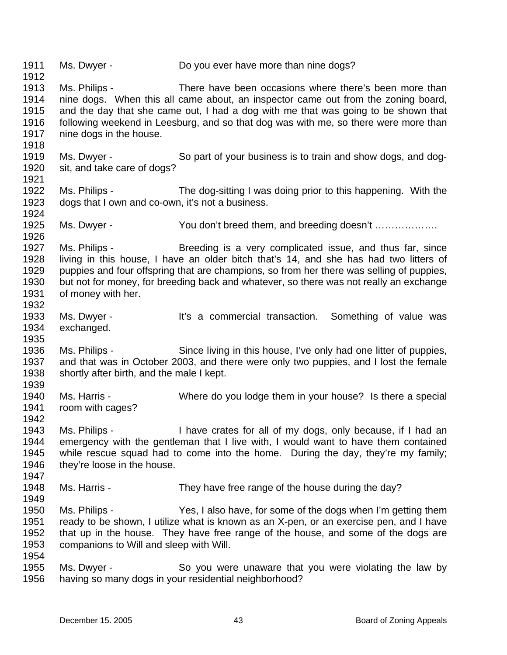1911 1912 1913 1914 1915 1916 1917 1918 1919 1920 1921 1922 1923 1924 1925 1926 1927 1928 1929 1930 1931 1932 1933 1934 1935 1936 1937 1938 1939 1940 1941 1942 1943 1944 1945 1946 1947 1948 1949 1950 1951 1952 1953 1954 1955 1956 Ms. Dwyer - Do you ever have more than nine dogs? Ms. Philips - There have been occasions where there's been more than nine dogs. When this all came about, an inspector came out from the zoning board, and the day that she came out, I had a dog with me that was going to be shown that following weekend in Leesburg, and so that dog was with me, so there were more than nine dogs in the house. Ms. Dwyer - So part of your business is to train and show dogs, and dogsit, and take care of dogs? Ms. Philips - The dog-sitting I was doing prior to this happening. With the dogs that I own and co-own, it's not a business. Ms. Dwyer - You don't breed them, and breeding doesn't ………………. Ms. Philips - Breeding is a very complicated issue, and thus far, since living in this house, I have an older bitch that's 14, and she has had two litters of puppies and four offspring that are champions, so from her there was selling of puppies, but not for money, for breeding back and whatever, so there was not really an exchange of money with her. Ms. Dwyer - The Music of the Commercial transaction. Something of value was exchanged. Ms. Philips - Since living in this house, I've only had one litter of puppies, and that was in October 2003, and there were only two puppies, and I lost the female shortly after birth, and the male I kept. Ms. Harris - Where do you lodge them in your house? Is there a special room with cages? Ms. Philips - I have crates for all of my dogs, only because, if I had an emergency with the gentleman that I live with, I would want to have them contained while rescue squad had to come into the home. During the day, they're my family; they're loose in the house. Ms. Harris - They have free range of the house during the day? Ms. Philips - Yes, I also have, for some of the dogs when I'm getting them ready to be shown, I utilize what is known as an X-pen, or an exercise pen, and I have that up in the house. They have free range of the house, and some of the dogs are companions to Will and sleep with Will. Ms. Dwyer - So you were unaware that you were violating the law by having so many dogs in your residential neighborhood?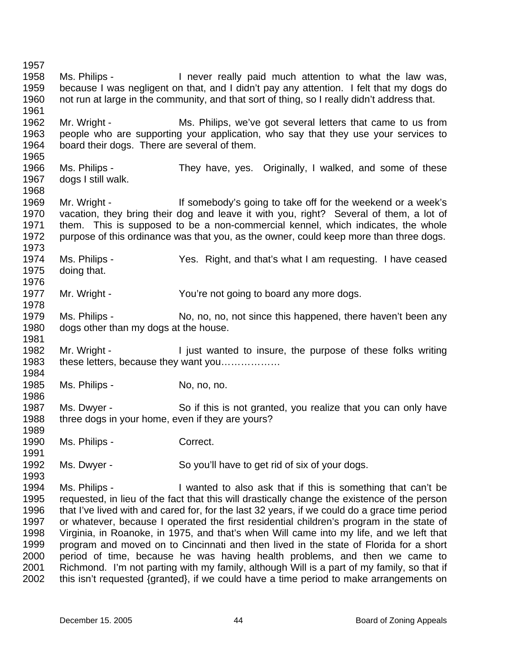1957 1958 1959 1960 1961 1962 1963 1964 1965 1966 1967 1968 1969 1970 1971 1972 1973 1974 1975 1976 1977 1978 1979 1980 1981 1982 1983 1984 1985 1986 1987 1988 1989 1990 1991 1992 1993 1994 1995 1996 1997 1998 1999 2000 2001 2002 Ms. Philips - I never really paid much attention to what the law was, because I was negligent on that, and I didn't pay any attention. I felt that my dogs do not run at large in the community, and that sort of thing, so I really didn't address that. Mr. Wright - Ms. Philips, we've got several letters that came to us from people who are supporting your application, who say that they use your services to board their dogs. There are several of them. Ms. Philips - They have, yes. Originally, I walked, and some of these dogs I still walk. Mr. Wright - If somebody's going to take off for the weekend or a week's vacation, they bring their dog and leave it with you, right? Several of them, a lot of them. This is supposed to be a non-commercial kennel, which indicates, the whole purpose of this ordinance was that you, as the owner, could keep more than three dogs. Ms. Philips - Yes. Right, and that's what I am requesting. I have ceased doing that. Mr. Wright - The You're not going to board any more dogs. Ms. Philips - No, no, no, not since this happened, there haven't been any dogs other than my dogs at the house. Mr. Wright - I just wanted to insure, the purpose of these folks writing these letters, because they want you……………… Ms. Philips - No, no, no. Ms. Dwyer - So if this is not granted, you realize that you can only have three dogs in your home, even if they are yours? Ms. Philips - Correct. Ms. Dwyer - So you'll have to get rid of six of your dogs. Ms. Philips - I wanted to also ask that if this is something that can't be requested, in lieu of the fact that this will drastically change the existence of the person that I've lived with and cared for, for the last 32 years, if we could do a grace time period or whatever, because I operated the first residential children's program in the state of Virginia, in Roanoke, in 1975, and that's when Will came into my life, and we left that program and moved on to Cincinnati and then lived in the state of Florida for a short period of time, because he was having health problems, and then we came to Richmond. I'm not parting with my family, although Will is a part of my family, so that if this isn't requested {granted}, if we could have a time period to make arrangements on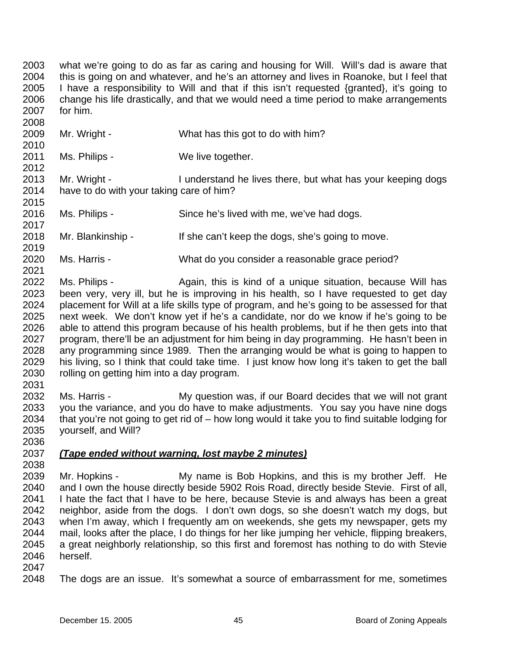2003 2004 2005 2006 2007 what we're going to do as far as caring and housing for Will. Will's dad is aware that this is going on and whatever, and he's an attorney and lives in Roanoke, but I feel that I have a responsibility to Will and that if this isn't requested {granted}, it's going to change his life drastically, and that we would need a time period to make arrangements for him.

2009 2010 Mr. Wright - What has this got to do with him?

2011 Ms. Philips - We live together.

2013 2014 2015 Mr. Wright - I understand he lives there, but what has your keeping dogs have to do with your taking care of him?

2016 2017 Ms. Philips - Since he's lived with me, we've had dogs.

2018 2019 Mr. Blankinship - If she can't keep the dogs, she's going to move.

2020 Ms. Harris - What do you consider a reasonable grace period?

2022 2023 2024 2025 2026 2027 2028 2029 2030 Ms. Philips - Again, this is kind of a unique situation, because Will has been very, very ill, but he is improving in his health, so I have requested to get day placement for Will at a life skills type of program, and he's going to be assessed for that next week. We don't know yet if he's a candidate, nor do we know if he's going to be able to attend this program because of his health problems, but if he then gets into that program, there'll be an adjustment for him being in day programming. He hasn't been in any programming since 1989. Then the arranging would be what is going to happen to his living, so I think that could take time. I just know how long it's taken to get the ball rolling on getting him into a day program.

2032 2033 2034 2035 2036 Ms. Harris - **My question was, if our Board decides that we will not grant** you the variance, and you do have to make adjustments. You say you have nine dogs that you're not going to get rid of – how long would it take you to find suitable lodging for yourself, and Will?

## 2037 *(Tape ended without warning, lost maybe 2 minutes)*

2038

2031

2008

2012

2021

2039 2040 2041 2042 2043 2044 2045 2046 Mr. Hopkins - My name is Bob Hopkins, and this is my brother Jeff. He and I own the house directly beside 5902 Rois Road, directly beside Stevie. First of all, I hate the fact that I have to be here, because Stevie is and always has been a great neighbor, aside from the dogs. I don't own dogs, so she doesn't watch my dogs, but when I'm away, which I frequently am on weekends, she gets my newspaper, gets my mail, looks after the place, I do things for her like jumping her vehicle, flipping breakers, a great neighborly relationship, so this first and foremost has nothing to do with Stevie herself.

2047

2048 The dogs are an issue. It's somewhat a source of embarrassment for me, sometimes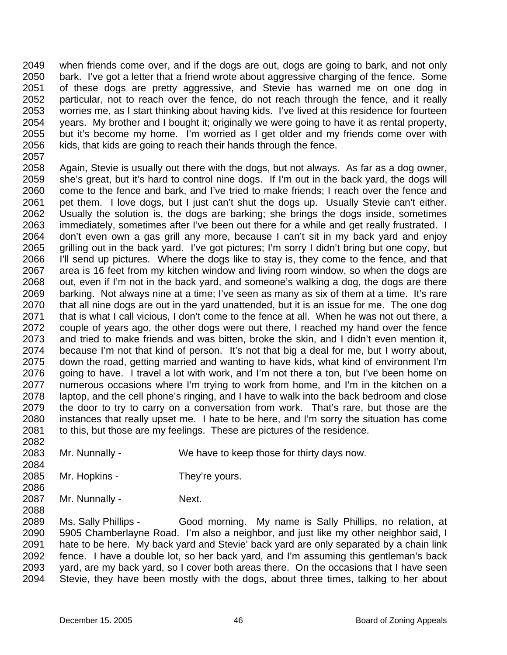2049 2050 2051 2052 2053 2054 2055 2056 2057 when friends come over, and if the dogs are out, dogs are going to bark, and not only bark. I've got a letter that a friend wrote about aggressive charging of the fence. Some of these dogs are pretty aggressive, and Stevie has warned me on one dog in particular, not to reach over the fence, do not reach through the fence, and it really worries me, as I start thinking about having kids. I've lived at this residence for fourteen years. My brother and I bought it; originally we were going to have it as rental property, but it's become my home. I'm worried as I get older and my friends come over with kids, that kids are going to reach their hands through the fence.

2058 2059 2060 2061 2062 2063 2064 2065 2066 2067 2068 2069 2070 2071 2072 2073 2074 2075 2076 2077 2078 2079 2080 2081 2082 Again, Stevie is usually out there with the dogs, but not always. As far as a dog owner, she's great, but it's hard to control nine dogs. If I'm out in the back yard, the dogs will come to the fence and bark, and I've tried to make friends; I reach over the fence and pet them. I love dogs, but I just can't shut the dogs up. Usually Stevie can't either. Usually the solution is, the dogs are barking; she brings the dogs inside, sometimes immediately, sometimes after I've been out there for a while and get really frustrated. I don't even own a gas grill any more, because I can't sit in my back yard and enjoy grilling out in the back yard. I've got pictures; I'm sorry I didn't bring but one copy, but I'll send up pictures. Where the dogs like to stay is, they come to the fence, and that area is 16 feet from my kitchen window and living room window, so when the dogs are out, even if I'm not in the back yard, and someone's walking a dog, the dogs are there barking. Not always nine at a time; I've seen as many as six of them at a time. It's rare that all nine dogs are out in the yard unattended, but it is an issue for me. The one dog that is what I call vicious, I don't come to the fence at all. When he was not out there, a couple of years ago, the other dogs were out there, I reached my hand over the fence and tried to make friends and was bitten, broke the skin, and I didn't even mention it, because I'm not that kind of person. It's not that big a deal for me, but I worry about, down the road, getting married and wanting to have kids, what kind of environment I'm going to have. I travel a lot with work, and I'm not there a ton, but I've been home on numerous occasions where I'm trying to work from home, and I'm in the kitchen on a laptop, and the cell phone's ringing, and I have to walk into the back bedroom and close the door to try to carry on a conversation from work. That's rare, but those are the instances that really upset me. I hate to be here, and I'm sorry the situation has come to this, but those are my feelings. These are pictures of the residence.

- 2083 Mr. Nunnally - We have to keep those for thirty days now.
- 2085 Mr. Hopkins - They're yours.
- 2087 Mr. Nunnally - Next.

2084

2086

2088

2089 2090 2091 2092 2093 2094 Ms. Sally Phillips - Good morning. My name is Sally Phillips, no relation, at 5905 Chamberlayne Road. I'm also a neighbor, and just like my other neighbor said, I hate to be here. My back yard and Stevie' back yard are only separated by a chain link fence. I have a double lot, so her back yard, and I'm assuming this gentleman's back yard, are my back yard, so I cover both areas there. On the occasions that I have seen Stevie, they have been mostly with the dogs, about three times, talking to her about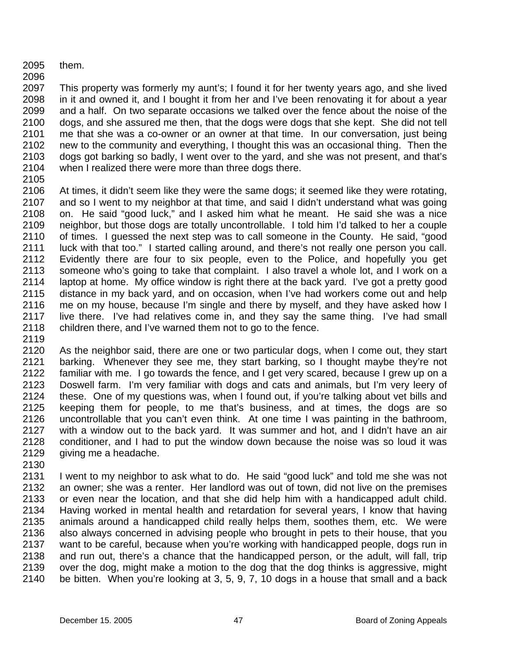- 2095 them.
- 2096

2097 2098 2099 2100 2101 2102 2103 2104 This property was formerly my aunt's; I found it for her twenty years ago, and she lived in it and owned it, and I bought it from her and I've been renovating it for about a year and a half. On two separate occasions we talked over the fence about the noise of the dogs, and she assured me then, that the dogs were dogs that she kept. She did not tell me that she was a co-owner or an owner at that time. In our conversation, just being new to the community and everything, I thought this was an occasional thing. Then the dogs got barking so badly, I went over to the yard, and she was not present, and that's when I realized there were more than three dogs there.

2105

2106 2107 2108 2109 2110 2111 2112 2113 2114 2115 2116 2117 2118 At times, it didn't seem like they were the same dogs; it seemed like they were rotating, and so I went to my neighbor at that time, and said I didn't understand what was going on. He said "good luck," and I asked him what he meant. He said she was a nice neighbor, but those dogs are totally uncontrollable. I told him I'd talked to her a couple of times. I guessed the next step was to call someone in the County. He said, "good luck with that too." I started calling around, and there's not really one person you call. Evidently there are four to six people, even to the Police, and hopefully you get someone who's going to take that complaint. I also travel a whole lot, and I work on a laptop at home. My office window is right there at the back yard. I've got a pretty good distance in my back yard, and on occasion, when I've had workers come out and help me on my house, because I'm single and there by myself, and they have asked how I live there. I've had relatives come in, and they say the same thing. I've had small children there, and I've warned them not to go to the fence.

2119

2120 2121 2122 2123 2124 2125 2126 2127 2128 2129 As the neighbor said, there are one or two particular dogs, when I come out, they start barking. Whenever they see me, they start barking, so I thought maybe they're not familiar with me. I go towards the fence, and I get very scared, because I grew up on a Doswell farm. I'm very familiar with dogs and cats and animals, but I'm very leery of these. One of my questions was, when I found out, if you're talking about vet bills and keeping them for people, to me that's business, and at times, the dogs are so uncontrollable that you can't even think. At one time I was painting in the bathroom, with a window out to the back yard. It was summer and hot, and I didn't have an air conditioner, and I had to put the window down because the noise was so loud it was giving me a headache.

2130

2131 2132 2133 2134 2135 2136 2137 2138 2139 2140 I went to my neighbor to ask what to do. He said "good luck" and told me she was not an owner; she was a renter. Her landlord was out of town, did not live on the premises or even near the location, and that she did help him with a handicapped adult child. Having worked in mental health and retardation for several years, I know that having animals around a handicapped child really helps them, soothes them, etc. We were also always concerned in advising people who brought in pets to their house, that you want to be careful, because when you're working with handicapped people, dogs run in and run out, there's a chance that the handicapped person, or the adult, will fall, trip over the dog, might make a motion to the dog that the dog thinks is aggressive, might be bitten. When you're looking at 3, 5, 9, 7, 10 dogs in a house that small and a back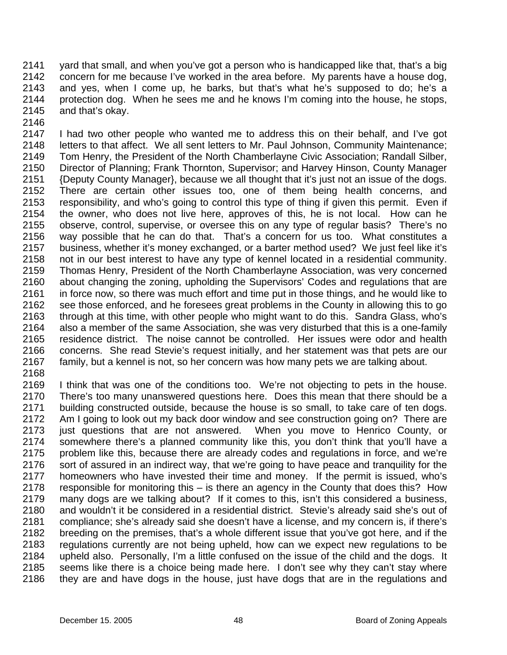2141 2142 2143 2144 2145 yard that small, and when you've got a person who is handicapped like that, that's a big concern for me because I've worked in the area before. My parents have a house dog, and yes, when I come up, he barks, but that's what he's supposed to do; he's a protection dog. When he sees me and he knows I'm coming into the house, he stops, and that's okay.

2146

2147 2148 2149 2150 2151 2152 2153 2154 2155 2156 2157 2158 2159 2160 2161 2162 2163 2164 2165 2166 2167 I had two other people who wanted me to address this on their behalf, and I've got letters to that affect. We all sent letters to Mr. Paul Johnson, Community Maintenance; Tom Henry, the President of the North Chamberlayne Civic Association; Randall Silber, Director of Planning; Frank Thornton, Supervisor; and Harvey Hinson, County Manager {Deputy County Manager}, because we all thought that it's just not an issue of the dogs. There are certain other issues too, one of them being health concerns, and responsibility, and who's going to control this type of thing if given this permit. Even if the owner, who does not live here, approves of this, he is not local. How can he observe, control, supervise, or oversee this on any type of regular basis? There's no way possible that he can do that. That's a concern for us too. What constitutes a business, whether it's money exchanged, or a barter method used? We just feel like it's not in our best interest to have any type of kennel located in a residential community. Thomas Henry, President of the North Chamberlayne Association, was very concerned about changing the zoning, upholding the Supervisors' Codes and regulations that are in force now, so there was much effort and time put in those things, and he would like to see those enforced, and he foresees great problems in the County in allowing this to go through at this time, with other people who might want to do this. Sandra Glass, who's also a member of the same Association, she was very disturbed that this is a one-family residence district. The noise cannot be controlled. Her issues were odor and health concerns. She read Stevie's request initially, and her statement was that pets are our family, but a kennel is not, so her concern was how many pets we are talking about.

2168

2169 2170 2171 2172 2173 2174 2175 2176 2177 2178 2179 2180 2181 2182 2183 2184 2185 2186 I think that was one of the conditions too. We're not objecting to pets in the house. There's too many unanswered questions here. Does this mean that there should be a building constructed outside, because the house is so small, to take care of ten dogs. Am I going to look out my back door window and see construction going on? There are just questions that are not answered. When you move to Henrico County, or somewhere there's a planned community like this, you don't think that you'll have a problem like this, because there are already codes and regulations in force, and we're sort of assured in an indirect way, that we're going to have peace and tranquility for the homeowners who have invested their time and money. If the permit is issued, who's responsible for monitoring this – is there an agency in the County that does this? How many dogs are we talking about? If it comes to this, isn't this considered a business, and wouldn't it be considered in a residential district. Stevie's already said she's out of compliance; she's already said she doesn't have a license, and my concern is, if there's breeding on the premises, that's a whole different issue that you've got here, and if the regulations currently are not being upheld, how can we expect new regulations to be upheld also. Personally, I'm a little confused on the issue of the child and the dogs. It seems like there is a choice being made here. I don't see why they can't stay where they are and have dogs in the house, just have dogs that are in the regulations and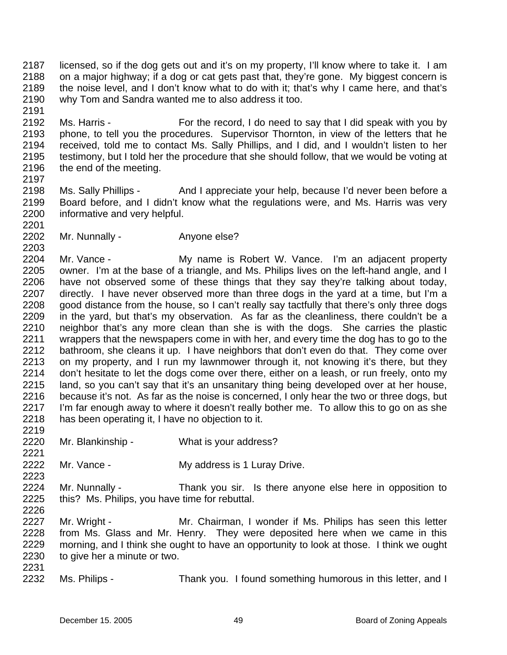2187 2188 2189 2190 licensed, so if the dog gets out and it's on my property, I'll know where to take it. I am on a major highway; if a dog or cat gets past that, they're gone. My biggest concern is the noise level, and I don't know what to do with it; that's why I came here, and that's why Tom and Sandra wanted me to also address it too.

2192 2193 2194 2195 2196 Ms. Harris - For the record, I do need to say that I did speak with you by phone, to tell you the procedures. Supervisor Thornton, in view of the letters that he received, told me to contact Ms. Sally Phillips, and I did, and I wouldn't listen to her testimony, but I told her the procedure that she should follow, that we would be voting at the end of the meeting.

2197

2203

2191

2198 2199 2200 2201 Ms. Sally Phillips - And I appreciate your help, because I'd never been before a Board before, and I didn't know what the regulations were, and Ms. Harris was very informative and very helpful.

2202 Mr. Nunnally - Anyone else?

2204 2205 2206 2207 2208 2209 2210 2211 2212 2213 2214 2215 2216 2217 2218 Mr. Vance - The My name is Robert W. Vance. I'm an adjacent property owner. I'm at the base of a triangle, and Ms. Philips lives on the left-hand angle, and I have not observed some of these things that they say they're talking about today, directly. I have never observed more than three dogs in the yard at a time, but I'm a good distance from the house, so I can't really say tactfully that there's only three dogs in the yard, but that's my observation. As far as the cleanliness, there couldn't be a neighbor that's any more clean than she is with the dogs. She carries the plastic wrappers that the newspapers come in with her, and every time the dog has to go to the bathroom, she cleans it up. I have neighbors that don't even do that. They come over on my property, and I run my lawnmower through it, not knowing it's there, but they don't hesitate to let the dogs come over there, either on a leash, or run freely, onto my land, so you can't say that it's an unsanitary thing being developed over at her house, because it's not. As far as the noise is concerned, I only hear the two or three dogs, but I'm far enough away to where it doesn't really bother me. To allow this to go on as she has been operating it, I have no objection to it.

- 2220 Mr. Blankinship - What is your address?
- 2222 Mr. Vance - **My address is 1 Luray Drive.**
- 2224 2225 2226 Mr. Nunnally - Thank you sir. Is there anyone else here in opposition to this? Ms. Philips, you have time for rebuttal.
- 2227 2228 2229 2230 Mr. Wright - The Mr. Chairman, I wonder if Ms. Philips has seen this letter from Ms. Glass and Mr. Henry. They were deposited here when we came in this morning, and I think she ought to have an opportunity to look at those. I think we ought to give her a minute or two.
- 2231

2219

2221

2223

2232 Ms. Philips - Thank you. I found something humorous in this letter, and I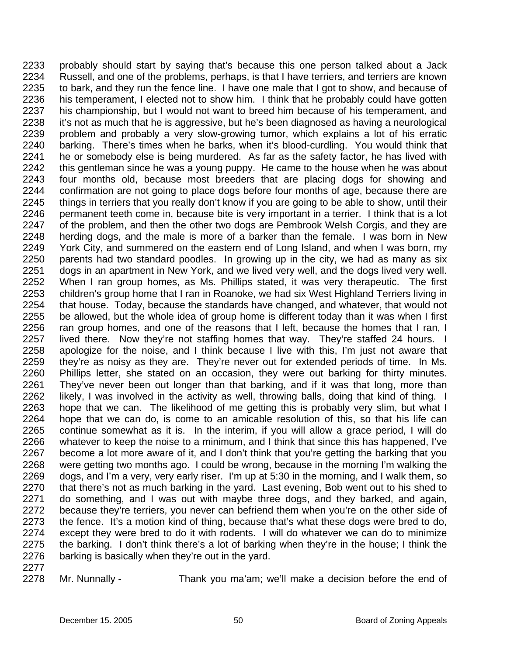2233 2234 2235 2236 2237 2238 2239 2240 2241 2242 2243 2244 2245 2246 2247 2248 2249 2250 2251 2252 2253 2254 2255 2256 2257 2258 2259 2260 2261 2262 2263 2264 2265 2266 2267 2268 2269 2270 2271 2272 2273 2274 2275 2276 probably should start by saying that's because this one person talked about a Jack Russell, and one of the problems, perhaps, is that I have terriers, and terriers are known to bark, and they run the fence line. I have one male that I got to show, and because of his temperament, I elected not to show him. I think that he probably could have gotten his championship, but I would not want to breed him because of his temperament, and it's not as much that he is aggressive, but he's been diagnosed as having a neurological problem and probably a very slow-growing tumor, which explains a lot of his erratic barking. There's times when he barks, when it's blood-curdling. You would think that he or somebody else is being murdered. As far as the safety factor, he has lived with this gentleman since he was a young puppy. He came to the house when he was about four months old, because most breeders that are placing dogs for showing and confirmation are not going to place dogs before four months of age, because there are things in terriers that you really don't know if you are going to be able to show, until their permanent teeth come in, because bite is very important in a terrier. I think that is a lot of the problem, and then the other two dogs are Pembrook Welsh Corgis, and they are herding dogs, and the male is more of a barker than the female. I was born in New York City, and summered on the eastern end of Long Island, and when I was born, my parents had two standard poodles. In growing up in the city, we had as many as six dogs in an apartment in New York, and we lived very well, and the dogs lived very well. When I ran group homes, as Ms. Phillips stated, it was very therapeutic. The first children's group home that I ran in Roanoke, we had six West Highland Terriers living in that house. Today, because the standards have changed, and whatever, that would not be allowed, but the whole idea of group home is different today than it was when I first ran group homes, and one of the reasons that I left, because the homes that I ran, I lived there. Now they're not staffing homes that way. They're staffed 24 hours. I apologize for the noise, and I think because I live with this, I'm just not aware that they're as noisy as they are. They're never out for extended periods of time. In Ms. Phillips letter, she stated on an occasion, they were out barking for thirty minutes. They've never been out longer than that barking, and if it was that long, more than likely, I was involved in the activity as well, throwing balls, doing that kind of thing. I hope that we can. The likelihood of me getting this is probably very slim, but what I hope that we can do, is come to an amicable resolution of this, so that his life can continue somewhat as it is. In the interim, if you will allow a grace period, I will do whatever to keep the noise to a minimum, and I think that since this has happened, I've become a lot more aware of it, and I don't think that you're getting the barking that you were getting two months ago. I could be wrong, because in the morning I'm walking the dogs, and I'm a very, very early riser. I'm up at 5:30 in the morning, and I walk them, so that there's not as much barking in the yard. Last evening, Bob went out to his shed to do something, and I was out with maybe three dogs, and they barked, and again, because they're terriers, you never can befriend them when you're on the other side of the fence. It's a motion kind of thing, because that's what these dogs were bred to do, except they were bred to do it with rodents. I will do whatever we can do to minimize the barking. I don't think there's a lot of barking when they're in the house; I think the barking is basically when they're out in the yard.

2277

2278

Mr. Nunnally - Thank you ma'am; we'll make a decision before the end of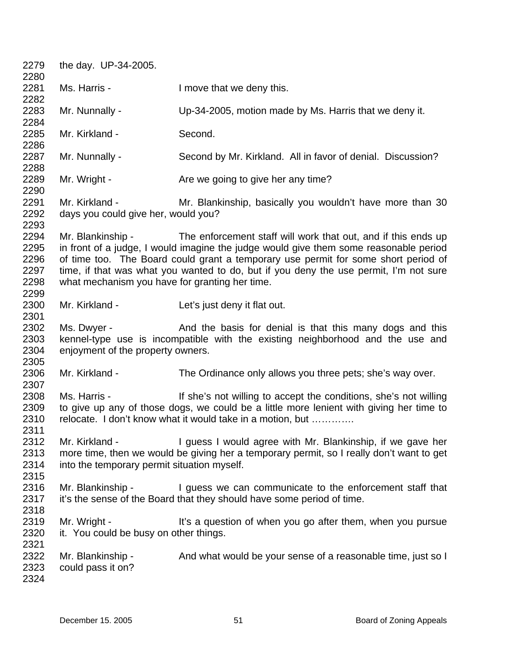2279 2280 2281 2282 2283 2284 2285 2286 2287 2288 2289 2290 2291 2292 2293 2294 2295 2296 2297 2298 2299 2300 2301 2302 2303 2304 2305 2306 2307 2308 2309 2310 2311 2312 2313 2314 2315 2316 2317 2318 2319 2320 2321 2322 2323 2324 the day. UP-34-2005. Ms. Harris - I move that we deny this. Mr. Nunnally - Up-34-2005, motion made by Ms. Harris that we deny it. Mr. Kirkland - Second. Mr. Nunnally - Second by Mr. Kirkland. All in favor of denial. Discussion? Mr. Wright - Are we going to give her any time? Mr. Kirkland - **Mr. Blankinship, basically you wouldn't have more than 30** days you could give her, would you? Mr. Blankinship - The enforcement staff will work that out, and if this ends up in front of a judge, I would imagine the judge would give them some reasonable period of time too. The Board could grant a temporary use permit for some short period of time, if that was what you wanted to do, but if you deny the use permit, I'm not sure what mechanism you have for granting her time. Mr. Kirkland - Let's just deny it flat out. Ms. Dwyer - And the basis for denial is that this many dogs and this kennel-type use is incompatible with the existing neighborhood and the use and enjoyment of the property owners. Mr. Kirkland - The Ordinance only allows you three pets; she's way over. Ms. Harris - If she's not willing to accept the conditions, she's not willing to give up any of those dogs, we could be a little more lenient with giving her time to relocate. I don't know what it would take in a motion, but …………. Mr. Kirkland - I guess I would agree with Mr. Blankinship, if we gave her more time, then we would be giving her a temporary permit, so I really don't want to get into the temporary permit situation myself. Mr. Blankinship - I guess we can communicate to the enforcement staff that it's the sense of the Board that they should have some period of time. Mr. Wright - It's a question of when you go after them, when you pursue it. You could be busy on other things. Mr. Blankinship - And what would be your sense of a reasonable time, just so I could pass it on?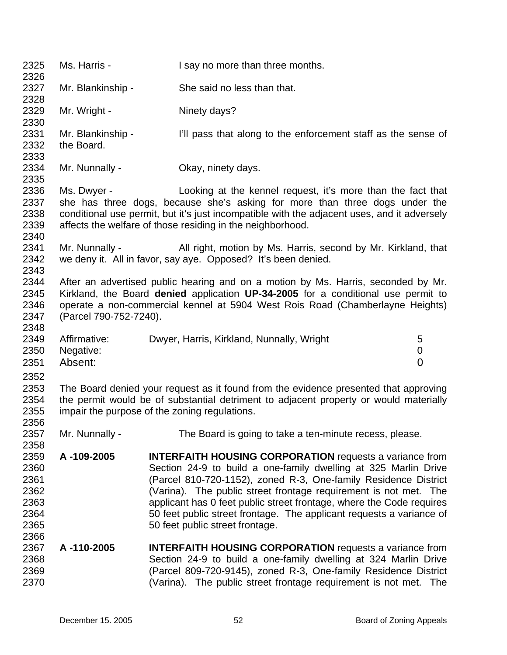| 2325<br>2326                                                         | Ms. Harris -                         | I say no more than three months.                                                                                                                                                                                                                                                                                                                                                                                                                            |                          |
|----------------------------------------------------------------------|--------------------------------------|-------------------------------------------------------------------------------------------------------------------------------------------------------------------------------------------------------------------------------------------------------------------------------------------------------------------------------------------------------------------------------------------------------------------------------------------------------------|--------------------------|
| 2327<br>2328                                                         | Mr. Blankinship -                    | She said no less than that.                                                                                                                                                                                                                                                                                                                                                                                                                                 |                          |
| 2329<br>2330                                                         | Mr. Wright -                         | Ninety days?                                                                                                                                                                                                                                                                                                                                                                                                                                                |                          |
| 2331<br>2332<br>2333                                                 | Mr. Blankinship -<br>the Board.      | I'll pass that along to the enforcement staff as the sense of                                                                                                                                                                                                                                                                                                                                                                                               |                          |
| 2334<br>2335                                                         | Mr. Nunnally -                       | Okay, ninety days.                                                                                                                                                                                                                                                                                                                                                                                                                                          |                          |
| 2336<br>2337<br>2338<br>2339<br>2340                                 | Ms. Dwyer -                          | Looking at the kennel request, it's more than the fact that<br>she has three dogs, because she's asking for more than three dogs under the<br>conditional use permit, but it's just incompatible with the adjacent uses, and it adversely<br>affects the welfare of those residing in the neighborhood.                                                                                                                                                     |                          |
| 2341<br>2342<br>2343                                                 | Mr. Nunnally -                       | All right, motion by Ms. Harris, second by Mr. Kirkland, that<br>we deny it. All in favor, say aye. Opposed? It's been denied.                                                                                                                                                                                                                                                                                                                              |                          |
| 2344<br>2345<br>2346<br>2347<br>2348                                 | (Parcel 790-752-7240).               | After an advertised public hearing and on a motion by Ms. Harris, seconded by Mr.<br>Kirkland, the Board denied application UP-34-2005 for a conditional use permit to<br>operate a non-commercial kennel at 5904 West Rois Road (Chamberlayne Heights)                                                                                                                                                                                                     |                          |
| 2349<br>2350<br>2351                                                 | Affirmative:<br>Negative:<br>Absent: | Dwyer, Harris, Kirkland, Nunnally, Wright                                                                                                                                                                                                                                                                                                                                                                                                                   | 5<br>0<br>$\overline{0}$ |
| 2352<br>2353<br>2354<br>2355                                         |                                      | The Board denied your request as it found from the evidence presented that approving<br>the permit would be of substantial detriment to adjacent property or would materially<br>impair the purpose of the zoning regulations.                                                                                                                                                                                                                              |                          |
| 2356<br>2357                                                         | Mr. Nunnally -                       | The Board is going to take a ten-minute recess, please.                                                                                                                                                                                                                                                                                                                                                                                                     |                          |
| 2358<br>2359<br>2360<br>2361<br>2362<br>2363<br>2364<br>2365<br>2366 | A-109-2005                           | <b>INTERFAITH HOUSING CORPORATION</b> requests a variance from<br>Section 24-9 to build a one-family dwelling at 325 Marlin Drive<br>(Parcel 810-720-1152), zoned R-3, One-family Residence District<br>(Varina). The public street frontage requirement is not met. The<br>applicant has 0 feet public street frontage, where the Code requires<br>50 feet public street frontage. The applicant requests a variance of<br>50 feet public street frontage. |                          |
| 2367<br>2368<br>2369<br>2370                                         | A-110-2005                           | <b>INTERFAITH HOUSING CORPORATION</b> requests a variance from<br>Section 24-9 to build a one-family dwelling at 324 Marlin Drive<br>(Parcel 809-720-9145), zoned R-3, One-family Residence District<br>(Varina). The public street frontage requirement is not met. The                                                                                                                                                                                    |                          |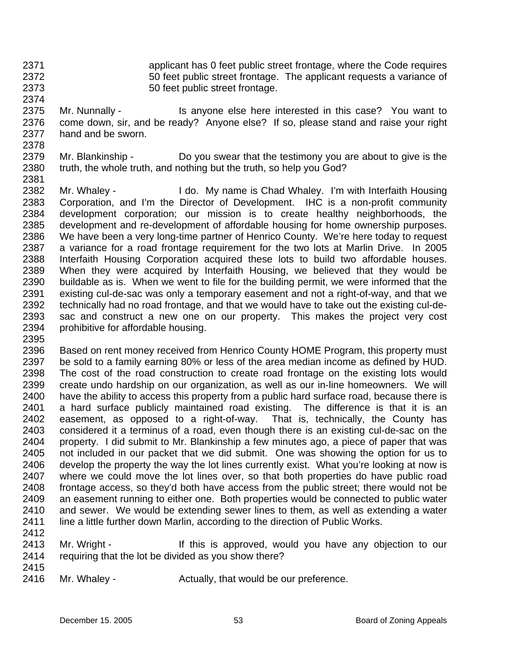2371

2374

2372 2373 applicant has 0 feet public street frontage, where the Code requires 50 feet public street frontage. The applicant requests a variance of 50 feet public street frontage.

2375 2376 2377 2378 Mr. Nunnally - Is anyone else here interested in this case? You want to come down, sir, and be ready? Anyone else? If so, please stand and raise your right hand and be sworn.

- 2379 2380 2381 Mr. Blankinship - Do you swear that the testimony you are about to give is the truth, the whole truth, and nothing but the truth, so help you God?
- 2382 2383 2384 2385 2386 2387 2388 2389 2390 2391 2392 2393 2394 Mr. Whaley - I do. My name is Chad Whaley. I'm with Interfaith Housing Corporation, and I'm the Director of Development. IHC is a non-profit community development corporation; our mission is to create healthy neighborhoods, the development and re-development of affordable housing for home ownership purposes. We have been a very long-time partner of Henrico County. We're here today to request a variance for a road frontage requirement for the two lots at Marlin Drive. In 2005 Interfaith Housing Corporation acquired these lots to build two affordable houses. When they were acquired by Interfaith Housing, we believed that they would be buildable as is. When we went to file for the building permit, we were informed that the existing cul-de-sac was only a temporary easement and not a right-of-way, and that we technically had no road frontage, and that we would have to take out the existing cul-desac and construct a new one on our property. This makes the project very cost prohibitive for affordable housing.
- 2395

2396 2397 2398 2399 2400 2401 2402 2403 2404 2405 2406 2407 2408 2409 2410 2411 Based on rent money received from Henrico County HOME Program, this property must be sold to a family earning 80% or less of the area median income as defined by HUD. The cost of the road construction to create road frontage on the existing lots would create undo hardship on our organization, as well as our in-line homeowners. We will have the ability to access this property from a public hard surface road, because there is a hard surface publicly maintained road existing. The difference is that it is an easement, as opposed to a right-of-way. That is, technically, the County has considered it a terminus of a road, even though there is an existing cul-de-sac on the property. I did submit to Mr. Blankinship a few minutes ago, a piece of paper that was not included in our packet that we did submit. One was showing the option for us to develop the property the way the lot lines currently exist. What you're looking at now is where we could move the lot lines over, so that both properties do have public road frontage access, so they'd both have access from the public street; there would not be an easement running to either one. Both properties would be connected to public water and sewer. We would be extending sewer lines to them, as well as extending a water line a little further down Marlin, according to the direction of Public Works.

- 2412
- 2413 2414 Mr. Wright - The Mr is approved, would you have any objection to our requiring that the lot be divided as you show there?
- 2415

2416

Mr. Whaley - The Actually, that would be our preference.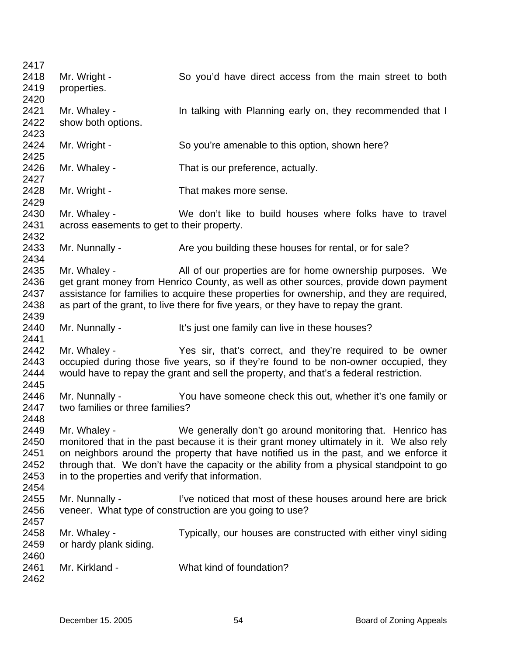| 2417 |                                                   |                                                                                           |
|------|---------------------------------------------------|-------------------------------------------------------------------------------------------|
| 2418 | Mr. Wright -                                      | So you'd have direct access from the main street to both                                  |
| 2419 | properties.                                       |                                                                                           |
| 2420 |                                                   |                                                                                           |
| 2421 | Mr. Whaley -                                      | In talking with Planning early on, they recommended that I                                |
| 2422 | show both options.                                |                                                                                           |
| 2423 |                                                   |                                                                                           |
| 2424 | Mr. Wright -                                      | So you're amenable to this option, shown here?                                            |
| 2425 |                                                   |                                                                                           |
| 2426 | Mr. Whaley -                                      | That is our preference, actually.                                                         |
| 2427 |                                                   |                                                                                           |
| 2428 | Mr. Wright -                                      | That makes more sense.                                                                    |
| 2429 |                                                   |                                                                                           |
| 2430 | Mr. Whaley -                                      | We don't like to build houses where folks have to travel                                  |
| 2431 | across easements to get to their property.        |                                                                                           |
| 2432 |                                                   |                                                                                           |
| 2433 | Mr. Nunnally -                                    | Are you building these houses for rental, or for sale?                                    |
| 2434 |                                                   |                                                                                           |
| 2435 | Mr. Whaley -                                      | All of our properties are for home ownership purposes. We                                 |
| 2436 |                                                   | get grant money from Henrico County, as well as other sources, provide down payment       |
| 2437 |                                                   | assistance for families to acquire these properties for ownership, and they are required, |
| 2438 |                                                   | as part of the grant, to live there for five years, or they have to repay the grant.      |
| 2439 |                                                   |                                                                                           |
| 2440 | Mr. Nunnally -                                    | It's just one family can live in these houses?                                            |
| 2441 |                                                   |                                                                                           |
| 2442 | Mr. Whaley -                                      | Yes sir, that's correct, and they're required to be owner                                 |
| 2443 |                                                   | occupied during those five years, so if they're found to be non-owner occupied, they      |
| 2444 |                                                   | would have to repay the grant and sell the property, and that's a federal restriction.    |
| 2445 |                                                   |                                                                                           |
| 2446 | Mr. Nunnally -                                    | You have someone check this out, whether it's one family or                               |
| 2447 | two families or three families?                   |                                                                                           |
| 2448 |                                                   |                                                                                           |
| 2449 | Mr. Whaley -                                      | We generally don't go around monitoring that. Henrico has                                 |
| 2450 |                                                   | monitored that in the past because it is their grant money ultimately in it. We also rely |
| 2451 |                                                   | on neighbors around the property that have notified us in the past, and we enforce it     |
|      |                                                   |                                                                                           |
| 2452 |                                                   | through that. We don't have the capacity or the ability from a physical standpoint to go  |
| 2453 | in to the properties and verify that information. |                                                                                           |
| 2454 |                                                   |                                                                                           |
| 2455 | Mr. Nunnally -                                    | I've noticed that most of these houses around here are brick                              |
| 2456 |                                                   | veneer. What type of construction are you going to use?                                   |
| 2457 |                                                   |                                                                                           |
| 2458 | Mr. Whaley -                                      | Typically, our houses are constructed with either vinyl siding                            |
| 2459 | or hardy plank siding.                            |                                                                                           |
| 2460 |                                                   |                                                                                           |
| 2461 | Mr. Kirkland -                                    | What kind of foundation?                                                                  |
| 2462 |                                                   |                                                                                           |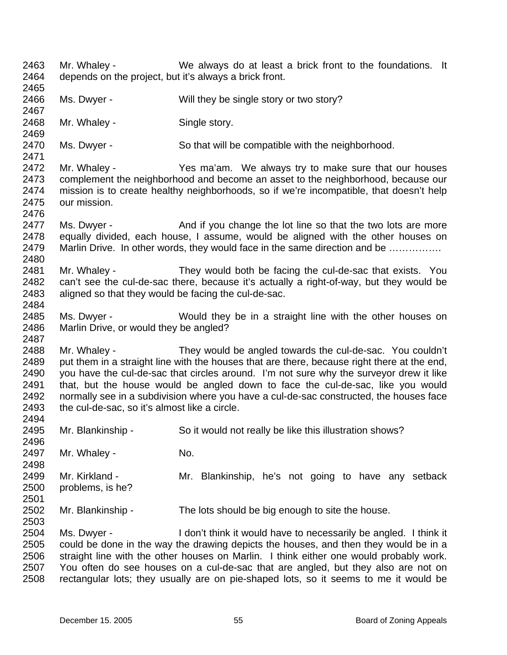2463 2464 2465 2466 2467 2468 2469 2470 2471 2472 2473 2474 2475 2476 2477 2478 2479 2480 2481 2482 2483 2484 2485 2486 2487 2488 2489 2490 2491 2492 2493 2494 2495 2496 2497 2498 2499 2500 2501 2502 2503 2504 2505 2506 2507 2508 Mr. Whaley - We always do at least a brick front to the foundations. It depends on the project, but it's always a brick front. Ms. Dwyer - Will they be single story or two story? Mr. Whaley - Single story. Ms. Dwyer - So that will be compatible with the neighborhood. Mr. Whaley - The Yes ma'am. We always try to make sure that our houses complement the neighborhood and become an asset to the neighborhood, because our mission is to create healthy neighborhoods, so if we're incompatible, that doesn't help our mission. Ms. Dwyer - And if you change the lot line so that the two lots are more equally divided, each house, I assume, would be aligned with the other houses on Marlin Drive. In other words, they would face in the same direction and be ................ Mr. Whaley - They would both be facing the cul-de-sac that exists. You can't see the cul-de-sac there, because it's actually a right-of-way, but they would be aligned so that they would be facing the cul-de-sac. Ms. Dwyer - Would they be in a straight line with the other houses on Marlin Drive, or would they be angled? Mr. Whaley - They would be angled towards the cul-de-sac. You couldn't put them in a straight line with the houses that are there, because right there at the end, you have the cul-de-sac that circles around. I'm not sure why the surveyor drew it like that, but the house would be angled down to face the cul-de-sac, like you would normally see in a subdivision where you have a cul-de-sac constructed, the houses face the cul-de-sac, so it's almost like a circle. Mr. Blankinship - So it would not really be like this illustration shows? Mr. Whaley - No. Mr. Kirkland - The Mr. Blankinship, he's not going to have any setback problems, is he? Mr. Blankinship - The lots should be big enough to site the house. Ms. Dwyer - I don't think it would have to necessarily be angled. I think it could be done in the way the drawing depicts the houses, and then they would be in a straight line with the other houses on Marlin. I think either one would probably work. You often do see houses on a cul-de-sac that are angled, but they also are not on rectangular lots; they usually are on pie-shaped lots, so it seems to me it would be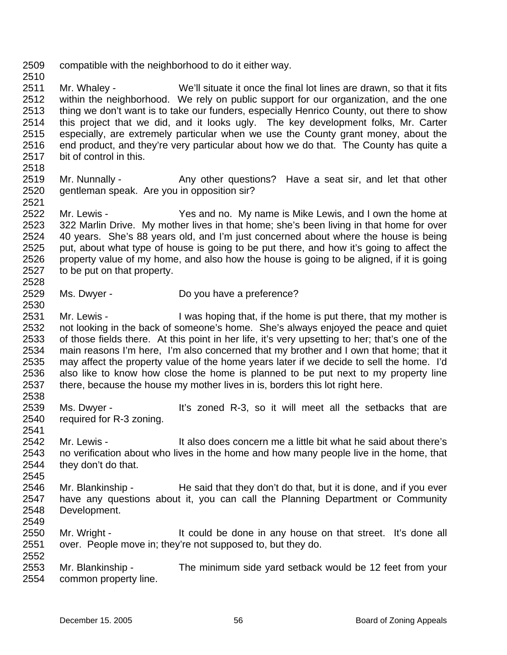- 2509 compatible with the neighborhood to do it either way.
- 2511 2512 2513 2514 2515 2516 2517 Mr. Whaley - We'll situate it once the final lot lines are drawn, so that it fits within the neighborhood. We rely on public support for our organization, and the one thing we don't want is to take our funders, especially Henrico County, out there to show this project that we did, and it looks ugly. The key development folks, Mr. Carter especially, are extremely particular when we use the County grant money, about the end product, and they're very particular about how we do that. The County has quite a bit of control in this.
- 2518

2530

2545

2549

- 2519 2520 2521 Mr. Nunnally - Any other questions? Have a seat sir, and let that other gentleman speak. Are you in opposition sir?
- 2522 2523 2524 2525 2526 2527 2528 Mr. Lewis - The Yes and no. My name is Mike Lewis, and I own the home at 322 Marlin Drive. My mother lives in that home; she's been living in that home for over 40 years. She's 88 years old, and I'm just concerned about where the house is being put, about what type of house is going to be put there, and how it's going to affect the property value of my home, and also how the house is going to be aligned, if it is going to be put on that property.
- 2529 Ms. Dwyer - Do you have a preference?
- 2531 2532 2533 2534 2535 2536 2537 2538 Mr. Lewis - I was hoping that, if the home is put there, that my mother is not looking in the back of someone's home. She's always enjoyed the peace and quiet of those fields there. At this point in her life, it's very upsetting to her; that's one of the main reasons I'm here, I'm also concerned that my brother and I own that home; that it may affect the property value of the home years later if we decide to sell the home. I'd also like to know how close the home is planned to be put next to my property line there, because the house my mother lives in is, borders this lot right here.
- 2539 2540 Ms. Dwyer - The It's zoned R-3, so it will meet all the setbacks that are required for R-3 zoning.
- 2541 2542 2543 2544 Mr. Lewis - The State of the also does concern me a little bit what he said about there's no verification about who lives in the home and how many people live in the home, that they don't do that.
- 2546 2547 2548 Mr. Blankinship - He said that they don't do that, but it is done, and if you ever have any questions about it, you can call the Planning Department or Community Development.
- 2550 2551 2552 Mr. Wright - The state of the done in any house on that street. It's done all over. People move in; they're not supposed to, but they do.
- 2553 2554 Mr. Blankinship - The minimum side yard setback would be 12 feet from your common property line.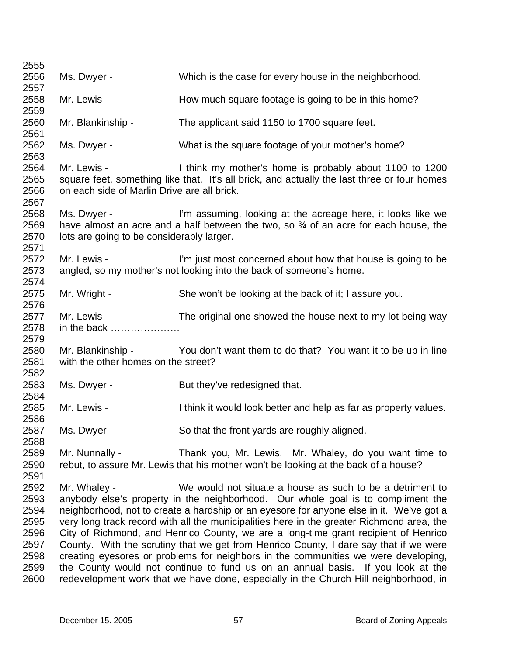| 2555                                                                 |                                                                                                                                                                                                                      |                                                                                                                                                                                                                                                                                                                                                                                                                                                                                                                                                                                                                                                                                                                                                                                        |  |
|----------------------------------------------------------------------|----------------------------------------------------------------------------------------------------------------------------------------------------------------------------------------------------------------------|----------------------------------------------------------------------------------------------------------------------------------------------------------------------------------------------------------------------------------------------------------------------------------------------------------------------------------------------------------------------------------------------------------------------------------------------------------------------------------------------------------------------------------------------------------------------------------------------------------------------------------------------------------------------------------------------------------------------------------------------------------------------------------------|--|
| 2556                                                                 | Ms. Dwyer -                                                                                                                                                                                                          | Which is the case for every house in the neighborhood.                                                                                                                                                                                                                                                                                                                                                                                                                                                                                                                                                                                                                                                                                                                                 |  |
| 2557                                                                 |                                                                                                                                                                                                                      |                                                                                                                                                                                                                                                                                                                                                                                                                                                                                                                                                                                                                                                                                                                                                                                        |  |
| 2558<br>2559                                                         | Mr. Lewis -                                                                                                                                                                                                          | How much square footage is going to be in this home?                                                                                                                                                                                                                                                                                                                                                                                                                                                                                                                                                                                                                                                                                                                                   |  |
| 2560<br>2561                                                         | Mr. Blankinship -                                                                                                                                                                                                    | The applicant said 1150 to 1700 square feet.                                                                                                                                                                                                                                                                                                                                                                                                                                                                                                                                                                                                                                                                                                                                           |  |
| 2562<br>2563                                                         | Ms. Dwyer -                                                                                                                                                                                                          | What is the square footage of your mother's home?                                                                                                                                                                                                                                                                                                                                                                                                                                                                                                                                                                                                                                                                                                                                      |  |
| 2564<br>2565<br>2566<br>2567                                         | I think my mother's home is probably about 1100 to 1200<br>Mr. Lewis -<br>square feet, something like that. It's all brick, and actually the last three or four homes<br>on each side of Marlin Drive are all brick. |                                                                                                                                                                                                                                                                                                                                                                                                                                                                                                                                                                                                                                                                                                                                                                                        |  |
| 2568<br>2569<br>2570<br>2571                                         | Ms. Dwyer -<br>lots are going to be considerably larger.                                                                                                                                                             | I'm assuming, looking at the acreage here, it looks like we<br>have almost an acre and a half between the two, so 3⁄4 of an acre for each house, the                                                                                                                                                                                                                                                                                                                                                                                                                                                                                                                                                                                                                                   |  |
| 2572<br>2573<br>2574                                                 | Mr. Lewis -                                                                                                                                                                                                          | I'm just most concerned about how that house is going to be<br>angled, so my mother's not looking into the back of someone's home.                                                                                                                                                                                                                                                                                                                                                                                                                                                                                                                                                                                                                                                     |  |
| 2575<br>2576                                                         | Mr. Wright -                                                                                                                                                                                                         | She won't be looking at the back of it; I assure you.                                                                                                                                                                                                                                                                                                                                                                                                                                                                                                                                                                                                                                                                                                                                  |  |
| 2577<br>2578<br>2579                                                 | Mr. Lewis -<br>in the back                                                                                                                                                                                           | The original one showed the house next to my lot being way                                                                                                                                                                                                                                                                                                                                                                                                                                                                                                                                                                                                                                                                                                                             |  |
| 2580<br>2581<br>2582                                                 | Mr. Blankinship -<br>with the other homes on the street?                                                                                                                                                             | You don't want them to do that? You want it to be up in line                                                                                                                                                                                                                                                                                                                                                                                                                                                                                                                                                                                                                                                                                                                           |  |
| 2583<br>2584                                                         | Ms. Dwyer -                                                                                                                                                                                                          | But they've redesigned that.                                                                                                                                                                                                                                                                                                                                                                                                                                                                                                                                                                                                                                                                                                                                                           |  |
| 2585<br>2586                                                         | Mr. Lewis -                                                                                                                                                                                                          | I think it would look better and help as far as property values.                                                                                                                                                                                                                                                                                                                                                                                                                                                                                                                                                                                                                                                                                                                       |  |
| 2587<br>2588                                                         | Ms. Dwyer -                                                                                                                                                                                                          | So that the front yards are roughly aligned.                                                                                                                                                                                                                                                                                                                                                                                                                                                                                                                                                                                                                                                                                                                                           |  |
| 2589<br>2590<br>2591                                                 | Mr. Nunnally -                                                                                                                                                                                                       | Thank you, Mr. Lewis. Mr. Whaley, do you want time to<br>rebut, to assure Mr. Lewis that his mother won't be looking at the back of a house?                                                                                                                                                                                                                                                                                                                                                                                                                                                                                                                                                                                                                                           |  |
| 2592<br>2593<br>2594<br>2595<br>2596<br>2597<br>2598<br>2599<br>2600 | Mr. Whaley -                                                                                                                                                                                                         | We would not situate a house as such to be a detriment to<br>anybody else's property in the neighborhood. Our whole goal is to compliment the<br>neighborhood, not to create a hardship or an eyesore for anyone else in it. We've got a<br>very long track record with all the municipalities here in the greater Richmond area, the<br>City of Richmond, and Henrico County, we are a long-time grant recipient of Henrico<br>County. With the scrutiny that we get from Henrico County, I dare say that if we were<br>creating eyesores or problems for neighbors in the communities we were developing,<br>the County would not continue to fund us on an annual basis. If you look at the<br>redevelopment work that we have done, especially in the Church Hill neighborhood, in |  |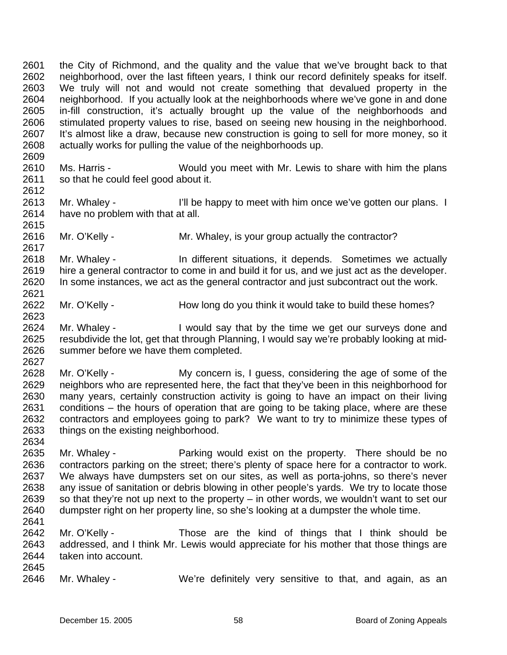2601 2602 2603 2604 2605 2606 2607 2608 the City of Richmond, and the quality and the value that we've brought back to that neighborhood, over the last fifteen years, I think our record definitely speaks for itself. We truly will not and would not create something that devalued property in the neighborhood. If you actually look at the neighborhoods where we've gone in and done in-fill construction, it's actually brought up the value of the neighborhoods and stimulated property values to rise, based on seeing new housing in the neighborhood. It's almost like a draw, because new construction is going to sell for more money, so it actually works for pulling the value of the neighborhoods up.

- 2610 2611 Ms. Harris - Would you meet with Mr. Lewis to share with him the plans so that he could feel good about it.
- 2613 2614 2615 Mr. Whaley - I'll be happy to meet with him once we've gotten our plans. I have no problem with that at all.
- 2616 Mr. O'Kelly - Mr. Whaley, is your group actually the contractor?
- 2618 2619 2620 2621 Mr. Whaley - The different situations, it depends. Sometimes we actually hire a general contractor to come in and build it for us, and we just act as the developer. In some instances, we act as the general contractor and just subcontract out the work.
- 2622 Mr. O'Kelly - How long do you think it would take to build these homes?
- 2624 2625 2626 Mr. Whaley - I would say that by the time we get our surveys done and resubdivide the lot, get that through Planning, I would say we're probably looking at midsummer before we have them completed.
- 2628 2629 2630 2631 2632 2633 2634 Mr. O'Kelly - My concern is, I guess, considering the age of some of the neighbors who are represented here, the fact that they've been in this neighborhood for many years, certainly construction activity is going to have an impact on their living conditions – the hours of operation that are going to be taking place, where are these contractors and employees going to park? We want to try to minimize these types of things on the existing neighborhood.
- 2635 2636 2637 2638 2639 2640 Mr. Whaley - **Parking would exist on the property.** There should be no contractors parking on the street; there's plenty of space here for a contractor to work. We always have dumpsters set on our sites, as well as porta-johns, so there's never any issue of sanitation or debris blowing in other people's yards. We try to locate those so that they're not up next to the property – in other words, we wouldn't want to set our dumpster right on her property line, so she's looking at a dumpster the whole time.
- 2642 2643 2644 Mr. O'Kelly - Those are the kind of things that I think should be addressed, and I think Mr. Lewis would appreciate for his mother that those things are taken into account.
- 2645

2641

2609

2612

2617

2623

2627

2646 Mr. Whaley - We're definitely very sensitive to that, and again, as an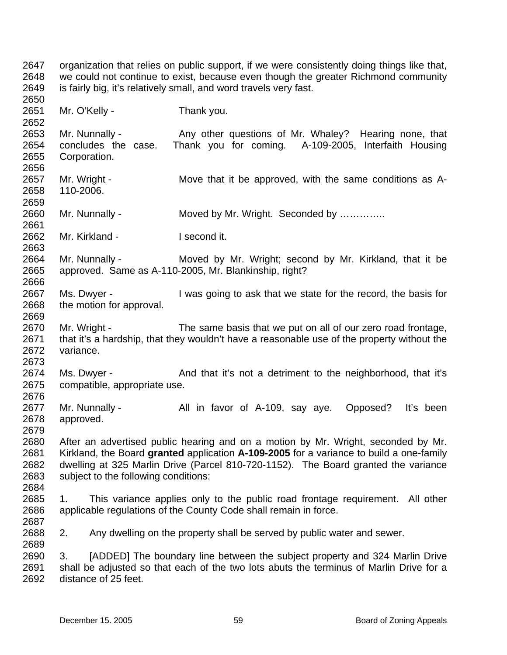2647 2648 2649 2650 2651 2652 2653 2654 2655 2656 2657 2658 2659 2660 2661 2662 2663 2664 2665 2666 2667 2668 2669 2670 2671 2672 2673 2674 2675 2676 2677 2678 2679 2680 2681 2682 2683 2684 2685 2686 2687 2688 2689 2690 2691 organization that relies on public support, if we were consistently doing things like that, we could not continue to exist, because even though the greater Richmond community is fairly big, it's relatively small, and word travels very fast. Mr. O'Kelly - Thank you. Mr. Nunnally - The Any other questions of Mr. Whaley? Hearing none, that concludes the case. Thank you for coming. A-109-2005, Interfaith Housing Corporation. Mr. Wright - Move that it be approved, with the same conditions as A-110-2006. Mr. Nunnally - Moved by Mr. Wright. Seconded by .............. Mr. Kirkland - I second it. Mr. Nunnally - Moved by Mr. Wright; second by Mr. Kirkland, that it be approved. Same as A-110-2005, Mr. Blankinship, right? Ms. Dwyer - I was going to ask that we state for the record, the basis for the motion for approval. Mr. Wright - The same basis that we put on all of our zero road frontage, that it's a hardship, that they wouldn't have a reasonable use of the property without the variance. Ms. Dwyer - And that it's not a detriment to the neighborhood, that it's compatible, appropriate use. Mr. Nunnally - All in favor of A-109, say aye. Opposed? It's been approved. After an advertised public hearing and on a motion by Mr. Wright, seconded by Mr. Kirkland, the Board **granted** application **A-109-2005** for a variance to build a one-family dwelling at 325 Marlin Drive (Parcel 810-720-1152). The Board granted the variance subject to the following conditions: 1. This variance applies only to the public road frontage requirement. All other applicable regulations of the County Code shall remain in force. 2. Any dwelling on the property shall be served by public water and sewer. 3. [ADDED] The boundary line between the subject property and 324 Marlin Drive shall be adjusted so that each of the two lots abuts the terminus of Marlin Drive for a

2692 distance of 25 feet.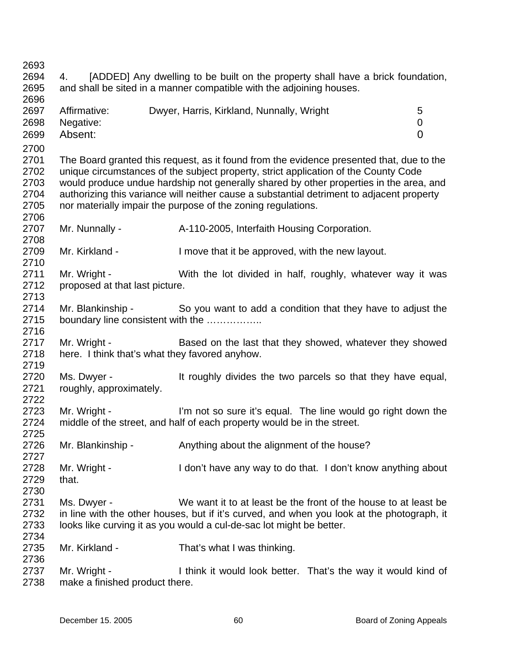| 2693 |                                                                                           |                                                                                            |                |  |
|------|-------------------------------------------------------------------------------------------|--------------------------------------------------------------------------------------------|----------------|--|
| 2694 | [ADDED] Any dwelling to be built on the property shall have a brick foundation,<br>4.     |                                                                                            |                |  |
| 2695 |                                                                                           | and shall be sited in a manner compatible with the adjoining houses.                       |                |  |
| 2696 |                                                                                           |                                                                                            |                |  |
| 2697 | Affirmative:                                                                              | Dwyer, Harris, Kirkland, Nunnally, Wright                                                  | 5              |  |
| 2698 | Negative:                                                                                 |                                                                                            | 0              |  |
|      | Absent:                                                                                   |                                                                                            | $\overline{0}$ |  |
| 2699 |                                                                                           |                                                                                            |                |  |
| 2700 |                                                                                           |                                                                                            |                |  |
| 2701 |                                                                                           | The Board granted this request, as it found from the evidence presented that, due to the   |                |  |
| 2702 |                                                                                           | unique circumstances of the subject property, strict application of the County Code        |                |  |
| 2703 |                                                                                           | would produce undue hardship not generally shared by other properties in the area, and     |                |  |
| 2704 | authorizing this variance will neither cause a substantial detriment to adjacent property |                                                                                            |                |  |
| 2705 |                                                                                           | nor materially impair the purpose of the zoning regulations.                               |                |  |
| 2706 |                                                                                           |                                                                                            |                |  |
| 2707 | Mr. Nunnally -                                                                            | A-110-2005, Interfaith Housing Corporation.                                                |                |  |
| 2708 |                                                                                           |                                                                                            |                |  |
| 2709 | Mr. Kirkland -                                                                            | I move that it be approved, with the new layout.                                           |                |  |
| 2710 |                                                                                           |                                                                                            |                |  |
| 2711 | Mr. Wright -                                                                              | With the lot divided in half, roughly, whatever way it was                                 |                |  |
| 2712 | proposed at that last picture.                                                            |                                                                                            |                |  |
| 2713 |                                                                                           |                                                                                            |                |  |
| 2714 | Mr. Blankinship -                                                                         | So you want to add a condition that they have to adjust the                                |                |  |
| 2715 |                                                                                           | boundary line consistent with the                                                          |                |  |
| 2716 |                                                                                           |                                                                                            |                |  |
| 2717 | Mr. Wright -                                                                              | Based on the last that they showed, whatever they showed                                   |                |  |
| 2718 |                                                                                           | here. I think that's what they favored anyhow.                                             |                |  |
| 2719 |                                                                                           |                                                                                            |                |  |
| 2720 | Ms. Dwyer -                                                                               | It roughly divides the two parcels so that they have equal,                                |                |  |
| 2721 |                                                                                           |                                                                                            |                |  |
| 2722 | roughly, approximately.                                                                   |                                                                                            |                |  |
|      |                                                                                           |                                                                                            |                |  |
| 2723 | Mr. Wright -                                                                              | I'm not so sure it's equal. The line would go right down the                               |                |  |
| 2724 |                                                                                           | middle of the street, and half of each property would be in the street.                    |                |  |
| 2725 |                                                                                           |                                                                                            |                |  |
| 2726 | Mr. Blankinship -                                                                         | Anything about the alignment of the house?                                                 |                |  |
| 2727 |                                                                                           |                                                                                            |                |  |
| 2728 | Mr. Wright -                                                                              | I don't have any way to do that. I don't know anything about                               |                |  |
| 2729 | that.                                                                                     |                                                                                            |                |  |
| 2730 |                                                                                           |                                                                                            |                |  |
| 2731 | Ms. Dwyer -                                                                               | We want it to at least be the front of the house to at least be                            |                |  |
| 2732 |                                                                                           | in line with the other houses, but if it's curved, and when you look at the photograph, it |                |  |
| 2733 |                                                                                           | looks like curving it as you would a cul-de-sac lot might be better.                       |                |  |
| 2734 |                                                                                           |                                                                                            |                |  |
| 2735 | Mr. Kirkland -                                                                            | That's what I was thinking.                                                                |                |  |
| 2736 |                                                                                           |                                                                                            |                |  |
| 2737 | Mr. Wright -                                                                              | I think it would look better. That's the way it would kind of                              |                |  |
| 2738 | make a finished product there.                                                            |                                                                                            |                |  |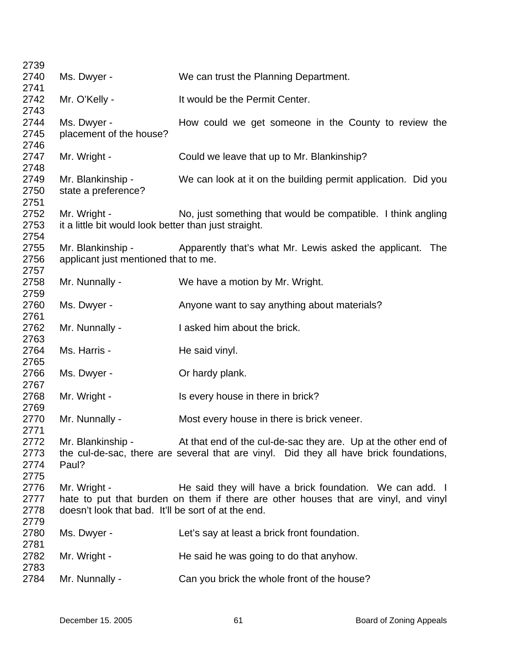| 2739         |                                                       |                                                                                        |
|--------------|-------------------------------------------------------|----------------------------------------------------------------------------------------|
| 2740         | Ms. Dwyer -                                           | We can trust the Planning Department.                                                  |
| 2741         |                                                       |                                                                                        |
| 2742         | Mr. O'Kelly -                                         | It would be the Permit Center.                                                         |
| 2743         |                                                       |                                                                                        |
| 2744         | Ms. Dwyer -                                           | How could we get someone in the County to review the                                   |
| 2745         | placement of the house?                               |                                                                                        |
| 2746         |                                                       |                                                                                        |
| 2747         | Mr. Wright -                                          | Could we leave that up to Mr. Blankinship?                                             |
| 2748<br>2749 | Mr. Blankinship -                                     | We can look at it on the building permit application. Did you                          |
| 2750         | state a preference?                                   |                                                                                        |
| 2751         |                                                       |                                                                                        |
| 2752         | Mr. Wright -                                          | No, just something that would be compatible. I think angling                           |
| 2753         | it a little bit would look better than just straight. |                                                                                        |
| 2754         |                                                       |                                                                                        |
| 2755         | Mr. Blankinship -                                     | Apparently that's what Mr. Lewis asked the applicant.<br>The                           |
| 2756         | applicant just mentioned that to me.                  |                                                                                        |
| 2757         |                                                       |                                                                                        |
| 2758         | Mr. Nunnally -                                        | We have a motion by Mr. Wright.                                                        |
| 2759         |                                                       |                                                                                        |
| 2760         | Ms. Dwyer -                                           | Anyone want to say anything about materials?                                           |
| 2761         |                                                       |                                                                                        |
| 2762         | Mr. Nunnally -                                        | I asked him about the brick.                                                           |
| 2763         |                                                       |                                                                                        |
| 2764         | Ms. Harris -                                          | He said vinyl.                                                                         |
| 2765         |                                                       |                                                                                        |
| 2766         | Ms. Dwyer -                                           | Or hardy plank.                                                                        |
| 2767<br>2768 | Mr. Wright -                                          | Is every house in there in brick?                                                      |
| 2769         |                                                       |                                                                                        |
| 2770         | Mr. Nunnally -                                        | Most every house in there is brick veneer.                                             |
| 2771         |                                                       |                                                                                        |
| 2772         | Mr. Blankinship -                                     | At that end of the cul-de-sac they are. Up at the other end of                         |
| 2773         |                                                       | the cul-de-sac, there are several that are vinyl. Did they all have brick foundations, |
| 2774         | Paul?                                                 |                                                                                        |
| 2775         |                                                       |                                                                                        |
| 2776         | Mr. Wright -                                          | He said they will have a brick foundation. We can add. I                               |
| 2777         |                                                       | hate to put that burden on them if there are other houses that are vinyl, and vinyl    |
| 2778         | doesn't look that bad. It'll be sort of at the end.   |                                                                                        |
| 2779         |                                                       |                                                                                        |
| 2780         | Ms. Dwyer -                                           | Let's say at least a brick front foundation.                                           |
| 2781         |                                                       |                                                                                        |
| 2782         | Mr. Wright -                                          | He said he was going to do that anyhow.                                                |
| 2783         |                                                       |                                                                                        |
| 2784         | Mr. Nunnally -                                        | Can you brick the whole front of the house?                                            |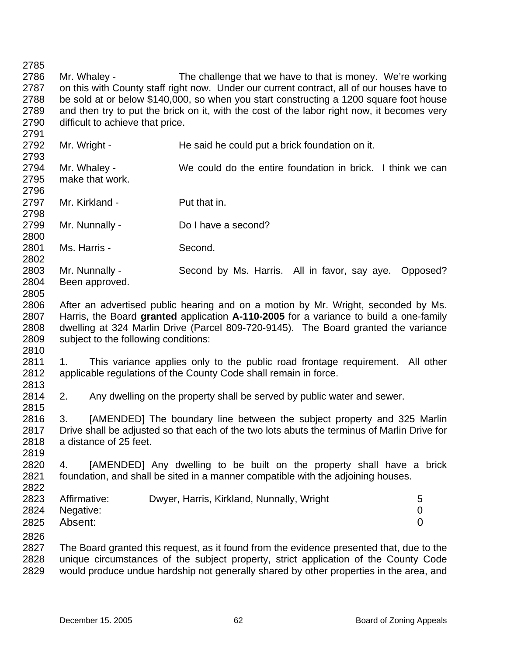2785 2786 2787 2788 2789 2790 2791 2792 2793 2794 2795 2796 2797 2798 2799 2800 2801 2802 2803 2804 2805 2806 2807 2808 2809 2810 2811 2812 2813 2814 2815 2816 2817 2818 2819 2820 2821 2822 2823 2824 2825 2826 2827 2828 2829 Mr. Whaley - The challenge that we have to that is money. We're working on this with County staff right now. Under our current contract, all of our houses have to be sold at or below \$140,000, so when you start constructing a 1200 square foot house and then try to put the brick on it, with the cost of the labor right now, it becomes very difficult to achieve that price. Mr. Wright - He said he could put a brick foundation on it. Mr. Whaley - We could do the entire foundation in brick. I think we can make that work. Mr. Kirkland - Put that in. Mr. Nunnally - Do I have a second? Ms. Harris - Second. Mr. Nunnally - Second by Ms. Harris. All in favor, say aye. Opposed? Been approved. After an advertised public hearing and on a motion by Mr. Wright, seconded by Ms. Harris, the Board **granted** application **A-110-2005** for a variance to build a one-family dwelling at 324 Marlin Drive (Parcel 809-720-9145). The Board granted the variance subject to the following conditions: 1. This variance applies only to the public road frontage requirement. All other applicable regulations of the County Code shall remain in force. 2. Any dwelling on the property shall be served by public water and sewer. 3. [AMENDED] The boundary line between the subject property and 325 Marlin Drive shall be adjusted so that each of the two lots abuts the terminus of Marlin Drive for a distance of 25 feet. 4. [AMENDED] Any dwelling to be built on the property shall have a brick foundation, and shall be sited in a manner compatible with the adjoining houses. Affirmative: Dwyer, Harris, Kirkland, Nunnally, Wright 5 Negative: 0 Absent: 0 The Board granted this request, as it found from the evidence presented that, due to the unique circumstances of the subject property, strict application of the County Code would produce undue hardship not generally shared by other properties in the area, and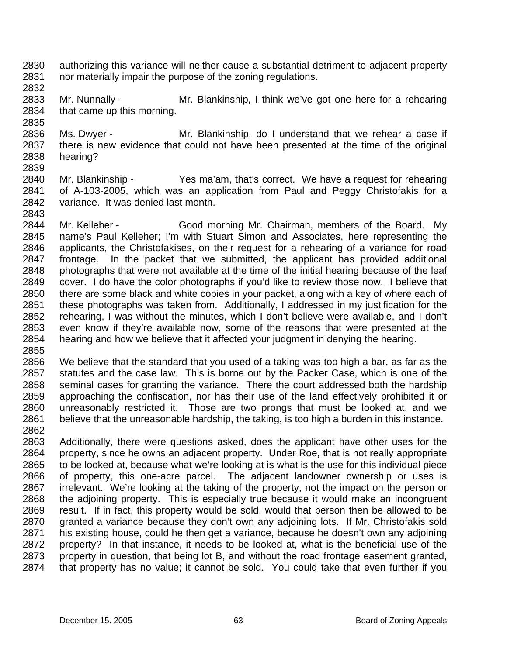- 2830 2831 authorizing this variance will neither cause a substantial detriment to adjacent property nor materially impair the purpose of the zoning regulations.
- 2832

2833 2834 2835 Mr. Nunnally - Mr. Blankinship, I think we've got one here for a rehearing that came up this morning.

2836 2837 2838 Ms. Dwyer - Mr. Blankinship, do I understand that we rehear a case if there is new evidence that could not have been presented at the time of the original hearing?

- 2839
- 2840 2841 2842 2843 Mr. Blankinship - Yes ma'am, that's correct. We have a request for rehearing of A-103-2005, which was an application from Paul and Peggy Christofakis for a variance. It was denied last month.
- 2844 2845 2846 2847 2848 2849 2850 2851 2852 2853 2854 2855 Mr. Kelleher - Good morning Mr. Chairman, members of the Board. My name's Paul Kelleher; I'm with Stuart Simon and Associates, here representing the applicants, the Christofakises, on their request for a rehearing of a variance for road frontage. In the packet that we submitted, the applicant has provided additional photographs that were not available at the time of the initial hearing because of the leaf cover. I do have the color photographs if you'd like to review those now. I believe that there are some black and white copies in your packet, along with a key of where each of these photographs was taken from. Additionally, I addressed in my justification for the rehearing, I was without the minutes, which I don't believe were available, and I don't even know if they're available now, some of the reasons that were presented at the hearing and how we believe that it affected your judgment in denying the hearing.
- 2856 2857 2858 2859 2860 2861 2862 We believe that the standard that you used of a taking was too high a bar, as far as the statutes and the case law. This is borne out by the Packer Case, which is one of the seminal cases for granting the variance. There the court addressed both the hardship approaching the confiscation, nor has their use of the land effectively prohibited it or unreasonably restricted it. Those are two prongs that must be looked at, and we believe that the unreasonable hardship, the taking, is too high a burden in this instance.
- 2863 2864 2865 2866 2867 2868 2869 2870 2871 2872 2873 2874 Additionally, there were questions asked, does the applicant have other uses for the property, since he owns an adjacent property. Under Roe, that is not really appropriate to be looked at, because what we're looking at is what is the use for this individual piece of property, this one-acre parcel. The adjacent landowner ownership or uses is irrelevant. We're looking at the taking of the property, not the impact on the person or the adjoining property. This is especially true because it would make an incongruent result. If in fact, this property would be sold, would that person then be allowed to be granted a variance because they don't own any adjoining lots. If Mr. Christofakis sold his existing house, could he then get a variance, because he doesn't own any adjoining property? In that instance, it needs to be looked at, what is the beneficial use of the property in question, that being lot B, and without the road frontage easement granted, that property has no value; it cannot be sold. You could take that even further if you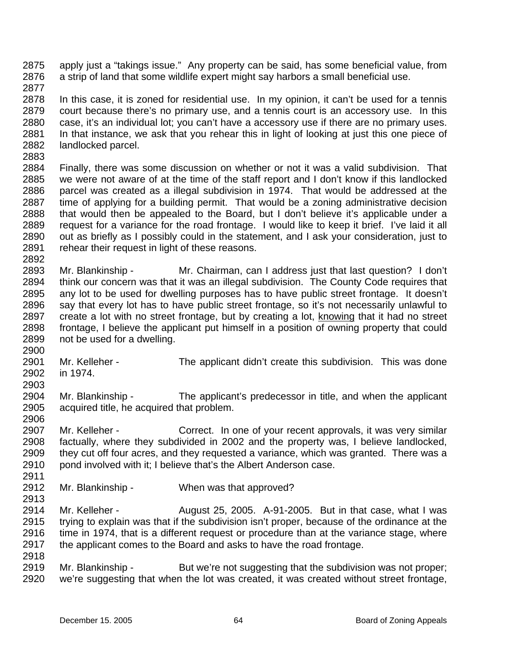2875 2876 apply just a "takings issue." Any property can be said, has some beneficial value, from a strip of land that some wildlife expert might say harbors a small beneficial use.

2877

2878 2879 2880 2881 2882 In this case, it is zoned for residential use. In my opinion, it can't be used for a tennis court because there's no primary use, and a tennis court is an accessory use. In this case, it's an individual lot; you can't have a accessory use if there are no primary uses. In that instance, we ask that you rehear this in light of looking at just this one piece of landlocked parcel.

2883

2892

2884 2885 2886 2887 2888 2889 2890 2891 Finally, there was some discussion on whether or not it was a valid subdivision. That we were not aware of at the time of the staff report and I don't know if this landlocked parcel was created as a illegal subdivision in 1974. That would be addressed at the time of applying for a building permit. That would be a zoning administrative decision that would then be appealed to the Board, but I don't believe it's applicable under a request for a variance for the road frontage. I would like to keep it brief. I've laid it all out as briefly as I possibly could in the statement, and I ask your consideration, just to rehear their request in light of these reasons.

- 2893 2894 2895 2896 Mr. Blankinship - Mr. Chairman, can I address just that last question? I don't think our concern was that it was an illegal subdivision. The County Code requires that any lot to be used for dwelling purposes has to have public street frontage. It doesn't say that every lot has to have public street frontage, so it's not necessarily unlawful to create a lot with no street frontage, but by creating a lot, knowing that it had no street frontage, I believe the applicant put himself in a position of owning property that could not be used for a dwelling. 2897 2898 2899
- 2901 2902 Mr. Kelleher - The applicant didn't create this subdivision. This was done in 1974.
- 2903

2900

- 2904 2905 Mr. Blankinship - The applicant's predecessor in title, and when the applicant acquired title, he acquired that problem.
- 2906

2907 2908 2909 2910 2911 Mr. Kelleher - Correct. In one of your recent approvals, it was very similar factually, where they subdivided in 2002 and the property was, I believe landlocked, they cut off four acres, and they requested a variance, which was granted. There was a pond involved with it; I believe that's the Albert Anderson case.

2912 2913 Mr. Blankinship - When was that approved?

2914 2915 2916 2917 Mr. Kelleher - August 25, 2005. A-91-2005. But in that case, what I was trying to explain was that if the subdivision isn't proper, because of the ordinance at the time in 1974, that is a different request or procedure than at the variance stage, where the applicant comes to the Board and asks to have the road frontage.

2918

2919 2920 Mr. Blankinship - But we're not suggesting that the subdivision was not proper; we're suggesting that when the lot was created, it was created without street frontage,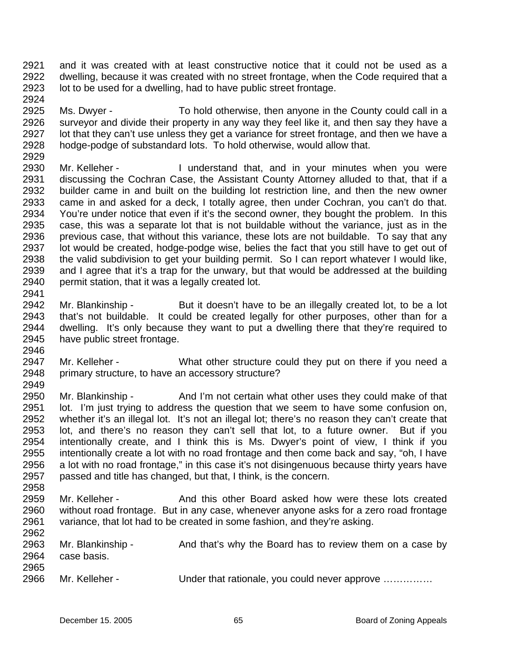2921 2922 2923 2924 and it was created with at least constructive notice that it could not be used as a dwelling, because it was created with no street frontage, when the Code required that a lot to be used for a dwelling, had to have public street frontage.

2925 2926 2927 2928 2929 Ms. Dwyer - To hold otherwise, then anyone in the County could call in a surveyor and divide their property in any way they feel like it, and then say they have a lot that they can't use unless they get a variance for street frontage, and then we have a hodge-podge of substandard lots. To hold otherwise, would allow that.

2930 2931 2932 2933 2934 2935 2936 2937 2938 2939 2940 Mr. Kelleher - The Understand that, and in your minutes when you were discussing the Cochran Case, the Assistant County Attorney alluded to that, that if a builder came in and built on the building lot restriction line, and then the new owner came in and asked for a deck, I totally agree, then under Cochran, you can't do that. You're under notice that even if it's the second owner, they bought the problem. In this case, this was a separate lot that is not buildable without the variance, just as in the previous case, that without this variance, these lots are not buildable. To say that any lot would be created, hodge-podge wise, belies the fact that you still have to get out of the valid subdivision to get your building permit. So I can report whatever I would like, and I agree that it's a trap for the unwary, but that would be addressed at the building permit station, that it was a legally created lot.

2941

2946

- 2942 2943 2944 2945 Mr. Blankinship - But it doesn't have to be an illegally created lot, to be a lot that's not buildable. It could be created legally for other purposes, other than for a dwelling. It's only because they want to put a dwelling there that they're required to have public street frontage.
- 2947 2948 Mr. Kelleher - What other structure could they put on there if you need a primary structure, to have an accessory structure?
- 2950 2951 2952 2953 2954 2955 2956 2957 2958 Mr. Blankinship - And I'm not certain what other uses they could make of that lot. I'm just trying to address the question that we seem to have some confusion on, whether it's an illegal lot. It's not an illegal lot; there's no reason they can't create that lot, and there's no reason they can't sell that lot, to a future owner. But if you intentionally create, and I think this is Ms. Dwyer's point of view, I think if you intentionally create a lot with no road frontage and then come back and say, "oh, I have a lot with no road frontage," in this case it's not disingenuous because thirty years have passed and title has changed, but that, I think, is the concern.
- 2959 2960 2961 2962 Mr. Kelleher - And this other Board asked how were these lots created without road frontage. But in any case, whenever anyone asks for a zero road frontage variance, that lot had to be created in some fashion, and they're asking.

| Mr. Blankinship - | And that's why the Board has to review them on a case by |
|-------------------|----------------------------------------------------------|
| case basis.       |                                                          |
|                   |                                                          |
| Mr. Kelleher -    | Under that rationale, you could never approve            |
|                   |                                                          |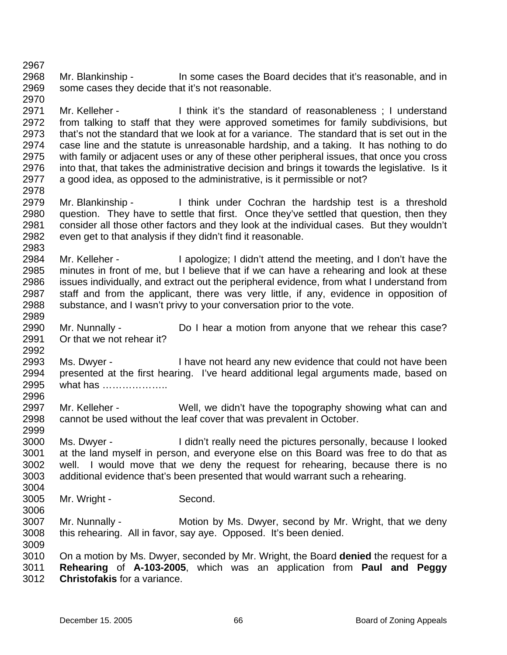2968 2969 Mr. Blankinship - In some cases the Board decides that it's reasonable, and in some cases they decide that it's not reasonable.

2971 2972 2973 2974 2975 2976 2977 Mr. Kelleher - Think it's the standard of reasonableness : I understand from talking to staff that they were approved sometimes for family subdivisions, but that's not the standard that we look at for a variance. The standard that is set out in the case line and the statute is unreasonable hardship, and a taking. It has nothing to do with family or adjacent uses or any of these other peripheral issues, that once you cross into that, that takes the administrative decision and brings it towards the legislative. Is it a good idea, as opposed to the administrative, is it permissible or not?

- 2979 2980 2981 2982 Mr. Blankinship - Think under Cochran the hardship test is a threshold question. They have to settle that first. Once they've settled that question, then they consider all those other factors and they look at the individual cases. But they wouldn't even get to that analysis if they didn't find it reasonable.
- 2984 2985 2986 2987 2988 Mr. Kelleher - I apologize; I didn't attend the meeting, and I don't have the minutes in front of me, but I believe that if we can have a rehearing and look at these issues individually, and extract out the peripheral evidence, from what I understand from staff and from the applicant, there was very little, if any, evidence in opposition of substance, and I wasn't privy to your conversation prior to the vote.
- 2990 2991 Mr. Nunnally - Do I hear a motion from anyone that we rehear this case? Or that we not rehear it?
- 2993 2994 2995 2996 Ms. Dwyer - I have not heard any new evidence that could not have been presented at the first hearing. I've heard additional legal arguments made, based on what has ………………
- 2997 2998 Mr. Kelleher - Well, we didn't have the topography showing what can and cannot be used without the leaf cover that was prevalent in October.
- 3000 3001 3002 3003 Ms. Dwyer - I didn't really need the pictures personally, because I looked at the land myself in person, and everyone else on this Board was free to do that as well. I would move that we deny the request for rehearing, because there is no additional evidence that's been presented that would warrant such a rehearing.
- 3005 Mr. Wright - Second.

2967

2970

2978

2983

2989

2992

2999

3004

3006

- 3007 3008 Mr. Nunnally - **Motion by Ms. Dwyer, second by Mr. Wright, that we deny** this rehearing. All in favor, say aye. Opposed. It's been denied.
- 3010 3011 3012 On a motion by Ms. Dwyer, seconded by Mr. Wright, the Board **denied** the request for a **Rehearing** of **A-103-2005**, which was an application from **Paul and Peggy Christofakis** for a variance.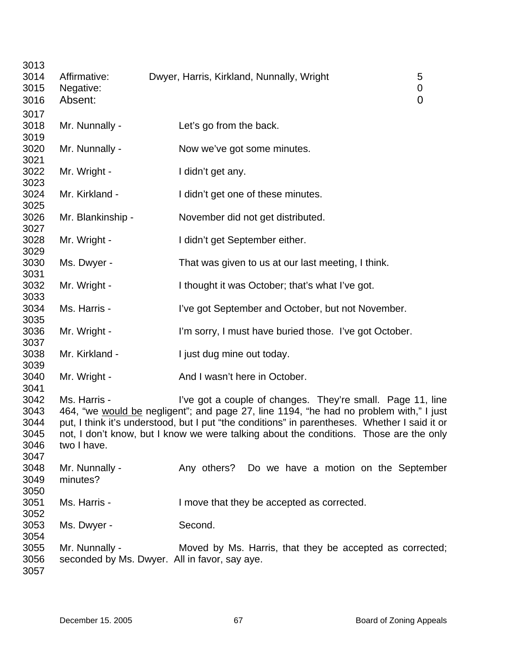| 3013<br>3014 | Affirmative:         | Dwyer, Harris, Kirkland, Nunnally, Wright                                                     | 5                               |
|--------------|----------------------|-----------------------------------------------------------------------------------------------|---------------------------------|
| 3015<br>3016 | Negative:<br>Absent: |                                                                                               | $\boldsymbol{0}$<br>$\mathbf 0$ |
| 3017         |                      |                                                                                               |                                 |
| 3018<br>3019 | Mr. Nunnally -       | Let's go from the back.                                                                       |                                 |
| 3020<br>3021 | Mr. Nunnally -       | Now we've got some minutes.                                                                   |                                 |
| 3022<br>3023 | Mr. Wright -         | I didn't get any.                                                                             |                                 |
| 3024<br>3025 | Mr. Kirkland -       | I didn't get one of these minutes.                                                            |                                 |
| 3026<br>3027 | Mr. Blankinship -    | November did not get distributed.                                                             |                                 |
| 3028<br>3029 | Mr. Wright -         | I didn't get September either.                                                                |                                 |
| 3030<br>3031 | Ms. Dwyer -          | That was given to us at our last meeting, I think.                                            |                                 |
| 3032<br>3033 | Mr. Wright -         | I thought it was October; that's what I've got.                                               |                                 |
| 3034<br>3035 | Ms. Harris -         | I've got September and October, but not November.                                             |                                 |
| 3036<br>3037 | Mr. Wright -         | I'm sorry, I must have buried those. I've got October.                                        |                                 |
| 3038<br>3039 | Mr. Kirkland -       | I just dug mine out today.                                                                    |                                 |
| 3040<br>3041 | Mr. Wright -         | And I wasn't here in October.                                                                 |                                 |
| 3042         | Ms. Harris -         | I've got a couple of changes. They're small. Page 11, line                                    |                                 |
| 3043         |                      | 464, "we would be negligent"; and page 27, line 1194, "he had no problem with," I just        |                                 |
| 3044         |                      | put, I think it's understood, but I put "the conditions" in parentheses. Whether I said it or |                                 |
| 3045         |                      | not, I don't know, but I know we were talking about the conditions. Those are the only        |                                 |
| 3046         | two I have.          |                                                                                               |                                 |
| 3047         |                      |                                                                                               |                                 |
| 3048         | Mr. Nunnally -       | Any others? Do we have a motion on the September                                              |                                 |
| 3049         | minutes?             |                                                                                               |                                 |
| 3050         |                      |                                                                                               |                                 |
| 3051         | Ms. Harris -         | I move that they be accepted as corrected.                                                    |                                 |
| 3052         |                      |                                                                                               |                                 |
| 3053         | Ms. Dwyer -          | Second.                                                                                       |                                 |
| 3054         |                      |                                                                                               |                                 |
| 3055         | Mr. Nunnally -       | Moved by Ms. Harris, that they be accepted as corrected;                                      |                                 |
| 3056<br>3057 |                      | seconded by Ms. Dwyer. All in favor, say aye.                                                 |                                 |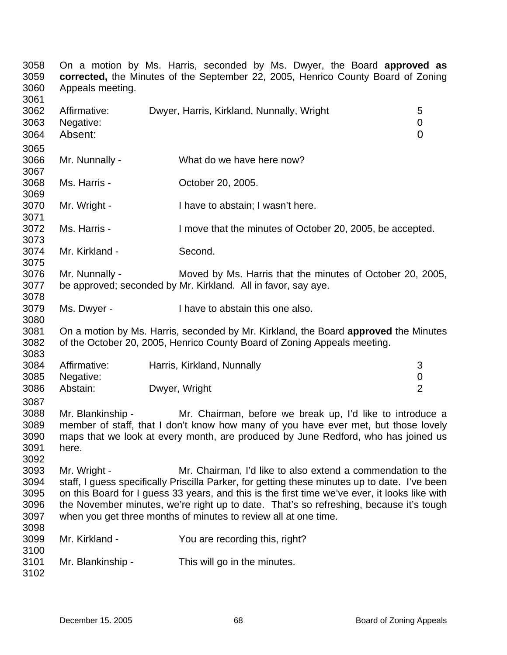| 3058<br>3059<br>3060<br>3061                 | On a motion by Ms. Harris, seconded by Ms. Dwyer, the Board <b>approved as</b><br>corrected, the Minutes of the September 22, 2005, Henrico County Board of Zoning<br>Appeals meeting.                                                                                                                                                                                                                                                     |  |                                                                                                                            |                  |  |
|----------------------------------------------|--------------------------------------------------------------------------------------------------------------------------------------------------------------------------------------------------------------------------------------------------------------------------------------------------------------------------------------------------------------------------------------------------------------------------------------------|--|----------------------------------------------------------------------------------------------------------------------------|------------------|--|
| 3062<br>3063<br>3064<br>3065                 | Affirmative:<br>Negative:<br>Absent:                                                                                                                                                                                                                                                                                                                                                                                                       |  | Dwyer, Harris, Kirkland, Nunnally, Wright                                                                                  | 5<br>0<br>0      |  |
| 3066<br>3067                                 | Mr. Nunnally -                                                                                                                                                                                                                                                                                                                                                                                                                             |  | What do we have here now?                                                                                                  |                  |  |
| 3068<br>3069                                 | Ms. Harris -                                                                                                                                                                                                                                                                                                                                                                                                                               |  | October 20, 2005.                                                                                                          |                  |  |
| 3070<br>3071                                 | Mr. Wright -                                                                                                                                                                                                                                                                                                                                                                                                                               |  | I have to abstain; I wasn't here.                                                                                          |                  |  |
| 3072<br>3073                                 | Ms. Harris -                                                                                                                                                                                                                                                                                                                                                                                                                               |  | I move that the minutes of October 20, 2005, be accepted.                                                                  |                  |  |
| 3074<br>3075                                 | Mr. Kirkland -                                                                                                                                                                                                                                                                                                                                                                                                                             |  | Second.                                                                                                                    |                  |  |
| 3076<br>3077<br>3078                         | Mr. Nunnally -                                                                                                                                                                                                                                                                                                                                                                                                                             |  | Moved by Ms. Harris that the minutes of October 20, 2005,<br>be approved; seconded by Mr. Kirkland. All in favor, say aye. |                  |  |
| 3079<br>3080                                 | Ms. Dwyer -                                                                                                                                                                                                                                                                                                                                                                                                                                |  | I have to abstain this one also.                                                                                           |                  |  |
| 3081<br>3082<br>3083                         | On a motion by Ms. Harris, seconded by Mr. Kirkland, the Board approved the Minutes<br>of the October 20, 2005, Henrico County Board of Zoning Appeals meeting.                                                                                                                                                                                                                                                                            |  |                                                                                                                            |                  |  |
| 3084<br>3085                                 | Affirmative:<br>Negative:                                                                                                                                                                                                                                                                                                                                                                                                                  |  | Harris, Kirkland, Nunnally                                                                                                 | 3<br>$\mathbf 0$ |  |
| 3086<br>3087                                 | Abstain:                                                                                                                                                                                                                                                                                                                                                                                                                                   |  | Dwyer, Wright                                                                                                              | $\overline{2}$   |  |
| 3088<br>3089<br>3090<br>3091<br>3092         | Mr. Blankinship -<br>Mr. Chairman, before we break up, I'd like to introduce a<br>member of staff, that I don't know how many of you have ever met, but those lovely<br>maps that we look at every month, are produced by June Redford, who has joined us<br>here.                                                                                                                                                                         |  |                                                                                                                            |                  |  |
| 3093<br>3094<br>3095<br>3096<br>3097<br>3098 | Mr. Wright -<br>Mr. Chairman, I'd like to also extend a commendation to the<br>staff, I guess specifically Priscilla Parker, for getting these minutes up to date. I've been<br>on this Board for I guess 33 years, and this is the first time we've ever, it looks like with<br>the November minutes, we're right up to date. That's so refreshing, because it's tough<br>when you get three months of minutes to review all at one time. |  |                                                                                                                            |                  |  |
| 3099<br>3100                                 | Mr. Kirkland -                                                                                                                                                                                                                                                                                                                                                                                                                             |  | You are recording this, right?                                                                                             |                  |  |
| 3101<br>3102                                 | Mr. Blankinship -                                                                                                                                                                                                                                                                                                                                                                                                                          |  | This will go in the minutes.                                                                                               |                  |  |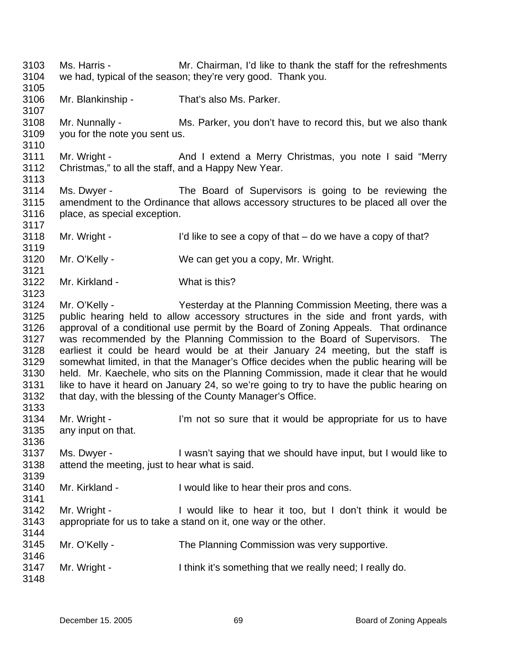3103 3104 3105 3106 3107 3108 3109 3110 3111 3112 3113 3114 3115 3116 3117 3118 3119 3120 3121 3122 3123 3124 3125 3126 3127 3128 3129 3130 3131 3132 3133 3134 3135 3136 3137 3138 3139 3140 3141 3142 3143 3144 3145 3146 3147 3148 Ms. Harris - Mr. Chairman, I'd like to thank the staff for the refreshments we had, typical of the season; they're very good. Thank you. Mr. Blankinship - That's also Ms. Parker. Mr. Nunnally - Ms. Parker, you don't have to record this, but we also thank you for the note you sent us. Mr. Wright - And I extend a Merry Christmas, you note I said "Merry Christmas," to all the staff, and a Happy New Year. Ms. Dwyer - The Board of Supervisors is going to be reviewing the amendment to the Ordinance that allows accessory structures to be placed all over the place, as special exception. Mr. Wright -  $\blacksquare$  I'd like to see a copy of that – do we have a copy of that? Mr. O'Kelly - We can get you a copy, Mr. Wright. Mr. Kirkland - What is this? Mr. O'Kelly - The Yesterday at the Planning Commission Meeting, there was a public hearing held to allow accessory structures in the side and front yards, with approval of a conditional use permit by the Board of Zoning Appeals. That ordinance was recommended by the Planning Commission to the Board of Supervisors. The earliest it could be heard would be at their January 24 meeting, but the staff is somewhat limited, in that the Manager's Office decides when the public hearing will be held. Mr. Kaechele, who sits on the Planning Commission, made it clear that he would like to have it heard on January 24, so we're going to try to have the public hearing on that day, with the blessing of the County Manager's Office. Mr. Wright - I'm not so sure that it would be appropriate for us to have any input on that. Ms. Dwyer - I wasn't saying that we should have input, but I would like to attend the meeting, just to hear what is said. Mr. Kirkland - I would like to hear their pros and cons. Mr. Wright - I would like to hear it too, but I don't think it would be appropriate for us to take a stand on it, one way or the other. Mr. O'Kelly - The Planning Commission was very supportive. Mr. Wright - I think it's something that we really need; I really do.